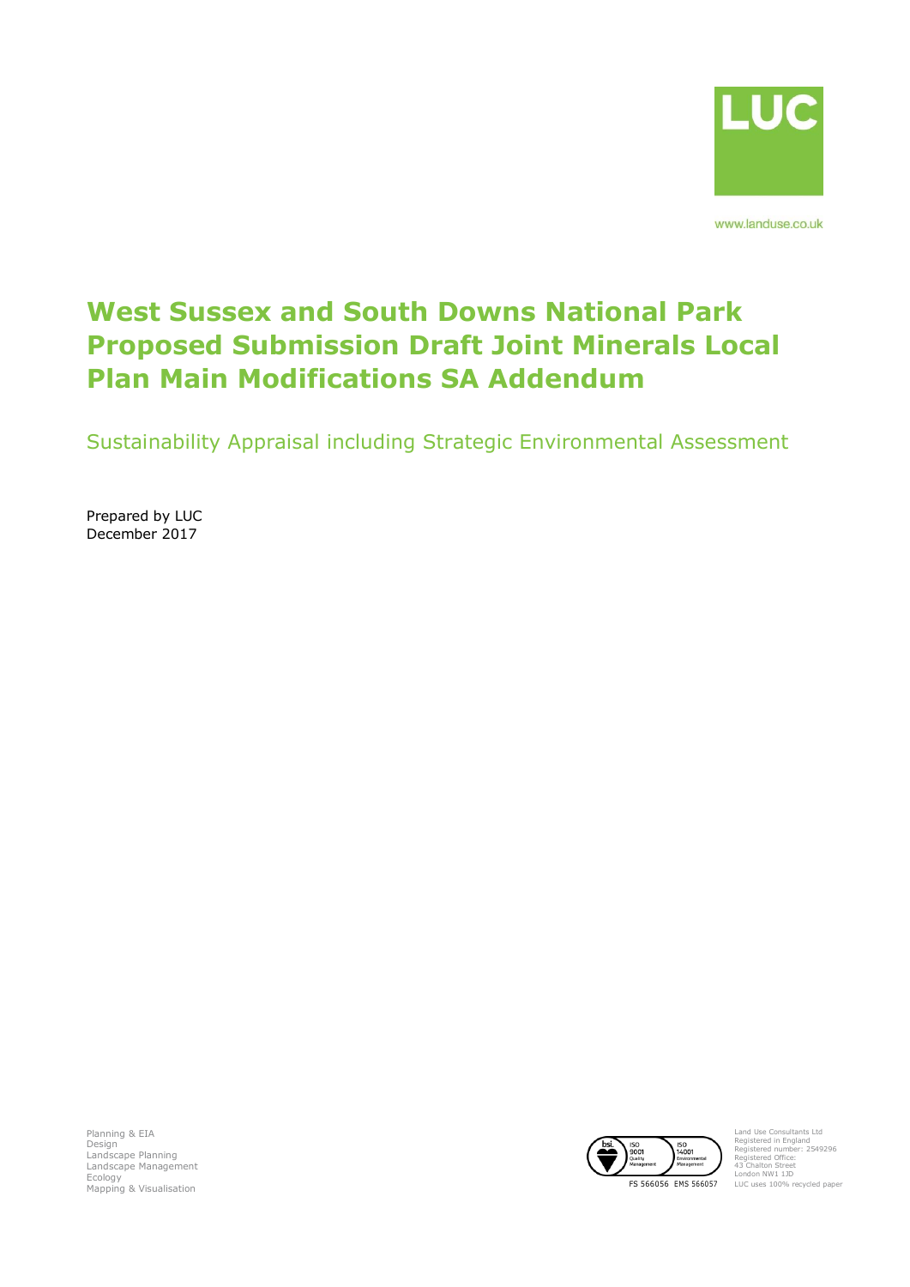

www.landuse.co.uk

# **West Sussex and South Downs National Park Proposed Submission Draft Joint Minerals Local Plan Main Modifications SA Addendum**

Sustainability Appraisal including Strategic Environmental Assessment

Prepared by LUC December 2017

Planning & EIA Design Landscape Planning Landscape Management Ecology



Land Use Consultants Ltd Registered in England Registered number: 2549296 Registered Office: 43 Chalton Street London NW1 1JD LUC uses 100% recycled paper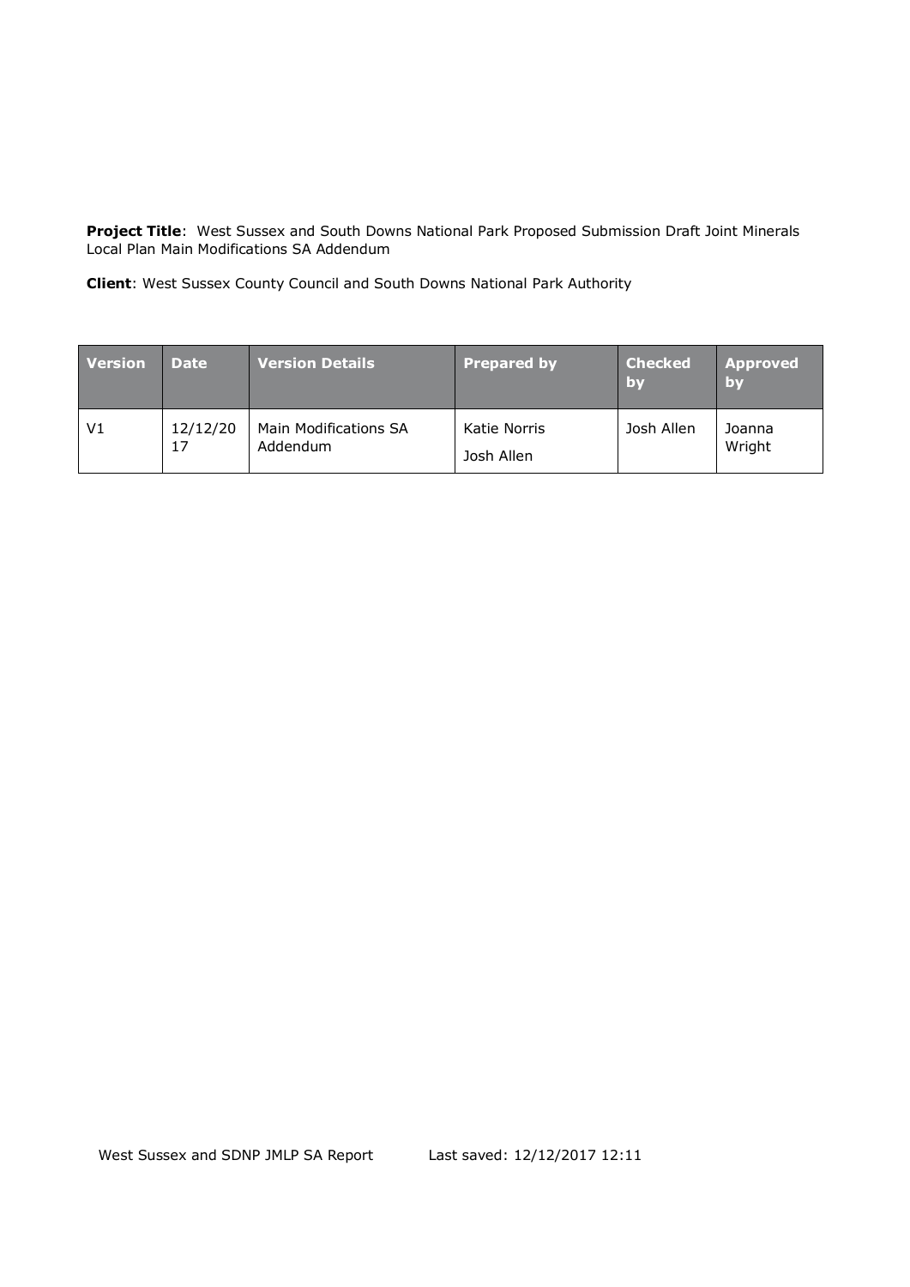**Project Title**: West Sussex and South Downs National Park Proposed Submission Draft Joint Minerals Local Plan Main Modifications SA Addendum

**Client**: West Sussex County Council and South Downs National Park Authority

| <b>Version</b> | <b>Date</b>    | <b>Version Details</b>            | <b>Prepared by</b>         | <b>Checked</b><br>/by | <b>Approved</b><br>by |
|----------------|----------------|-----------------------------------|----------------------------|-----------------------|-----------------------|
| V <sub>1</sub> | 12/12/20<br>17 | Main Modifications SA<br>Addendum | Katie Norris<br>Josh Allen | Josh Allen            | Joanna<br>Wright      |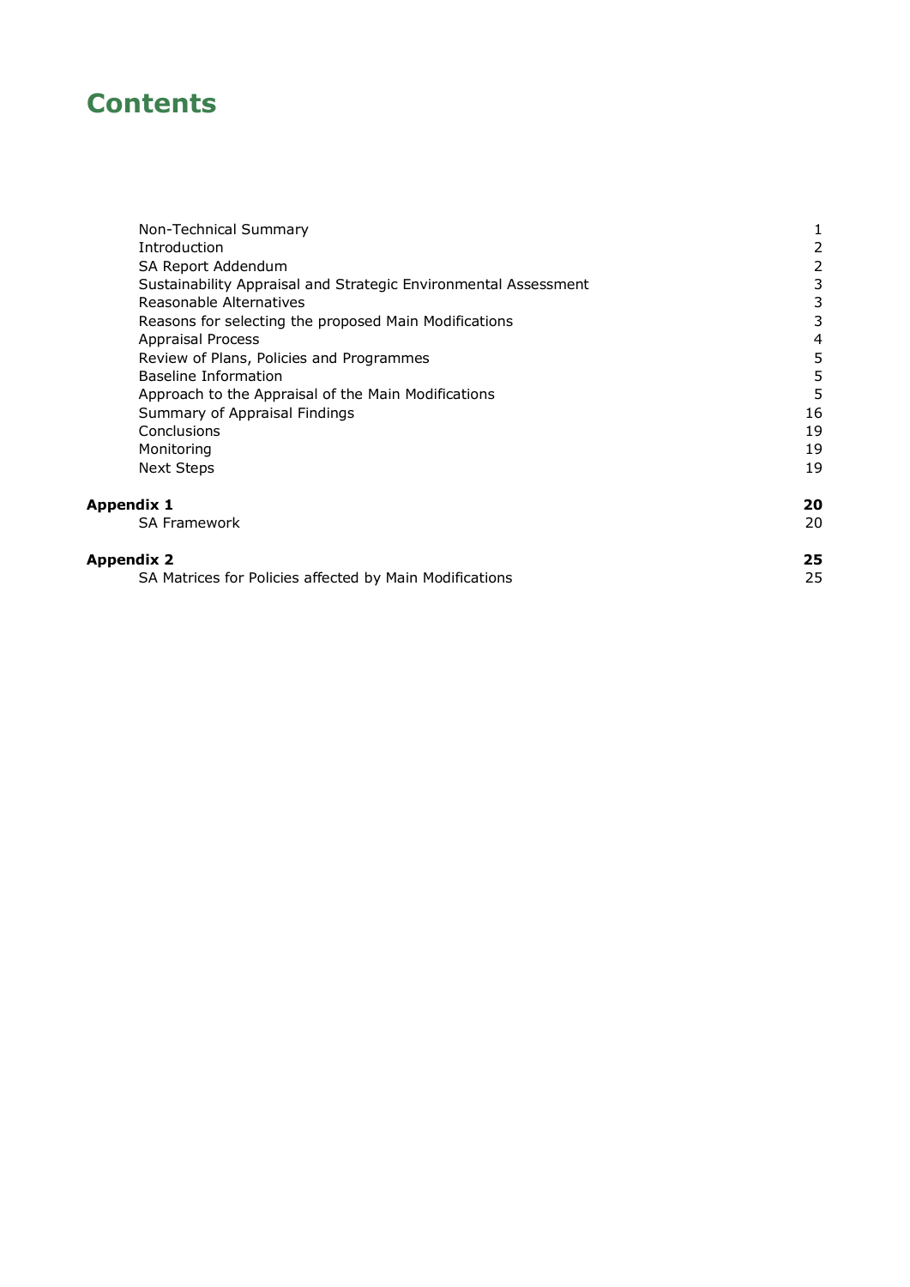# **Contents**

| Introduction                                                    | 2  |
|-----------------------------------------------------------------|----|
|                                                                 |    |
| SA Report Addendum                                              |    |
| Sustainability Appraisal and Strategic Environmental Assessment | 3  |
| Reasonable Alternatives                                         |    |
| Reasons for selecting the proposed Main Modifications           | 3  |
| <b>Appraisal Process</b>                                        | 4  |
| Review of Plans, Policies and Programmes                        | 5  |
| Baseline Information                                            | 5  |
| Approach to the Appraisal of the Main Modifications             | 5  |
| Summary of Appraisal Findings                                   | 16 |
| Conclusions                                                     | 19 |
| Monitoring                                                      | 19 |
| <b>Next Steps</b>                                               | 19 |
| Appendix 1                                                      | 20 |
| <b>SA Framework</b>                                             | 20 |
| Appendix 2                                                      | 25 |
| SA Matrices for Policies affected by Main Modifications         | 25 |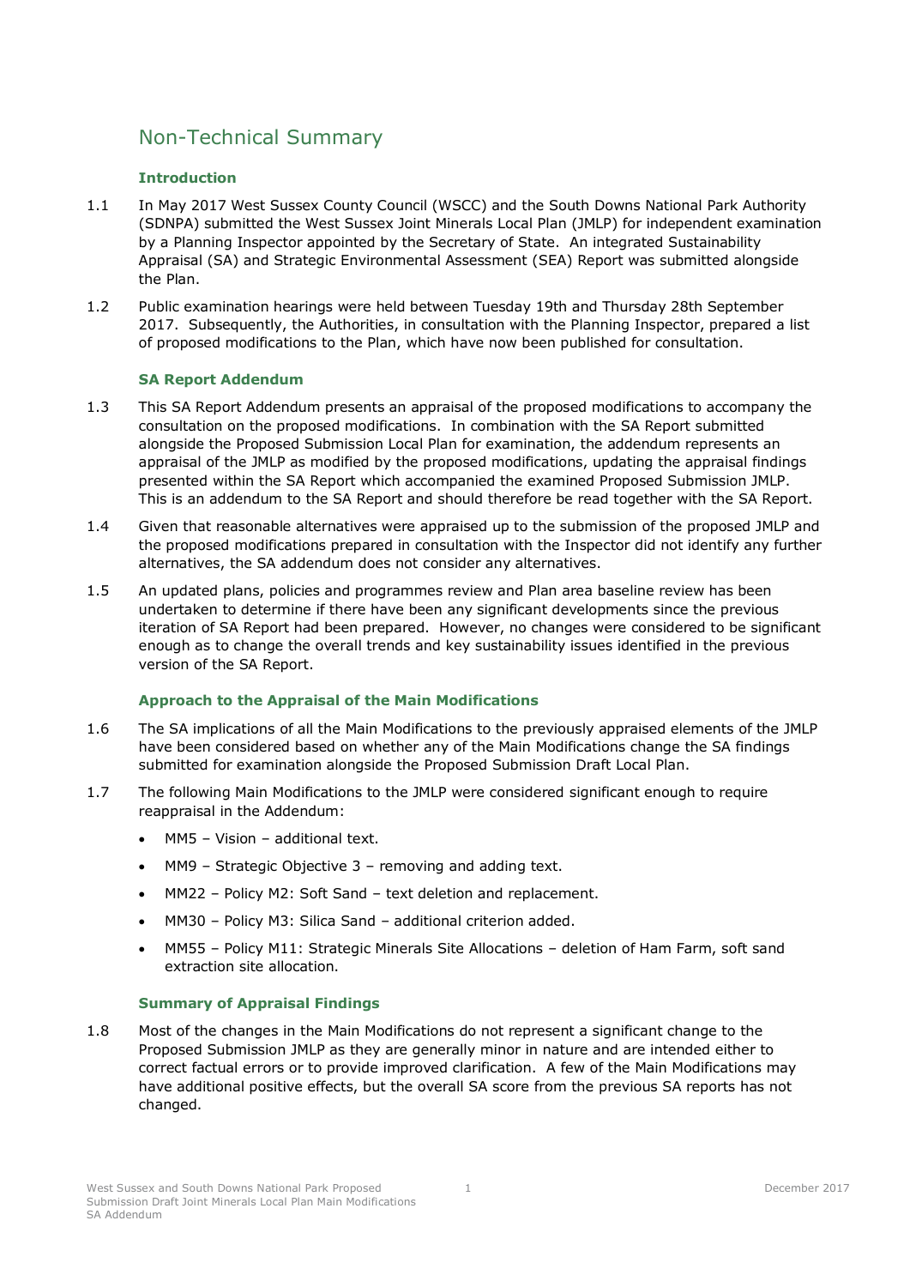# <span id="page-3-0"></span>Non-Technical Summary

## **Introduction**

- 1.1 In May 2017 West Sussex County Council (WSCC) and the South Downs National Park Authority (SDNPA) submitted the West Sussex Joint Minerals Local Plan (JMLP) for independent examination by a Planning Inspector appointed by the Secretary of State. An integrated Sustainability Appraisal (SA) and Strategic Environmental Assessment (SEA) Report was submitted alongside the Plan.
- 1.2 Public examination hearings were held between Tuesday 19th and Thursday 28th September 2017. Subsequently, the Authorities, in consultation with the Planning Inspector, prepared a list of proposed modifications to the Plan, which have now been published for consultation.

### **SA Report Addendum**

- 1.3 This SA Report Addendum presents an appraisal of the proposed modifications to accompany the consultation on the proposed modifications. In combination with the SA Report submitted alongside the Proposed Submission Local Plan for examination, the addendum represents an appraisal of the JMLP as modified by the proposed modifications, updating the appraisal findings presented within the SA Report which accompanied the examined Proposed Submission JMLP. This is an addendum to the SA Report and should therefore be read together with the SA Report.
- 1.4 Given that reasonable alternatives were appraised up to the submission of the proposed JMLP and the proposed modifications prepared in consultation with the Inspector did not identify any further alternatives, the SA addendum does not consider any alternatives.
- 1.5 An updated plans, policies and programmes review and Plan area baseline review has been undertaken to determine if there have been any significant developments since the previous iteration of SA Report had been prepared. However, no changes were considered to be significant enough as to change the overall trends and key sustainability issues identified in the previous version of the SA Report.

### **Approach to the Appraisal of the Main Modifications**

- 1.6 The SA implications of all the Main Modifications to the previously appraised elements of the JMLP have been considered based on whether any of the Main Modifications change the SA findings submitted for examination alongside the Proposed Submission Draft Local Plan.
- 1.7 The following Main Modifications to the JMLP were considered significant enough to require reappraisal in the Addendum:
	- MM5 Vision additional text.
	- MM9 Strategic Objective 3 removing and adding text.
	- MM22 Policy M2: Soft Sand text deletion and replacement.
	- MM30 Policy M3: Silica Sand additional criterion added.
	- MM55 Policy M11: Strategic Minerals Site Allocations deletion of Ham Farm, soft sand extraction site allocation.

### **Summary of Appraisal Findings**

1.8 Most of the changes in the Main Modifications do not represent a significant change to the Proposed Submission JMLP as they are generally minor in nature and are intended either to correct factual errors or to provide improved clarification. A few of the Main Modifications may have additional positive effects, but the overall SA score from the previous SA reports has not changed.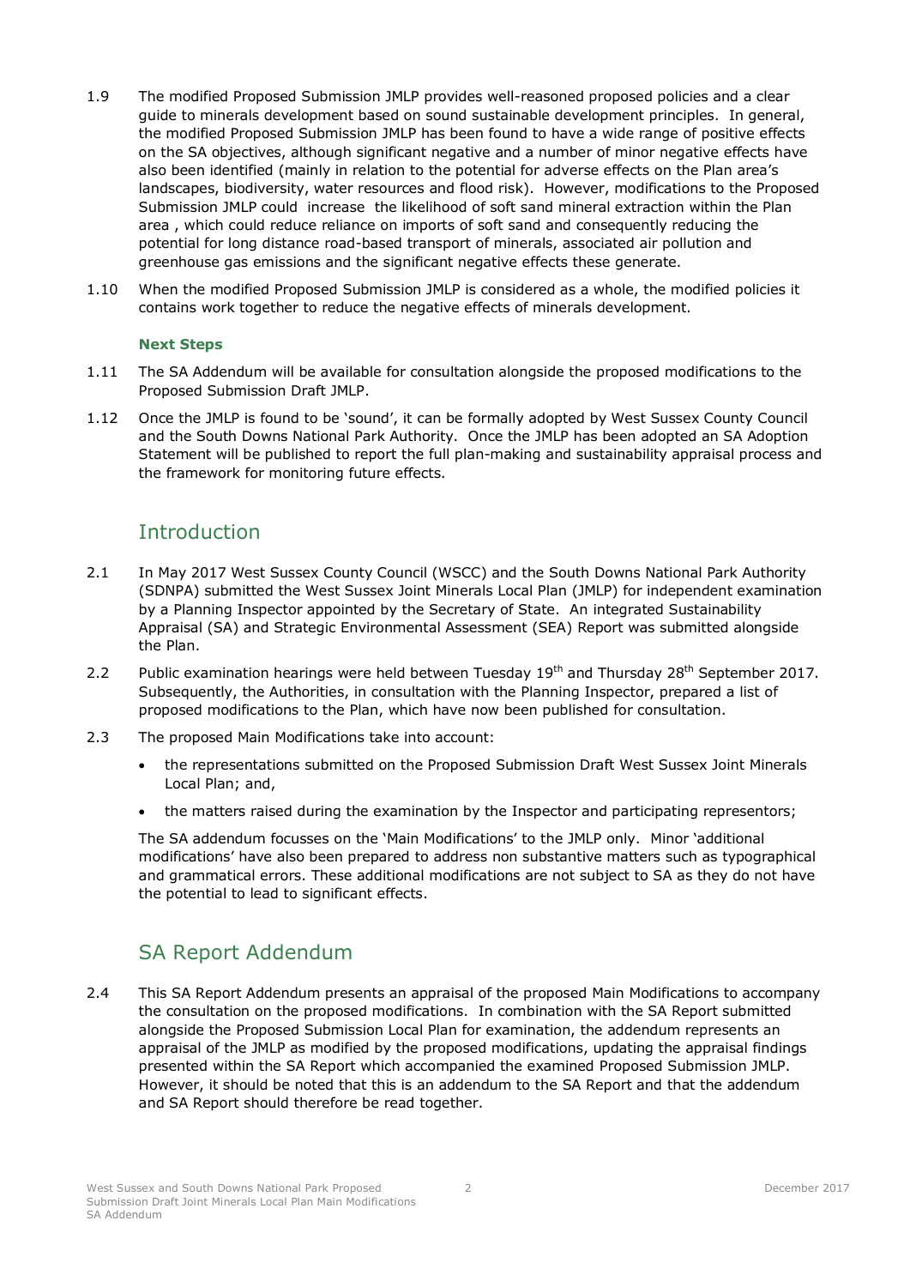- 1.9 The modified Proposed Submission JMLP provides well-reasoned proposed policies and a clear guide to minerals development based on sound sustainable development principles. In general, the modified Proposed Submission JMLP has been found to have a wide range of positive effects on the SA objectives, although significant negative and a number of minor negative effects have also been identified (mainly in relation to the potential for adverse effects on the Plan area's landscapes, biodiversity, water resources and flood risk). However, modifications to the Proposed Submission JMLP could increase the likelihood of soft sand mineral extraction within the Plan area , which could reduce reliance on imports of soft sand and consequently reducing the potential for long distance road-based transport of minerals, associated air pollution and greenhouse gas emissions and the significant negative effects these generate.
- 1.10 When the modified Proposed Submission JMLP is considered as a whole, the modified policies it contains work together to reduce the negative effects of minerals development.

### **Next Steps**

- 1.11 The SA Addendum will be available for consultation alongside the proposed modifications to the Proposed Submission Draft JMLP.
- 1.12 Once the JMLP is found to be 'sound', it can be formally adopted by West Sussex County Council and the South Downs National Park Authority. Once the JMLP has been adopted an SA Adoption Statement will be published to report the full plan-making and sustainability appraisal process and the framework for monitoring future effects.

# <span id="page-4-0"></span>Introduction

- 2.1 In May 2017 West Sussex County Council (WSCC) and the South Downs National Park Authority (SDNPA) submitted the West Sussex Joint Minerals Local Plan (JMLP) for independent examination by a Planning Inspector appointed by the Secretary of State. An integrated Sustainability Appraisal (SA) and Strategic Environmental Assessment (SEA) Report was submitted alongside the Plan.
- 2.2 Public examination hearings were held between Tuesday 19<sup>th</sup> and Thursday 28<sup>th</sup> September 2017. Subsequently, the Authorities, in consultation with the Planning Inspector, prepared a list of proposed modifications to the Plan, which have now been published for consultation.
- 2.3 The proposed Main Modifications take into account:
	- the representations submitted on the Proposed Submission Draft West Sussex Joint Minerals Local Plan; and,
	- the matters raised during the examination by the Inspector and participating representors;

The SA addendum focusses on the 'Main Modifications' to the JMLP only. Minor 'additional modifications' have also been prepared to address non substantive matters such as typographical and grammatical errors. These additional modifications are not subject to SA as they do not have the potential to lead to significant effects.

# <span id="page-4-1"></span>SA Report Addendum

2.4 This SA Report Addendum presents an appraisal of the proposed Main Modifications to accompany the consultation on the proposed modifications. In combination with the SA Report submitted alongside the Proposed Submission Local Plan for examination, the addendum represents an appraisal of the JMLP as modified by the proposed modifications, updating the appraisal findings presented within the SA Report which accompanied the examined Proposed Submission JMLP. However, it should be noted that this is an addendum to the SA Report and that the addendum and SA Report should therefore be read together.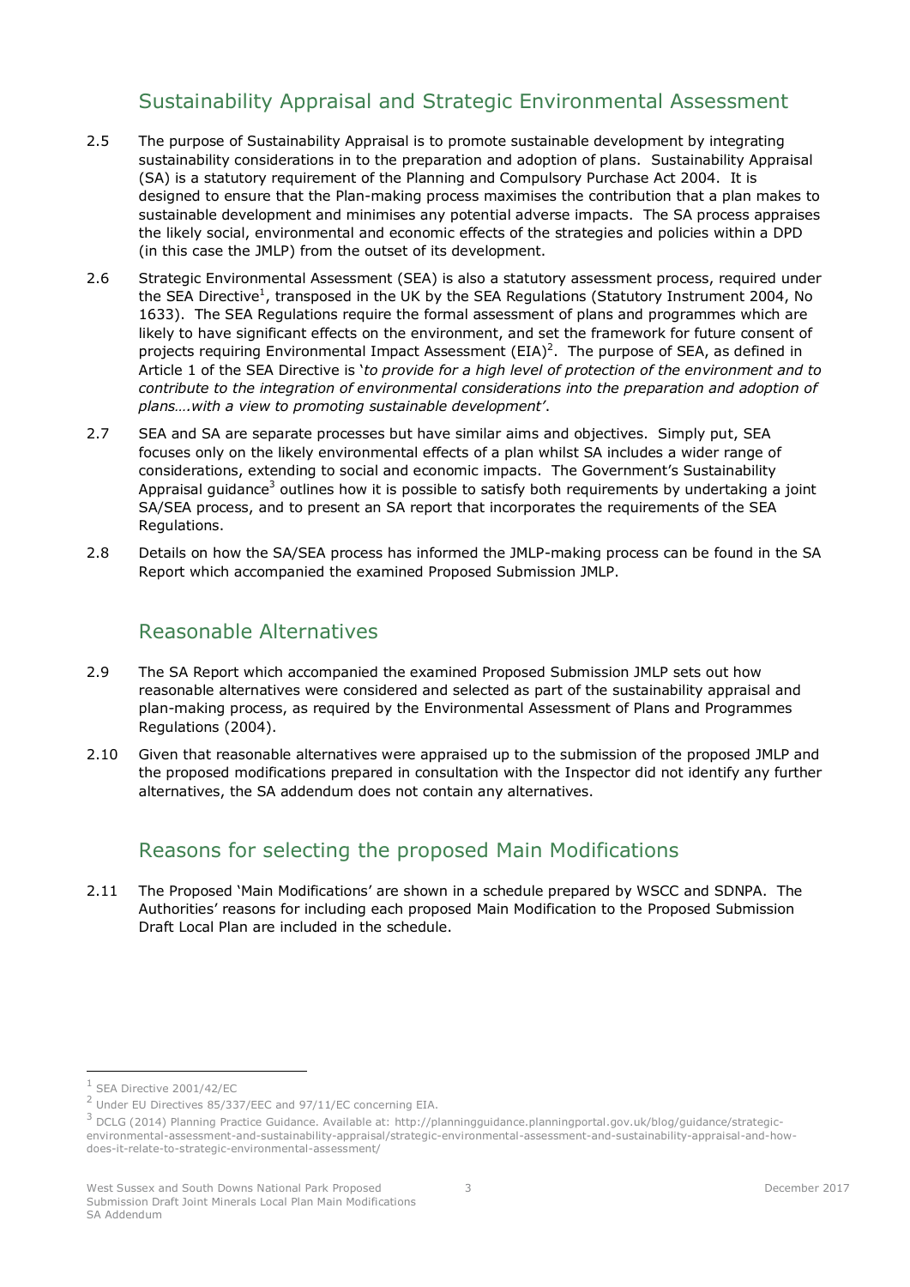# Sustainability Appraisal and Strategic Environmental Assessment

- <span id="page-5-0"></span>2.5 The purpose of Sustainability Appraisal is to promote sustainable development by integrating sustainability considerations in to the preparation and adoption of plans. Sustainability Appraisal (SA) is a statutory requirement of the Planning and Compulsory Purchase Act 2004. It is designed to ensure that the Plan-making process maximises the contribution that a plan makes to sustainable development and minimises any potential adverse impacts. The SA process appraises the likely social, environmental and economic effects of the strategies and policies within a DPD (in this case the JMLP) from the outset of its development.
- 2.6 Strategic Environmental Assessment (SEA) is also a statutory assessment process, required under the SEA Directive<sup>1</sup>, transposed in the UK by the SEA Regulations (Statutory Instrument 2004, No 1633). The SEA Regulations require the formal assessment of plans and programmes which are likely to have significant effects on the environment, and set the framework for future consent of projects requiring Environmental Impact Assessment  $(EIA)^2$ . The purpose of SEA, as defined in Article 1 of the SEA Directive is '*to provide for a high level of protection of the environment and to contribute to the integration of environmental considerations into the preparation and adoption of plans….with a view to promoting sustainable development'*.
- 2.7 SEA and SA are separate processes but have similar aims and objectives. Simply put, SEA focuses only on the likely environmental effects of a plan whilst SA includes a wider range of considerations, extending to social and economic impacts. The Government's Sustainability Appraisal guidance<sup>3</sup> outlines how it is possible to satisfy both requirements by undertaking a joint SA/SEA process, and to present an SA report that incorporates the requirements of the SEA Regulations.
- <span id="page-5-1"></span>2.8 Details on how the SA/SEA process has informed the JMLP-making process can be found in the SA Report which accompanied the examined Proposed Submission JMLP.

# Reasonable Alternatives

- 2.9 The SA Report which accompanied the examined Proposed Submission JMLP sets out how reasonable alternatives were considered and selected as part of the sustainability appraisal and plan-making process, as required by the Environmental Assessment of Plans and Programmes Regulations (2004).
- <span id="page-5-2"></span>2.10 Given that reasonable alternatives were appraised up to the submission of the proposed JMLP and the proposed modifications prepared in consultation with the Inspector did not identify any further alternatives, the SA addendum does not contain any alternatives.

# Reasons for selecting the proposed Main Modifications

2.11 The Proposed 'Main Modifications' are shown in a schedule prepared by WSCC and SDNPA. The Authorities' reasons for including each proposed Main Modification to the Proposed Submission Draft Local Plan are included in the schedule.

-

<sup>1</sup> SEA Directive 2001/42/EC

<sup>&</sup>lt;sup>2</sup> Under EU Directives 85/337/EEC and 97/11/EC concerning EIA.

<sup>&</sup>lt;sup>3</sup> DCLG (2014) Planning Practice Guidance. Available at: http://planningguidance.planningportal.gov.uk/blog/guidance/strategicenvironmental-assessment-and-sustainability-appraisal/strategic-environmental-assessment-and-sustainability-appraisal-and-howdoes-it-relate-to-strategic-environmental-assessment/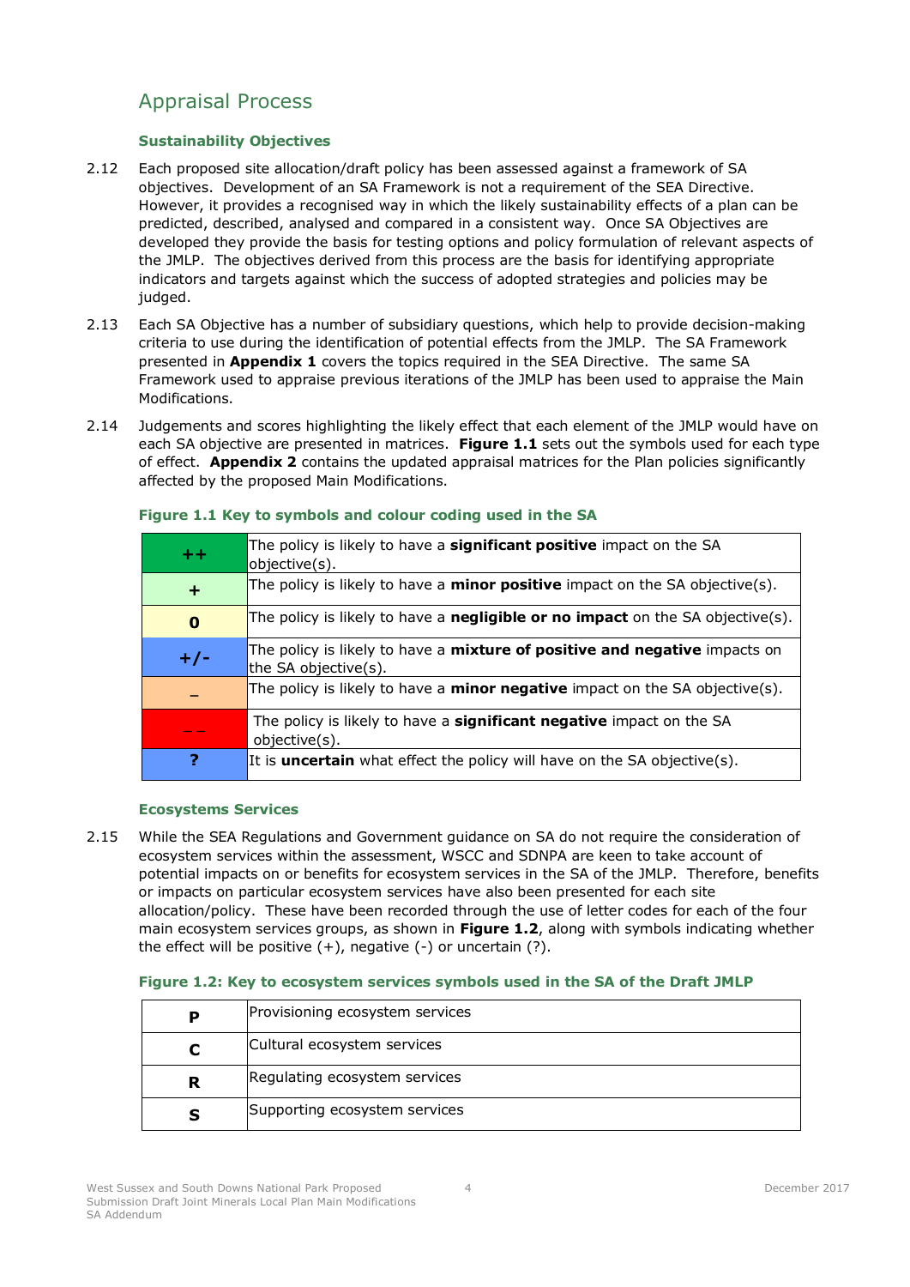# <span id="page-6-0"></span>Appraisal Process

# **Sustainability Objectives**

- 2.12 Each proposed site allocation/draft policy has been assessed against a framework of SA objectives. Development of an SA Framework is not a requirement of the SEA Directive. However, it provides a recognised way in which the likely sustainability effects of a plan can be predicted, described, analysed and compared in a consistent way. Once SA Objectives are developed they provide the basis for testing options and policy formulation of relevant aspects of the JMLP. The objectives derived from this process are the basis for identifying appropriate indicators and targets against which the success of adopted strategies and policies may be judged.
- 2.13 Each SA Objective has a number of subsidiary questions, which help to provide decision-making criteria to use during the identification of potential effects from the JMLP. The SA Framework presented in **[Appendix 1](#page-22-2)** covers the topics required in the SEA Directive. The same SA Framework used to appraise previous iterations of the JMLP has been used to appraise the Main Modifications.
- 2.14 Judgements and scores highlighting the likely effect that each element of the JMLP would have on each SA objective are presented in matrices. **Figure 1.1** sets out the symbols used for each type of effect. **[Appendix 2](#page-27-2)** contains the updated appraisal matrices for the Plan policies significantly affected by the proposed Main Modifications.

| $+ +$    | The policy is likely to have a <b>significant positive</b> impact on the SA<br>objective(s).              |
|----------|-----------------------------------------------------------------------------------------------------------|
| ÷        | The policy is likely to have a minor positive impact on the SA objective(s).                              |
| $\bf{0}$ | The policy is likely to have a <b>negligible or no impact</b> on the SA objective(s).                     |
| $+/-$    | The policy is likely to have a <b>mixture of positive and negative</b> impacts on<br>the SA objective(s). |
|          | The policy is likely to have a <b>minor negative</b> impact on the SA objective(s).                       |
|          | The policy is likely to have a significant negative impact on the SA<br>objective(s).                     |
| 7        | It is <b>uncertain</b> what effect the policy will have on the SA objective(s).                           |

### **Figure 1.1 Key to symbols and colour coding used in the SA**

### **Ecosystems Services**

2.15 While the SEA Regulations and Government guidance on SA do not require the consideration of ecosystem services within the assessment, WSCC and SDNPA are keen to take account of potential impacts on or benefits for ecosystem services in the SA of the JMLP. Therefore, benefits or impacts on particular ecosystem services have also been presented for each site allocation/policy. These have been recorded through the use of letter codes for each of the four main ecosystem services groups, as shown in **Figure 1.2**, along with symbols indicating whether the effect will be positive  $(+)$ , negative  $(-)$  or uncertain  $(?)$ .

## **Figure 1.2: Key to ecosystem services symbols used in the SA of the Draft JMLP**

| P | Provisioning ecosystem services |
|---|---------------------------------|
|   | Cultural ecosystem services     |
| R | Regulating ecosystem services   |
| s | Supporting ecosystem services   |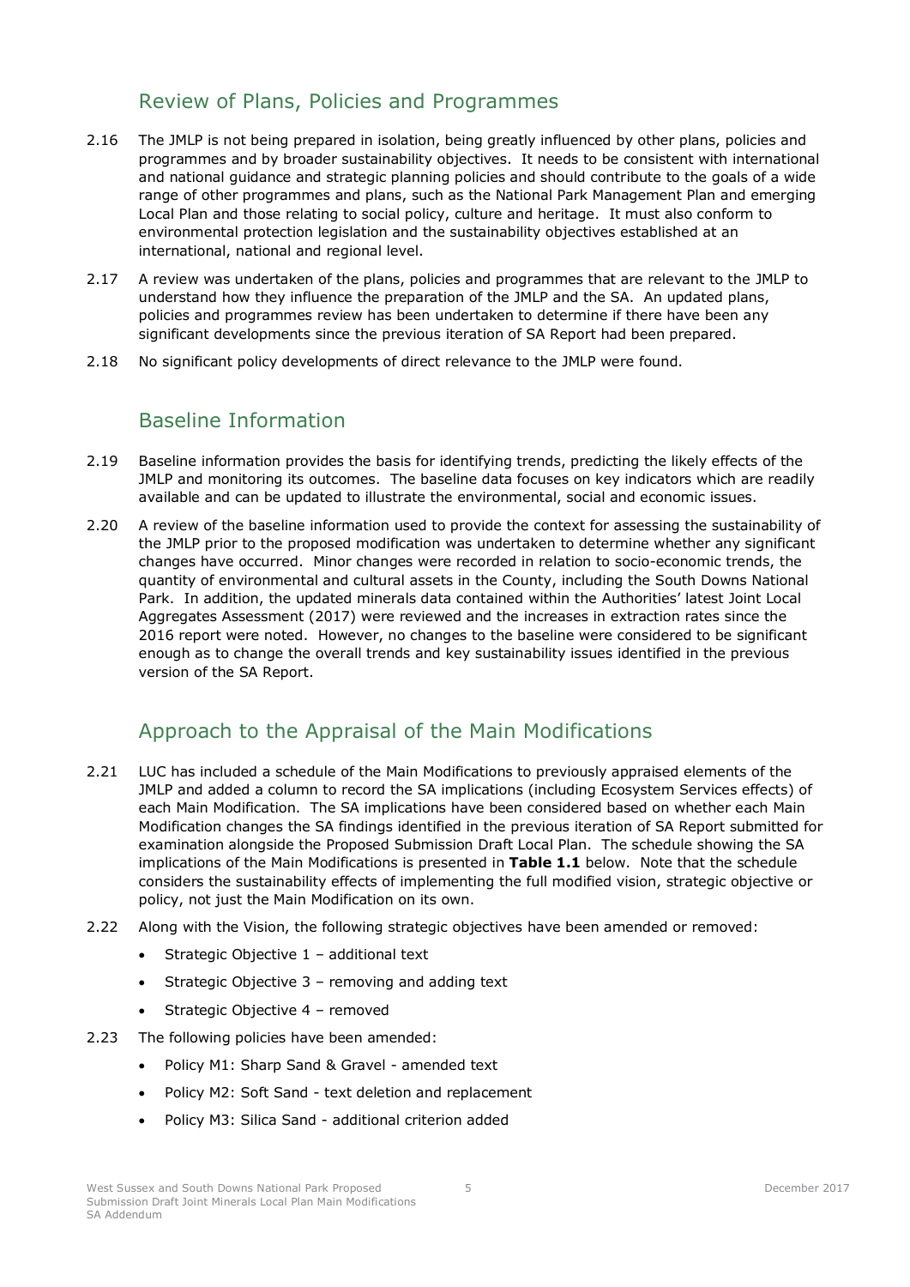# Review of Plans, Policies and Programmes

- <span id="page-7-0"></span>2.16 The JMLP is not being prepared in isolation, being greatly influenced by other plans, policies and programmes and by broader sustainability objectives. It needs to be consistent with international and national guidance and strategic planning policies and should contribute to the goals of a wide range of other programmes and plans, such as the National Park Management Plan and emerging Local Plan and those relating to social policy, culture and heritage. It must also conform to environmental protection legislation and the sustainability objectives established at an international, national and regional level.
- 2.17 A review was undertaken of the plans, policies and programmes that are relevant to the JMLP to understand how they influence the preparation of the JMLP and the SA. An updated plans, policies and programmes review has been undertaken to determine if there have been any significant developments since the previous iteration of SA Report had been prepared.
- <span id="page-7-1"></span>2.18 No significant policy developments of direct relevance to the JMLP were found.

# Baseline Information

- 2.19 Baseline information provides the basis for identifying trends, predicting the likely effects of the JMLP and monitoring its outcomes. The baseline data focuses on key indicators which are readily available and can be updated to illustrate the environmental, social and economic issues.
- 2.20 A review of the baseline information used to provide the context for assessing the sustainability of the JMLP prior to the proposed modification was undertaken to determine whether any significant changes have occurred. Minor changes were recorded in relation to socio-economic trends, the quantity of environmental and cultural assets in the County, including the South Downs National Park. In addition, the updated minerals data contained within the Authorities' latest Joint Local Aggregates Assessment (2017) were reviewed and the increases in extraction rates since the 2016 report were noted. However, no changes to the baseline were considered to be significant enough as to change the overall trends and key sustainability issues identified in the previous version of the SA Report.

# <span id="page-7-2"></span>Approach to the Appraisal of the Main Modifications

- 2.21 LUC has included a schedule of the Main Modifications to previously appraised elements of the JMLP and added a column to record the SA implications (including Ecosystem Services effects) of each Main Modification. The SA implications have been considered based on whether each Main Modification changes the SA findings identified in the previous iteration of SA Report submitted for examination alongside the Proposed Submission Draft Local Plan. The schedule showing the SA implications of the Main Modifications is presented in **[Table 1.1](#page-9-0)** below.Note that the schedule considers the sustainability effects of implementing the full modified vision, strategic objective or policy, not just the Main Modification on its own.
- 2.22 Along with the Vision, the following strategic objectives have been amended or removed:
	- Strategic Objective 1 additional text
	- $\bullet$  Strategic Objective 3 removing and adding text
	- Strategic Objective 4 removed
- 2.23 The following policies have been amended:
	- Policy M1: Sharp Sand & Gravel amended text
	- Policy M2: Soft Sand text deletion and replacement
	- Policy M3: Silica Sand additional criterion added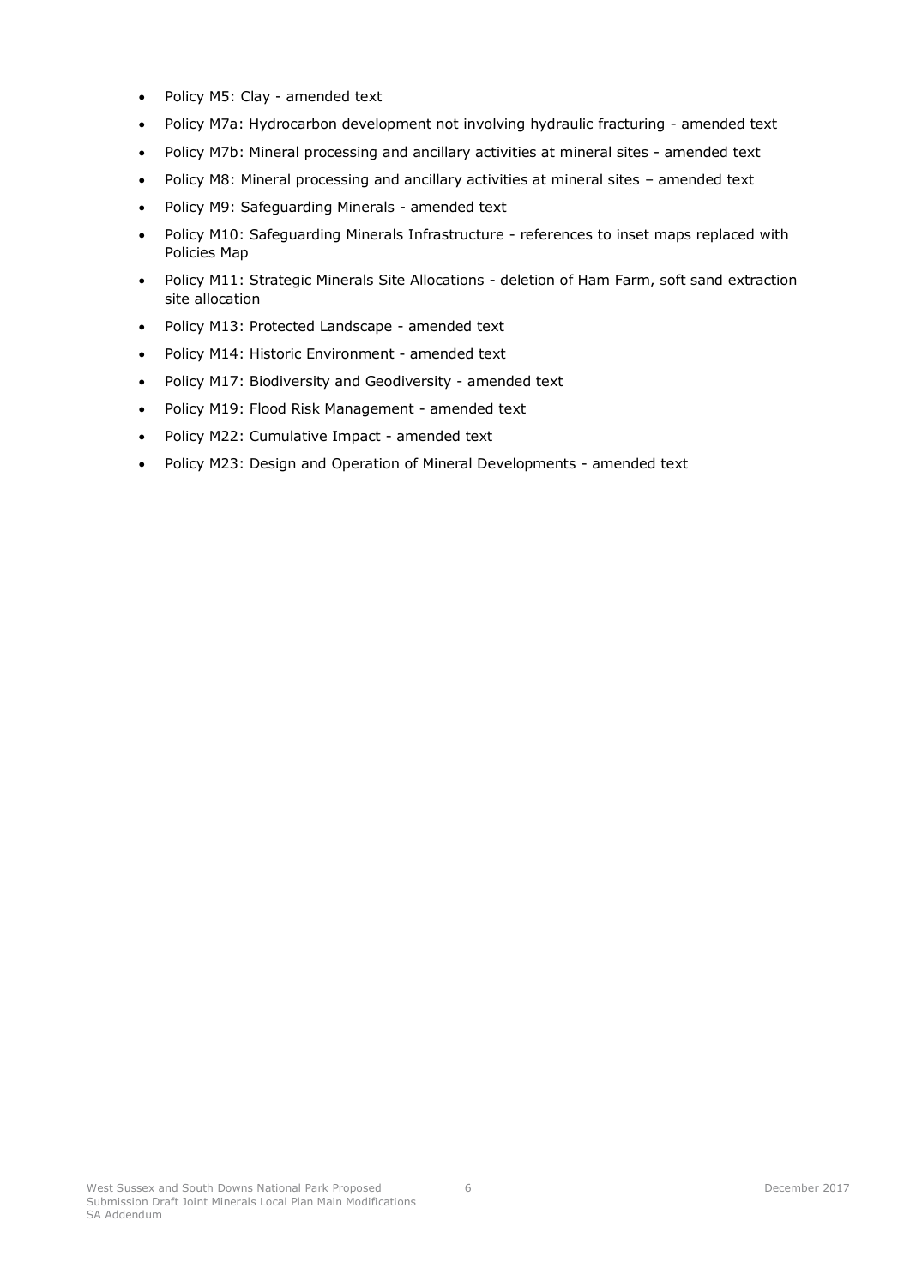- Policy M5: Clay amended text
- Policy M7a: Hydrocarbon development not involving hydraulic fracturing amended text
- Policy M7b: Mineral processing and ancillary activities at mineral sites amended text
- Policy M8: Mineral processing and ancillary activities at mineral sites amended text
- Policy M9: Safeguarding Minerals amended text
- Policy M10: Safeguarding Minerals Infrastructure references to inset maps replaced with Policies Map
- Policy M11: Strategic Minerals Site Allocations deletion of Ham Farm, soft sand extraction site allocation
- Policy M13: Protected Landscape amended text
- Policy M14: Historic Environment amended text
- Policy M17: Biodiversity and Geodiversity amended text
- Policy M19: Flood Risk Management amended text
- Policy M22: Cumulative Impact amended text
- Policy M23: Design and Operation of Mineral Developments amended text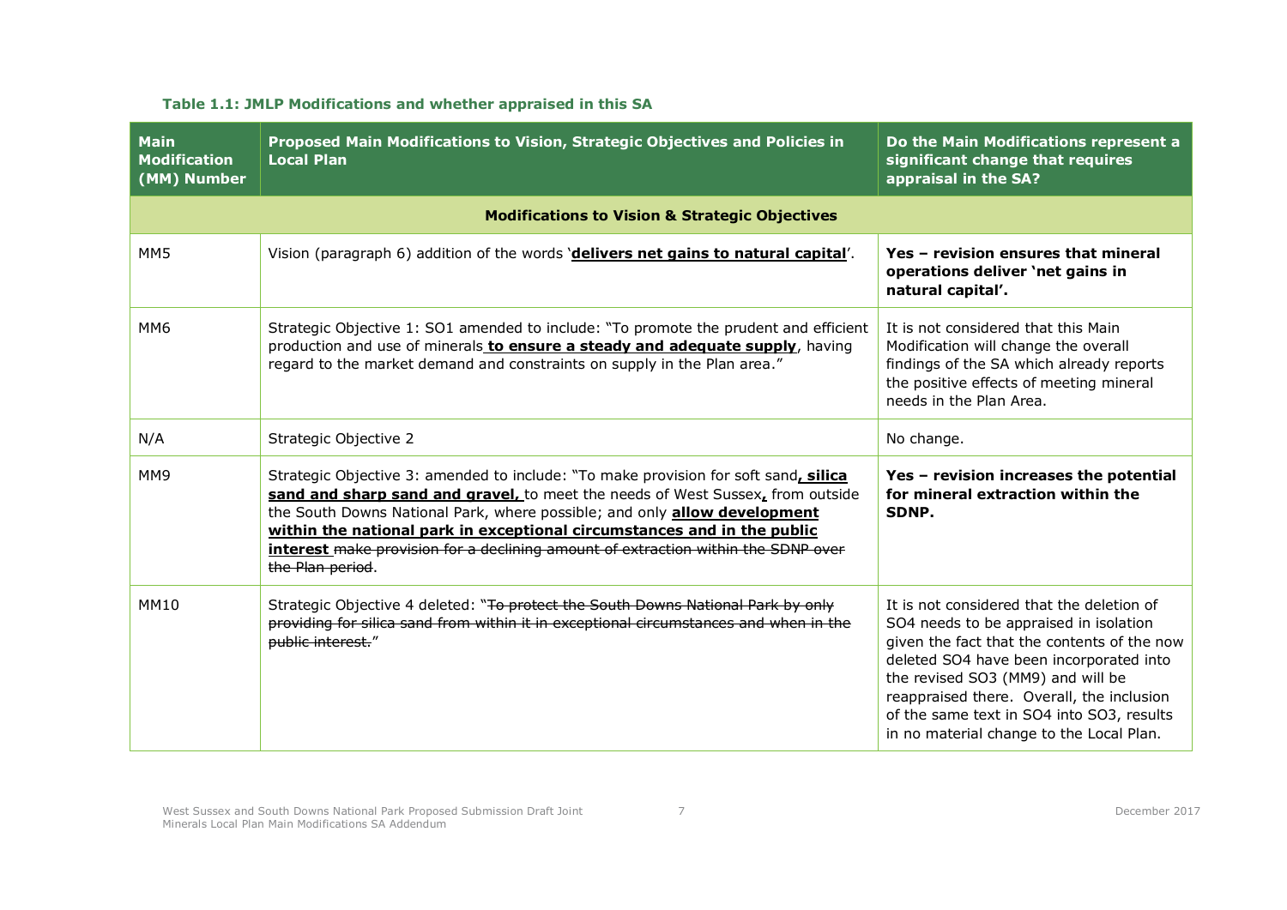<span id="page-9-0"></span>

| <b>Main</b><br><b>Modification</b><br>(MM) Number | Proposed Main Modifications to Vision, Strategic Objectives and Policies in<br><b>Local Plan</b>                                                                                                                                                                                                                                                                                                                                              | Do the Main Modifications represent a<br>significant change that requires<br>appraisal in the SA?                                                                                                                                                                                                                                                        |
|---------------------------------------------------|-----------------------------------------------------------------------------------------------------------------------------------------------------------------------------------------------------------------------------------------------------------------------------------------------------------------------------------------------------------------------------------------------------------------------------------------------|----------------------------------------------------------------------------------------------------------------------------------------------------------------------------------------------------------------------------------------------------------------------------------------------------------------------------------------------------------|
|                                                   | <b>Modifications to Vision &amp; Strategic Objectives</b>                                                                                                                                                                                                                                                                                                                                                                                     |                                                                                                                                                                                                                                                                                                                                                          |
| MM <sub>5</sub>                                   | Vision (paragraph 6) addition of the words 'delivers net gains to natural capital'.                                                                                                                                                                                                                                                                                                                                                           | Yes - revision ensures that mineral<br>operations deliver 'net gains in<br>natural capital'.                                                                                                                                                                                                                                                             |
| MM <sub>6</sub>                                   | Strategic Objective 1: SO1 amended to include: "To promote the prudent and efficient<br>production and use of minerals to ensure a steady and adequate supply, having<br>regard to the market demand and constraints on supply in the Plan area."                                                                                                                                                                                             | It is not considered that this Main<br>Modification will change the overall<br>findings of the SA which already reports<br>the positive effects of meeting mineral<br>needs in the Plan Area.                                                                                                                                                            |
| N/A                                               | Strategic Objective 2                                                                                                                                                                                                                                                                                                                                                                                                                         | No change.                                                                                                                                                                                                                                                                                                                                               |
| MM <sub>9</sub>                                   | Strategic Objective 3: amended to include: "To make provision for soft sand, silica<br>sand and sharp sand and gravel, to meet the needs of West Sussex, from outside<br>the South Downs National Park, where possible; and only <b>allow development</b><br>within the national park in exceptional circumstances and in the public<br>interest make provision for a declining amount of extraction within the SDNP over<br>the Plan period. | Yes - revision increases the potential<br>for mineral extraction within the<br>SDNP.                                                                                                                                                                                                                                                                     |
| <b>MM10</b>                                       | Strategic Objective 4 deleted: "To protect the South Downs National Park by only<br>providing for silica sand from within it in exceptional circumstances and when in the<br>public interest."                                                                                                                                                                                                                                                | It is not considered that the deletion of<br>SO4 needs to be appraised in isolation<br>given the fact that the contents of the now<br>deleted SO4 have been incorporated into<br>the revised SO3 (MM9) and will be<br>reappraised there. Overall, the inclusion<br>of the same text in SO4 into SO3, results<br>in no material change to the Local Plan. |

# **Table 1.1: JMLP Modifications and whether appraised in this SA**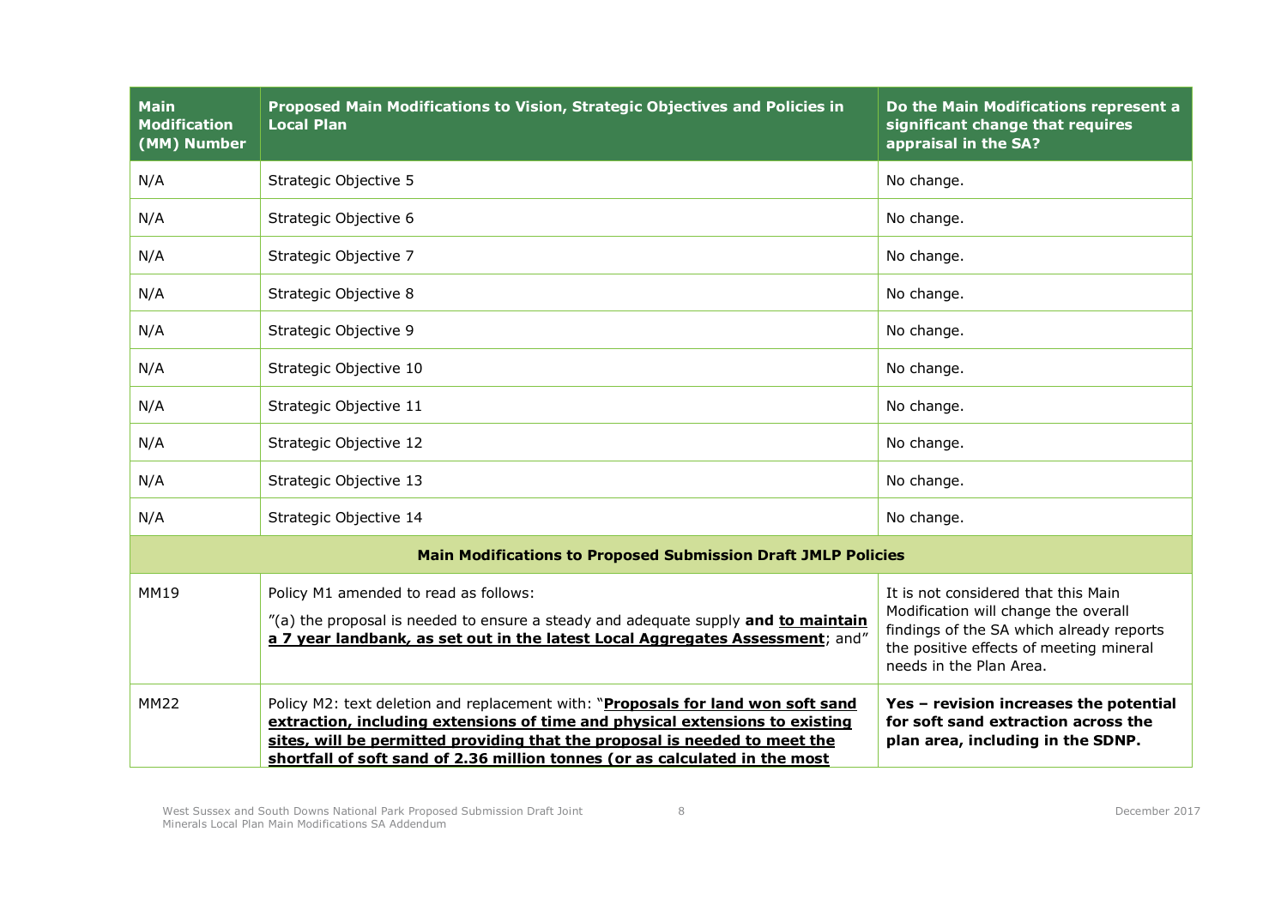| <b>Main</b><br><b>Modification</b><br>(MM) Number                    | Proposed Main Modifications to Vision, Strategic Objectives and Policies in<br><b>Local Plan</b>                                                                                                                                                                                                                              | Do the Main Modifications represent a<br>significant change that requires<br>appraisal in the SA?                                                                                             |
|----------------------------------------------------------------------|-------------------------------------------------------------------------------------------------------------------------------------------------------------------------------------------------------------------------------------------------------------------------------------------------------------------------------|-----------------------------------------------------------------------------------------------------------------------------------------------------------------------------------------------|
| N/A                                                                  | Strategic Objective 5                                                                                                                                                                                                                                                                                                         | No change.                                                                                                                                                                                    |
| N/A                                                                  | Strategic Objective 6                                                                                                                                                                                                                                                                                                         | No change.                                                                                                                                                                                    |
| N/A                                                                  | Strategic Objective 7                                                                                                                                                                                                                                                                                                         | No change.                                                                                                                                                                                    |
| N/A                                                                  | Strategic Objective 8                                                                                                                                                                                                                                                                                                         | No change.                                                                                                                                                                                    |
| N/A                                                                  | Strategic Objective 9                                                                                                                                                                                                                                                                                                         | No change.                                                                                                                                                                                    |
| N/A                                                                  | Strategic Objective 10                                                                                                                                                                                                                                                                                                        | No change.                                                                                                                                                                                    |
| N/A                                                                  | Strategic Objective 11                                                                                                                                                                                                                                                                                                        | No change.                                                                                                                                                                                    |
| N/A                                                                  | Strategic Objective 12                                                                                                                                                                                                                                                                                                        | No change.                                                                                                                                                                                    |
| N/A                                                                  | Strategic Objective 13                                                                                                                                                                                                                                                                                                        | No change.                                                                                                                                                                                    |
| N/A                                                                  | Strategic Objective 14                                                                                                                                                                                                                                                                                                        | No change.                                                                                                                                                                                    |
| <b>Main Modifications to Proposed Submission Draft JMLP Policies</b> |                                                                                                                                                                                                                                                                                                                               |                                                                                                                                                                                               |
| <b>MM19</b>                                                          | Policy M1 amended to read as follows:<br>"(a) the proposal is needed to ensure a steady and adequate supply and to maintain<br>a 7 year landbank, as set out in the latest Local Aggregates Assessment; and"                                                                                                                  | It is not considered that this Main<br>Modification will change the overall<br>findings of the SA which already reports<br>the positive effects of meeting mineral<br>needs in the Plan Area. |
| <b>MM22</b>                                                          | Policy M2: text deletion and replacement with: "Proposals for land won soft sand<br>extraction, including extensions of time and physical extensions to existing<br>sites, will be permitted providing that the proposal is needed to meet the<br>shortfall of soft sand of 2.36 million tonnes (or as calculated in the most | Yes - revision increases the potential<br>for soft sand extraction across the<br>plan area, including in the SDNP.                                                                            |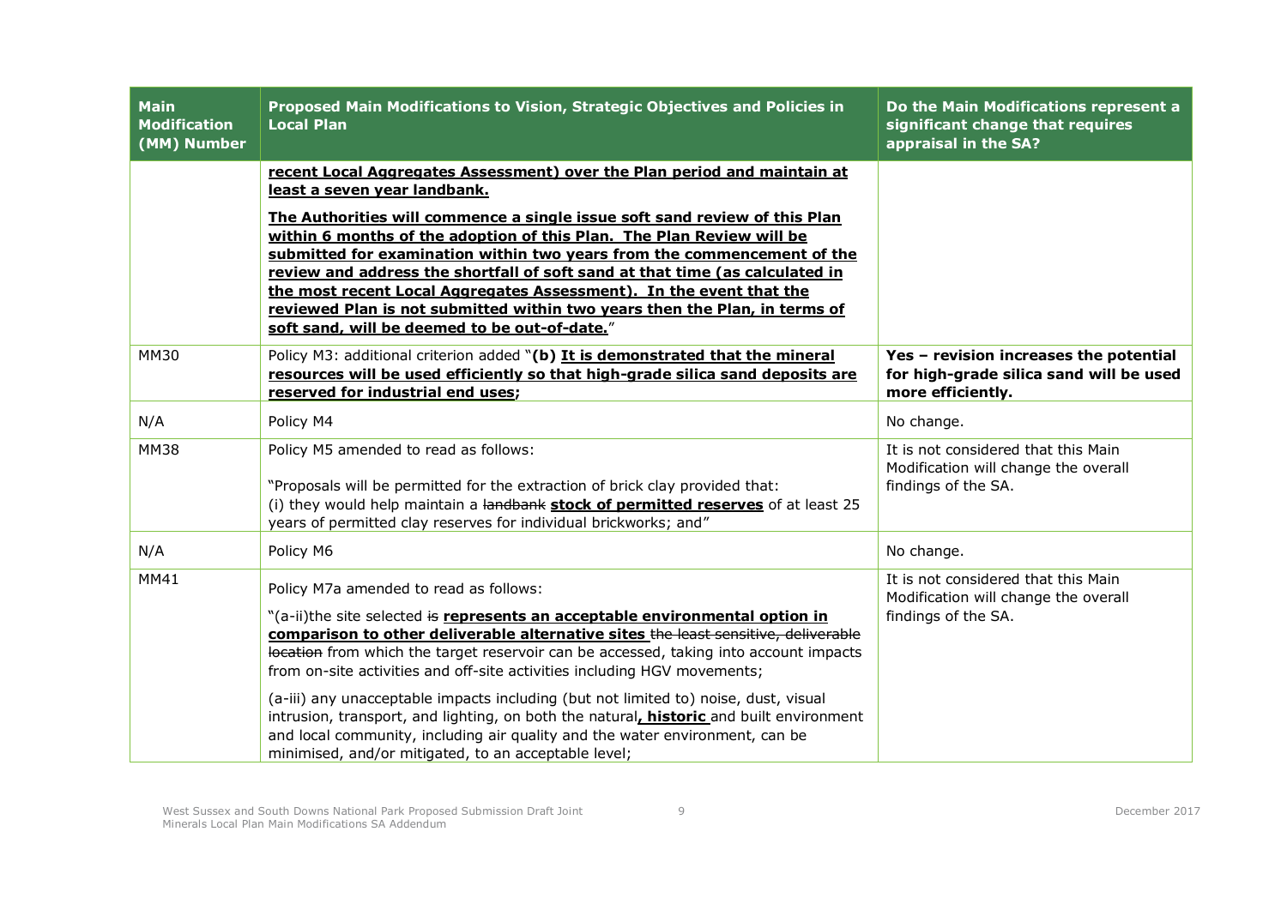| <b>Main</b><br><b>Modification</b><br>(MM) Number | Proposed Main Modifications to Vision, Strategic Objectives and Policies in<br><b>Local Plan</b>                                                                                                                                                                                                                                                                                                                                                                                                                                                                                                                                                                                                            | Do the Main Modifications represent a<br>significant change that requires<br>appraisal in the SA?      |
|---------------------------------------------------|-------------------------------------------------------------------------------------------------------------------------------------------------------------------------------------------------------------------------------------------------------------------------------------------------------------------------------------------------------------------------------------------------------------------------------------------------------------------------------------------------------------------------------------------------------------------------------------------------------------------------------------------------------------------------------------------------------------|--------------------------------------------------------------------------------------------------------|
|                                                   | recent Local Aggregates Assessment) over the Plan period and maintain at<br>least a seven year landbank.<br>The Authorities will commence a single issue soft sand review of this Plan<br>within 6 months of the adoption of this Plan. The Plan Review will be<br>submitted for examination within two years from the commencement of the<br>review and address the shortfall of soft sand at that time (as calculated in<br>the most recent Local Aggregates Assessment). In the event that the<br>reviewed Plan is not submitted within two years then the Plan, in terms of<br>soft sand, will be deemed to be out-of-date."                                                                            |                                                                                                        |
| <b>MM30</b>                                       | Policy M3: additional criterion added "(b) It is demonstrated that the mineral<br>resources will be used efficiently so that high-grade silica sand deposits are<br>reserved for industrial end uses;                                                                                                                                                                                                                                                                                                                                                                                                                                                                                                       | Yes - revision increases the potential<br>for high-grade silica sand will be used<br>more efficiently. |
| N/A                                               | Policy M4                                                                                                                                                                                                                                                                                                                                                                                                                                                                                                                                                                                                                                                                                                   | No change.                                                                                             |
| <b>MM38</b>                                       | Policy M5 amended to read as follows:<br>"Proposals will be permitted for the extraction of brick clay provided that:<br>(i) they would help maintain a landbank stock of permitted reserves of at least 25<br>years of permitted clay reserves for individual brickworks; and"                                                                                                                                                                                                                                                                                                                                                                                                                             | It is not considered that this Main<br>Modification will change the overall<br>findings of the SA.     |
| N/A                                               | Policy M6                                                                                                                                                                                                                                                                                                                                                                                                                                                                                                                                                                                                                                                                                                   | No change.                                                                                             |
| MM41                                              | Policy M7a amended to read as follows:<br>"(a-ii)the site selected is represents an acceptable environmental option in<br>comparison to other deliverable alternative sites the least sensitive, deliverable<br>location from which the target reservoir can be accessed, taking into account impacts<br>from on-site activities and off-site activities including HGV movements;<br>(a-iii) any unacceptable impacts including (but not limited to) noise, dust, visual<br>intrusion, transport, and lighting, on both the natural, historic and built environment<br>and local community, including air quality and the water environment, can be<br>minimised, and/or mitigated, to an acceptable level; | It is not considered that this Main<br>Modification will change the overall<br>findings of the SA.     |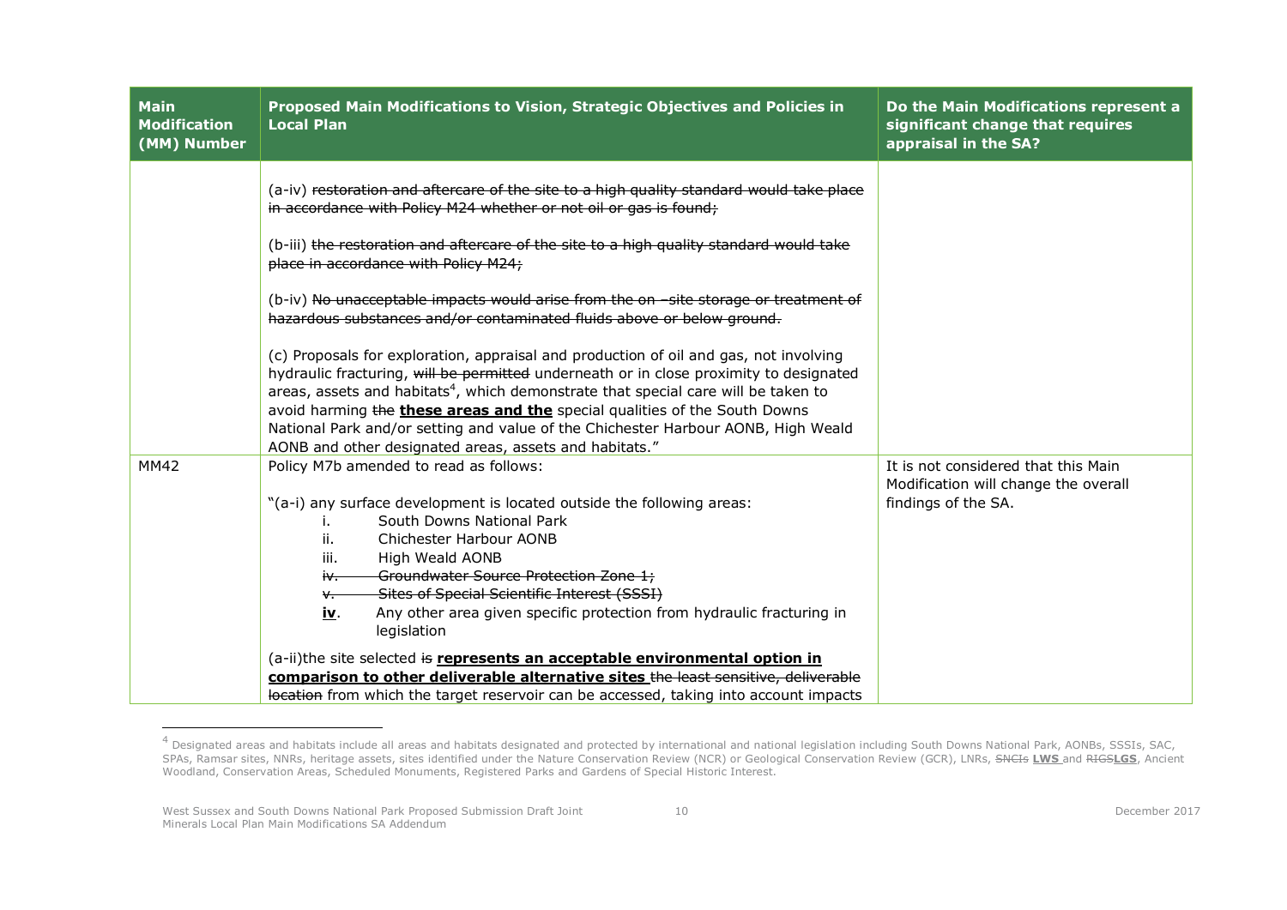| <b>Main</b><br><b>Modification</b><br>(MM) Number | Proposed Main Modifications to Vision, Strategic Objectives and Policies in<br><b>Local Plan</b>                                                                                                                                                                                                                                                                                                                                                                                                                                                                                         | Do the Main Modifications represent a<br>significant change that requires<br>appraisal in the SA?  |
|---------------------------------------------------|------------------------------------------------------------------------------------------------------------------------------------------------------------------------------------------------------------------------------------------------------------------------------------------------------------------------------------------------------------------------------------------------------------------------------------------------------------------------------------------------------------------------------------------------------------------------------------------|----------------------------------------------------------------------------------------------------|
|                                                   | (a-iv) restoration and aftercare of the site to a high quality standard would take place<br>in accordance with Policy M24 whether or not oil or gas is found;<br>(b-iii) the restoration and aftercare of the site to a high quality standard would take<br>place in accordance with Policy M24;<br>(b-iv) No unacceptable impacts would arise from the on site storage or treatment of                                                                                                                                                                                                  |                                                                                                    |
|                                                   | hazardous substances and/or contaminated fluids above or below ground.<br>(c) Proposals for exploration, appraisal and production of oil and gas, not involving<br>hydraulic fracturing, will be permitted underneath or in close proximity to designated<br>areas, assets and habitats <sup>4</sup> , which demonstrate that special care will be taken to<br>avoid harming the these areas and the special qualities of the South Downs<br>National Park and/or setting and value of the Chichester Harbour AONB, High Weald<br>AONB and other designated areas, assets and habitats." |                                                                                                    |
| <b>MM42</b>                                       | Policy M7b amended to read as follows:<br>"(a-i) any surface development is located outside the following areas:<br>South Downs National Park<br>Chichester Harbour AONB<br>ii.<br>iii.<br>High Weald AONB<br>Groundwater Source Protection Zone 1;<br>iv.<br>Sites of Special Scientific Interest (SSSI)<br>∨.<br>Any other area given specific protection from hydraulic fracturing in<br><u>іv</u> .<br>legislation                                                                                                                                                                   | It is not considered that this Main<br>Modification will change the overall<br>findings of the SA. |
|                                                   | (a-ii)the site selected is represents an acceptable environmental option in<br>comparison to other deliverable alternative sites the least sensitive, deliverable<br>location from which the target reservoir can be accessed, taking into account impacts                                                                                                                                                                                                                                                                                                                               |                                                                                                    |

 4 Designated areas and habitats include all areas and habitats designated and protected by international and national legislation including South Downs National Park, AONBs, SSSIs, SAC, SPAs, Ramsar sites, NNRs, heritage assets, sites identified under the Nature Conservation Review (NCR) or Geological Conservation Review (GCR), LNRs, SNCIs **LWS** and RIGS**LGS**, Ancient Woodland, Conservation Areas, Scheduled Monuments, Registered Parks and Gardens of Special Historic Interest.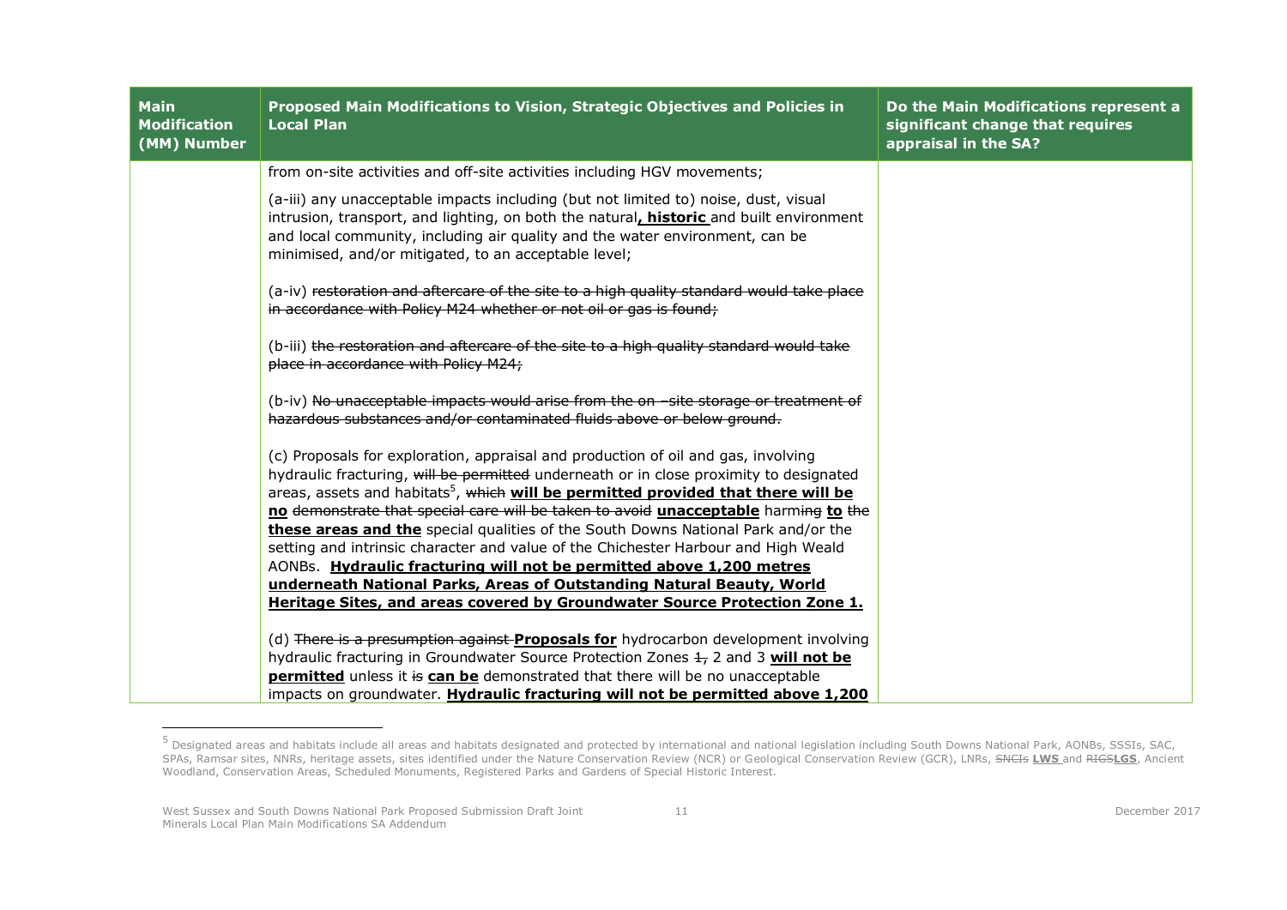| <b>Main</b><br><b>Modification</b><br>(MM) Number | <b>Proposed Main Modifications to Vision, Strategic Objectives and Policies in</b><br><b>Local Plan</b>                                                                                                                                                                                                                                                                                                                                                                                                                                                                                                                                                                                         | Do the Main Modifications represent a<br>significant change that requires<br>appraisal in the SA? |
|---------------------------------------------------|-------------------------------------------------------------------------------------------------------------------------------------------------------------------------------------------------------------------------------------------------------------------------------------------------------------------------------------------------------------------------------------------------------------------------------------------------------------------------------------------------------------------------------------------------------------------------------------------------------------------------------------------------------------------------------------------------|---------------------------------------------------------------------------------------------------|
|                                                   | from on-site activities and off-site activities including HGV movements;                                                                                                                                                                                                                                                                                                                                                                                                                                                                                                                                                                                                                        |                                                                                                   |
|                                                   | (a-iii) any unacceptable impacts including (but not limited to) noise, dust, visual<br>intrusion, transport, and lighting, on both the natural, historic and built environment<br>and local community, including air quality and the water environment, can be<br>minimised, and/or mitigated, to an acceptable level;                                                                                                                                                                                                                                                                                                                                                                          |                                                                                                   |
|                                                   | (a-iv) restoration and aftercare of the site to a high quality standard would take place<br>in accordance with Policy M24 whether or not oil or gas is found;                                                                                                                                                                                                                                                                                                                                                                                                                                                                                                                                   |                                                                                                   |
|                                                   | (b-iii) the restoration and aftercare of the site to a high quality standard would take<br>place in accordance with Policy M24;                                                                                                                                                                                                                                                                                                                                                                                                                                                                                                                                                                 |                                                                                                   |
|                                                   | (b-iv) No unacceptable impacts would arise from the on site storage or treatment of<br>hazardous substances and/or contaminated fluids above or below ground.                                                                                                                                                                                                                                                                                                                                                                                                                                                                                                                                   |                                                                                                   |
|                                                   | (c) Proposals for exploration, appraisal and production of oil and gas, involving<br>hydraulic fracturing, will be permitted underneath or in close proximity to designated<br>areas, assets and habitats <sup>5</sup> , which will be permitted provided that there will be<br>no demonstrate that special care will be taken to avoid unacceptable harming to the<br>these areas and the special qualities of the South Downs National Park and/or the<br>setting and intrinsic character and value of the Chichester Harbour and High Weald<br>AONBs. Hydraulic fracturing will not be permitted above 1,200 metres<br>underneath National Parks, Areas of Outstanding Natural Beauty, World |                                                                                                   |
|                                                   | Heritage Sites, and areas covered by Groundwater Source Protection Zone 1.                                                                                                                                                                                                                                                                                                                                                                                                                                                                                                                                                                                                                      |                                                                                                   |
|                                                   | (d) There is a presumption against <b>Proposals for</b> hydrocarbon development involving<br>hydraulic fracturing in Groundwater Source Protection Zones $\pm$ , 2 and 3 will not be<br>permitted unless it is can be demonstrated that there will be no unacceptable<br>impacts on groundwater. Hydraulic fracturing will not be permitted above 1,200                                                                                                                                                                                                                                                                                                                                         |                                                                                                   |

 5 Designated areas and habitats include all areas and habitats designated and protected by international and national legislation including South Downs National Park, AONBs, SSSIs, SAC, SPAs, Ramsar sites, NNRs, heritage assets, sites identified under the Nature Conservation Review (NCR) or Geological Conservation Review (GCR), LNRs, SNCIs **LWS** and RIGS**LGS**, Ancient Woodland, Conservation Areas, Scheduled Monuments, Registered Parks and Gardens of Special Historic Interest.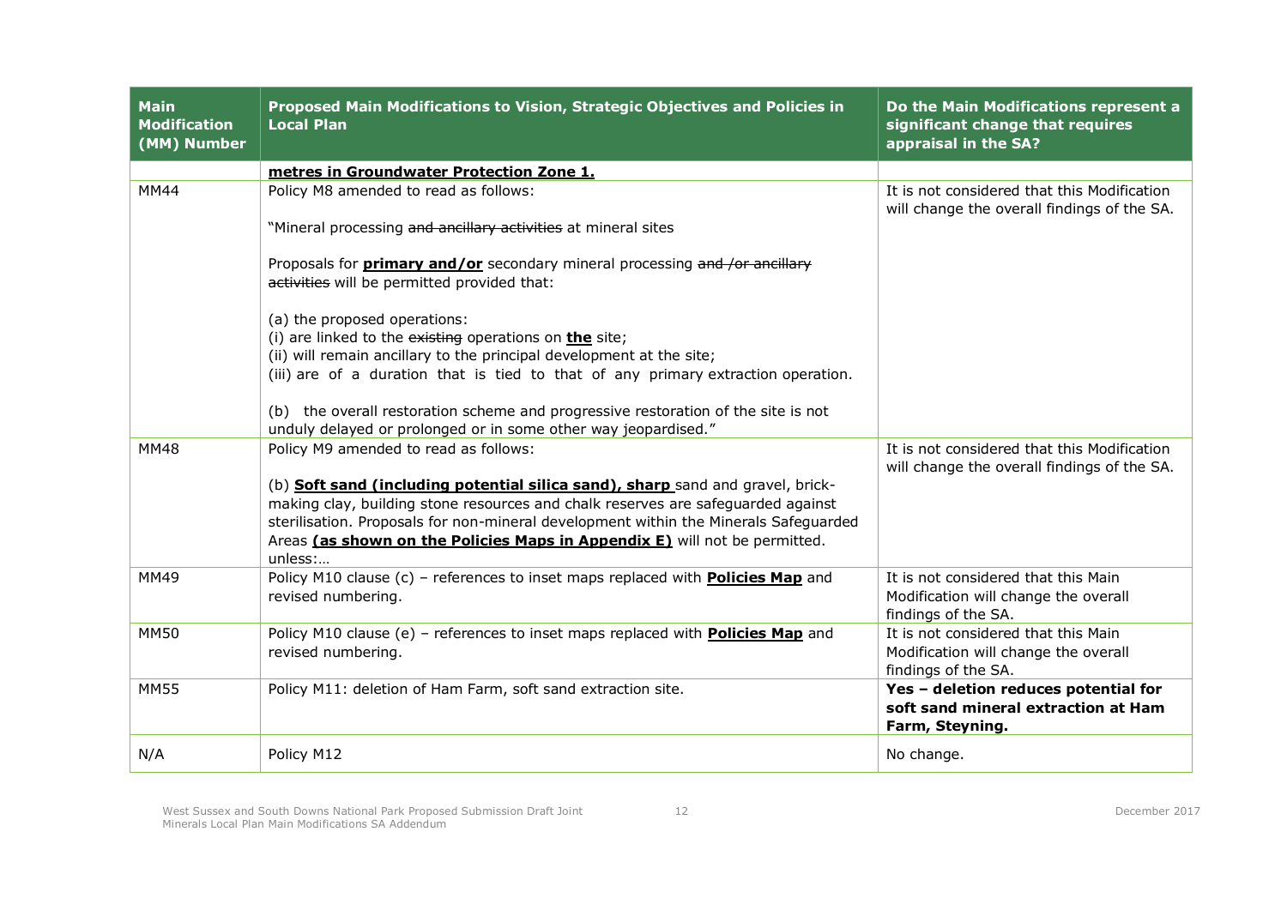| <b>Main</b><br><b>Modification</b><br>(MM) Number | Proposed Main Modifications to Vision, Strategic Objectives and Policies in<br><b>Local Plan</b>                                                          | Do the Main Modifications represent a<br>significant change that requires<br>appraisal in the SA?  |
|---------------------------------------------------|-----------------------------------------------------------------------------------------------------------------------------------------------------------|----------------------------------------------------------------------------------------------------|
|                                                   | metres in Groundwater Protection Zone 1.                                                                                                                  |                                                                                                    |
| <b>MM44</b>                                       | Policy M8 amended to read as follows:                                                                                                                     | It is not considered that this Modification<br>will change the overall findings of the SA.         |
|                                                   | "Mineral processing and ancillary activities at mineral sites                                                                                             |                                                                                                    |
|                                                   | Proposals for <b>primary and/or</b> secondary mineral processing and /or ancillary<br>activities will be permitted provided that:                         |                                                                                                    |
|                                                   | (a) the proposed operations:                                                                                                                              |                                                                                                    |
|                                                   | (i) are linked to the $e$ xisting operations on <b>the</b> site;                                                                                          |                                                                                                    |
|                                                   | (ii) will remain ancillary to the principal development at the site;<br>(iii) are of a duration that is tied to that of any primary extraction operation. |                                                                                                    |
|                                                   |                                                                                                                                                           |                                                                                                    |
|                                                   | (b) the overall restoration scheme and progressive restoration of the site is not<br>unduly delayed or prolonged or in some other way jeopardised."       |                                                                                                    |
| <b>MM48</b>                                       | Policy M9 amended to read as follows:                                                                                                                     | It is not considered that this Modification<br>will change the overall findings of the SA.         |
|                                                   | (b) <b>Soft sand (including potential silica sand), sharp</b> sand and gravel, brick-                                                                     |                                                                                                    |
|                                                   | making clay, building stone resources and chalk reserves are safeguarded against                                                                          |                                                                                                    |
|                                                   | sterilisation. Proposals for non-mineral development within the Minerals Safeguarded                                                                      |                                                                                                    |
|                                                   | Areas (as shown on the Policies Maps in Appendix E) will not be permitted.<br>unless:                                                                     |                                                                                                    |
| <b>MM49</b>                                       | Policy M10 clause (c) - references to inset maps replaced with <b>Policies Map</b> and<br>revised numbering.                                              | It is not considered that this Main<br>Modification will change the overall<br>findings of the SA. |
| <b>MM50</b>                                       | Policy M10 clause (e) - references to inset maps replaced with <b>Policies Map</b> and<br>revised numbering.                                              | It is not considered that this Main<br>Modification will change the overall<br>findings of the SA. |
| <b>MM55</b>                                       | Policy M11: deletion of Ham Farm, soft sand extraction site.                                                                                              | Yes - deletion reduces potential for<br>soft sand mineral extraction at Ham<br>Farm, Steyning.     |
| N/A                                               | Policy M12                                                                                                                                                | No change.                                                                                         |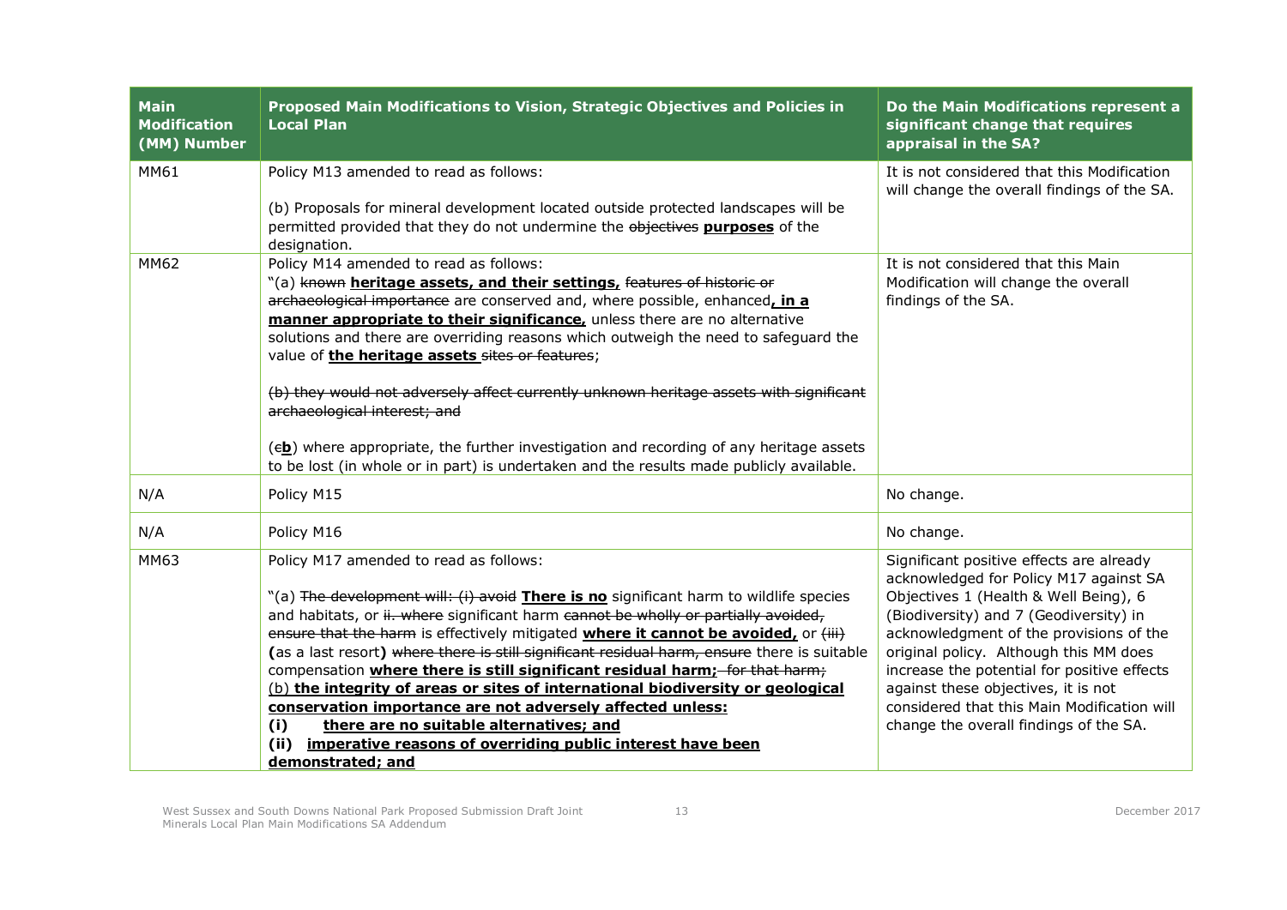| <b>Main</b><br><b>Modification</b><br>(MM) Number | Proposed Main Modifications to Vision, Strategic Objectives and Policies in<br><b>Local Plan</b>                                                                                                                                                                                                                                                                                                                                                                                                                                                                                                                                                                                                                                                                                               | Do the Main Modifications represent a<br>significant change that requires<br>appraisal in the SA?                                                                                                                                                                                                                                                                                                                                         |
|---------------------------------------------------|------------------------------------------------------------------------------------------------------------------------------------------------------------------------------------------------------------------------------------------------------------------------------------------------------------------------------------------------------------------------------------------------------------------------------------------------------------------------------------------------------------------------------------------------------------------------------------------------------------------------------------------------------------------------------------------------------------------------------------------------------------------------------------------------|-------------------------------------------------------------------------------------------------------------------------------------------------------------------------------------------------------------------------------------------------------------------------------------------------------------------------------------------------------------------------------------------------------------------------------------------|
| MM61                                              | Policy M13 amended to read as follows:<br>(b) Proposals for mineral development located outside protected landscapes will be<br>permitted provided that they do not undermine the objectives purposes of the<br>designation.                                                                                                                                                                                                                                                                                                                                                                                                                                                                                                                                                                   | It is not considered that this Modification<br>will change the overall findings of the SA.                                                                                                                                                                                                                                                                                                                                                |
| MM62                                              | Policy M14 amended to read as follows:<br>"(a) known heritage assets, and their settings, features of historic or<br>archaeological importance are conserved and, where possible, enhanced, in a<br>manner appropriate to their significance, unless there are no alternative<br>solutions and there are overriding reasons which outweigh the need to safeguard the<br>value of the heritage assets sites or features;<br>(b) they would not adversely affect currently unknown heritage assets with significant<br>archaeological interest; and<br>(eb) where appropriate, the further investigation and recording of any heritage assets<br>to be lost (in whole or in part) is undertaken and the results made publicly available.                                                         | It is not considered that this Main<br>Modification will change the overall<br>findings of the SA.                                                                                                                                                                                                                                                                                                                                        |
| N/A                                               | Policy M15                                                                                                                                                                                                                                                                                                                                                                                                                                                                                                                                                                                                                                                                                                                                                                                     | No change.                                                                                                                                                                                                                                                                                                                                                                                                                                |
| N/A                                               | Policy M16                                                                                                                                                                                                                                                                                                                                                                                                                                                                                                                                                                                                                                                                                                                                                                                     | No change.                                                                                                                                                                                                                                                                                                                                                                                                                                |
| <b>MM63</b>                                       | Policy M17 amended to read as follows:<br>"(a) The development will: (i) avoid There is no significant harm to wildlife species<br>and habitats, or ii. where significant harm cannot be wholly or partially avoided,<br>ensure that the harm is effectively mitigated <i>where it cannot be avoided, or (iii)</i><br>(as a last resort) where there is still significant residual harm, ensure there is suitable<br>compensation where there is still significant residual harm; for that harm;<br>(b) the integrity of areas or sites of international biodiversity or geological<br>conservation importance are not adversely affected unless:<br>there are no suitable alternatives; and<br>(i)<br>imperative reasons of overriding public interest have been<br>(ii)<br>demonstrated; and | Significant positive effects are already<br>acknowledged for Policy M17 against SA<br>Objectives 1 (Health & Well Being), 6<br>(Biodiversity) and 7 (Geodiversity) in<br>acknowledgment of the provisions of the<br>original policy. Although this MM does<br>increase the potential for positive effects<br>against these objectives, it is not<br>considered that this Main Modification will<br>change the overall findings of the SA. |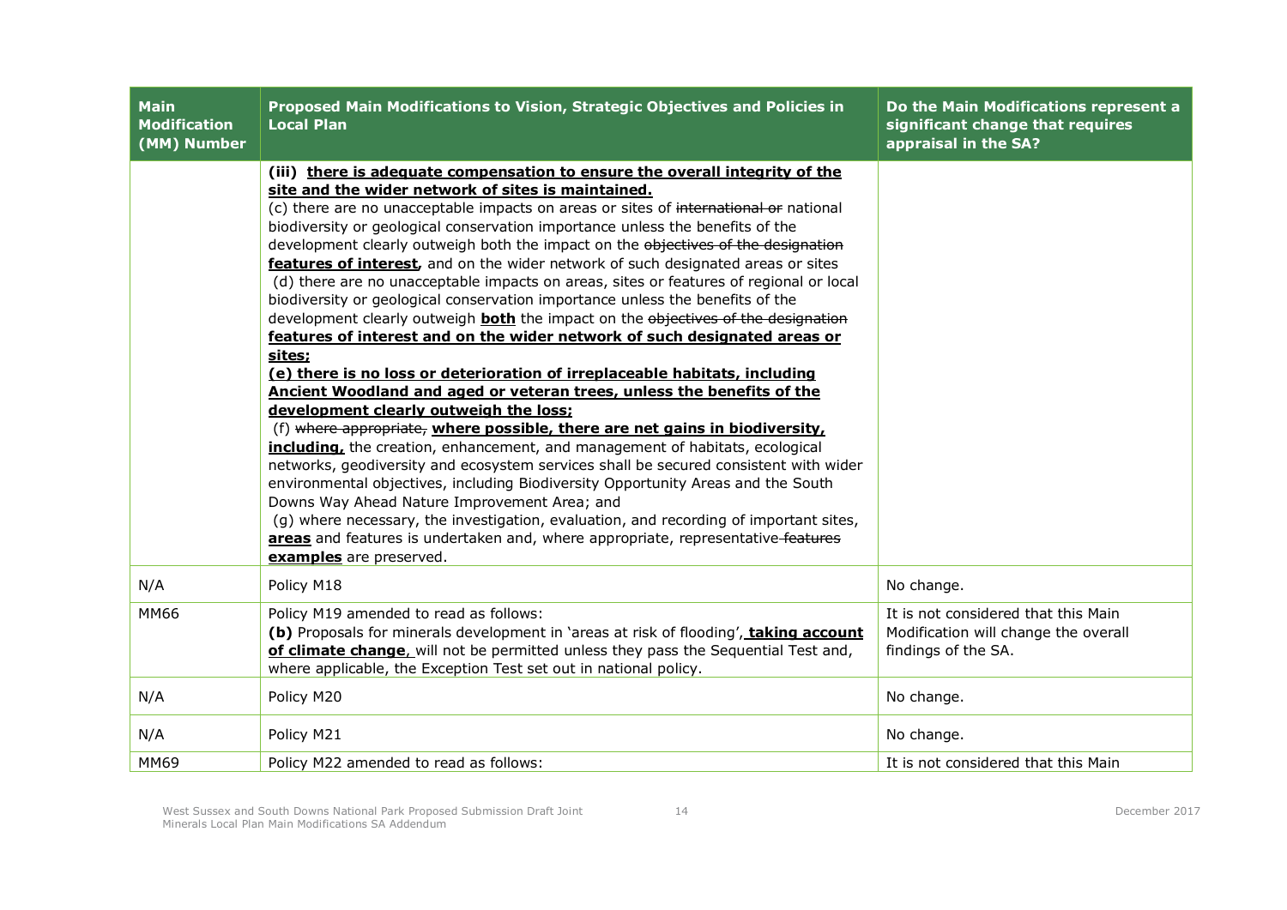| <b>Main</b><br><b>Modification</b><br>(MM) Number | Proposed Main Modifications to Vision, Strategic Objectives and Policies in<br><b>Local Plan</b>                                                                                                                                                                                                                                                                                                                                                                                                                                                                                                                                                                                                                                                                                                                                                                                                                                                                                                                                                                                                                                                                                                                                                                                                                                                                                                                                                                                                                                                                                                                                                       | Do the Main Modifications represent a<br>significant change that requires<br>appraisal in the SA?  |
|---------------------------------------------------|--------------------------------------------------------------------------------------------------------------------------------------------------------------------------------------------------------------------------------------------------------------------------------------------------------------------------------------------------------------------------------------------------------------------------------------------------------------------------------------------------------------------------------------------------------------------------------------------------------------------------------------------------------------------------------------------------------------------------------------------------------------------------------------------------------------------------------------------------------------------------------------------------------------------------------------------------------------------------------------------------------------------------------------------------------------------------------------------------------------------------------------------------------------------------------------------------------------------------------------------------------------------------------------------------------------------------------------------------------------------------------------------------------------------------------------------------------------------------------------------------------------------------------------------------------------------------------------------------------------------------------------------------------|----------------------------------------------------------------------------------------------------|
|                                                   | (iii) there is adequate compensation to ensure the overall integrity of the<br>site and the wider network of sites is maintained.<br>(c) there are no unacceptable impacts on areas or sites of international or national<br>biodiversity or geological conservation importance unless the benefits of the<br>development clearly outweigh both the impact on the objectives of the designation<br>features of interest, and on the wider network of such designated areas or sites<br>(d) there are no unacceptable impacts on areas, sites or features of regional or local<br>biodiversity or geological conservation importance unless the benefits of the<br>development clearly outweigh <b>both</b> the impact on the objectives of the designation<br>features of interest and on the wider network of such designated areas or<br>sites;<br>(e) there is no loss or deterioration of irreplaceable habitats, including<br>Ancient Woodland and aged or veteran trees, unless the benefits of the<br>development clearly outweigh the loss;<br>(f) where appropriate, where possible, there are net gains in biodiversity,<br>including, the creation, enhancement, and management of habitats, ecological<br>networks, geodiversity and ecosystem services shall be secured consistent with wider<br>environmental objectives, including Biodiversity Opportunity Areas and the South<br>Downs Way Ahead Nature Improvement Area; and<br>(g) where necessary, the investigation, evaluation, and recording of important sites,<br>areas and features is undertaken and, where appropriate, representative-features<br>examples are preserved. |                                                                                                    |
| N/A                                               | Policy M18                                                                                                                                                                                                                                                                                                                                                                                                                                                                                                                                                                                                                                                                                                                                                                                                                                                                                                                                                                                                                                                                                                                                                                                                                                                                                                                                                                                                                                                                                                                                                                                                                                             | No change.                                                                                         |
| <b>MM66</b>                                       | Policy M19 amended to read as follows:<br>(b) Proposals for minerals development in 'areas at risk of flooding', taking account<br>of climate change, will not be permitted unless they pass the Sequential Test and,<br>where applicable, the Exception Test set out in national policy.                                                                                                                                                                                                                                                                                                                                                                                                                                                                                                                                                                                                                                                                                                                                                                                                                                                                                                                                                                                                                                                                                                                                                                                                                                                                                                                                                              | It is not considered that this Main<br>Modification will change the overall<br>findings of the SA. |
| N/A                                               | Policy M20                                                                                                                                                                                                                                                                                                                                                                                                                                                                                                                                                                                                                                                                                                                                                                                                                                                                                                                                                                                                                                                                                                                                                                                                                                                                                                                                                                                                                                                                                                                                                                                                                                             | No change.                                                                                         |
| N/A                                               | Policy M21                                                                                                                                                                                                                                                                                                                                                                                                                                                                                                                                                                                                                                                                                                                                                                                                                                                                                                                                                                                                                                                                                                                                                                                                                                                                                                                                                                                                                                                                                                                                                                                                                                             | No change.                                                                                         |
| MM69                                              | Policy M22 amended to read as follows:                                                                                                                                                                                                                                                                                                                                                                                                                                                                                                                                                                                                                                                                                                                                                                                                                                                                                                                                                                                                                                                                                                                                                                                                                                                                                                                                                                                                                                                                                                                                                                                                                 | It is not considered that this Main                                                                |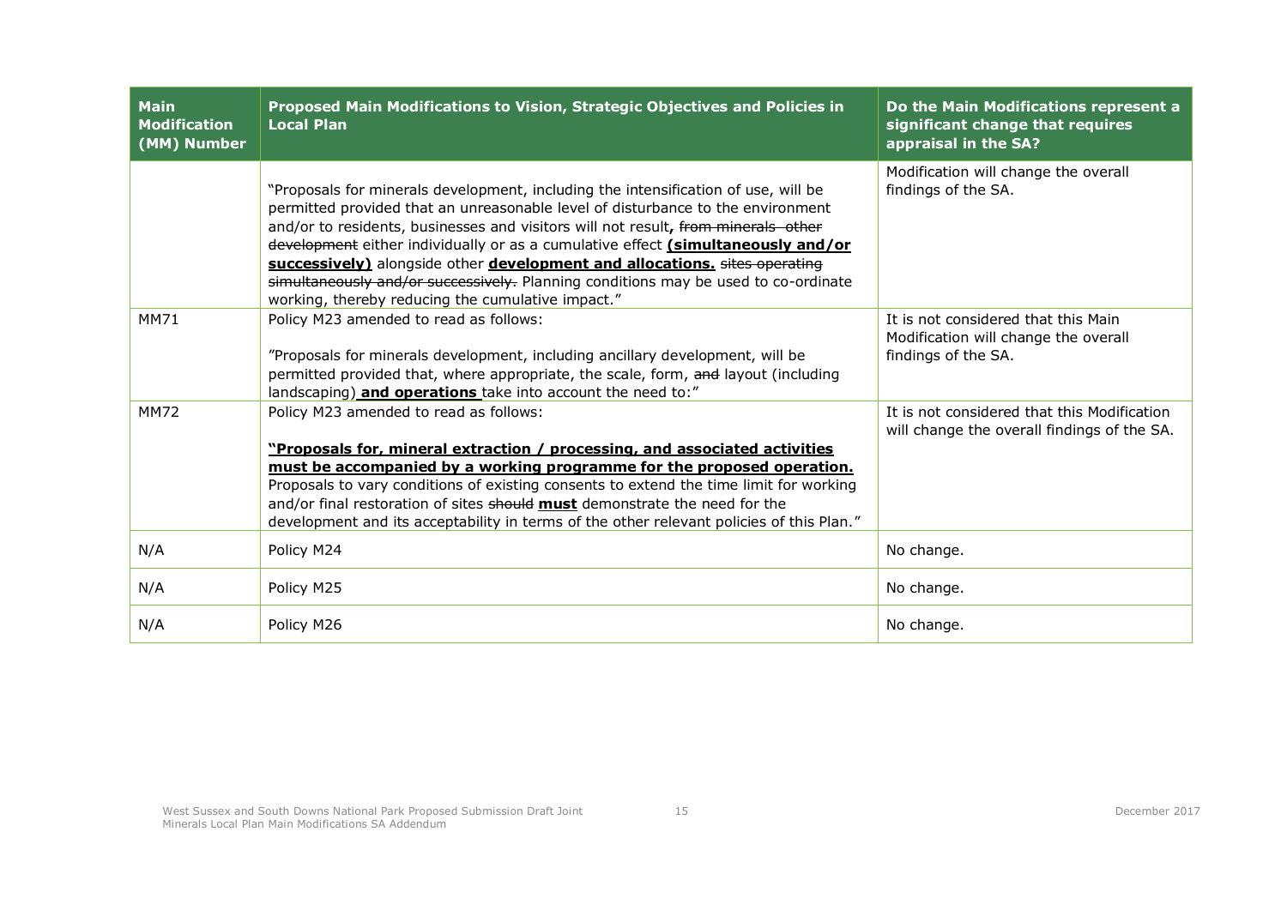| <b>Main</b><br><b>Modification</b><br>(MM) Number | Proposed Main Modifications to Vision, Strategic Objectives and Policies in<br><b>Local Plan</b>                                                                                                                                                                                                                                                                                                                                                                                                                                                                        | Do the Main Modifications represent a<br>significant change that requires<br>appraisal in the SA?  |
|---------------------------------------------------|-------------------------------------------------------------------------------------------------------------------------------------------------------------------------------------------------------------------------------------------------------------------------------------------------------------------------------------------------------------------------------------------------------------------------------------------------------------------------------------------------------------------------------------------------------------------------|----------------------------------------------------------------------------------------------------|
|                                                   | "Proposals for minerals development, including the intensification of use, will be<br>permitted provided that an unreasonable level of disturbance to the environment<br>and/or to residents, businesses and visitors will not result, from minerals other<br>development either individually or as a cumulative effect (simultaneously and/or<br>successively) alongside other development and allocations. sites operating<br>simultaneously and/or successively. Planning conditions may be used to co-ordinate<br>working, thereby reducing the cumulative impact." | Modification will change the overall<br>findings of the SA.                                        |
| MM71                                              | Policy M23 amended to read as follows:<br>"Proposals for minerals development, including ancillary development, will be<br>permitted provided that, where appropriate, the scale, form, and layout (including<br>landscaping) and operations take into account the need to:"                                                                                                                                                                                                                                                                                            | It is not considered that this Main<br>Modification will change the overall<br>findings of the SA. |
| <b>MM72</b>                                       | Policy M23 amended to read as follows:<br>"Proposals for, mineral extraction / processing, and associated activities<br>must be accompanied by a working programme for the proposed operation.<br>Proposals to vary conditions of existing consents to extend the time limit for working<br>and/or final restoration of sites should must demonstrate the need for the<br>development and its acceptability in terms of the other relevant policies of this Plan."                                                                                                      | It is not considered that this Modification<br>will change the overall findings of the SA.         |
| N/A                                               | Policy M24                                                                                                                                                                                                                                                                                                                                                                                                                                                                                                                                                              | No change.                                                                                         |
| N/A                                               | Policy M25                                                                                                                                                                                                                                                                                                                                                                                                                                                                                                                                                              | No change.                                                                                         |
| N/A                                               | Policy M26                                                                                                                                                                                                                                                                                                                                                                                                                                                                                                                                                              | No change.                                                                                         |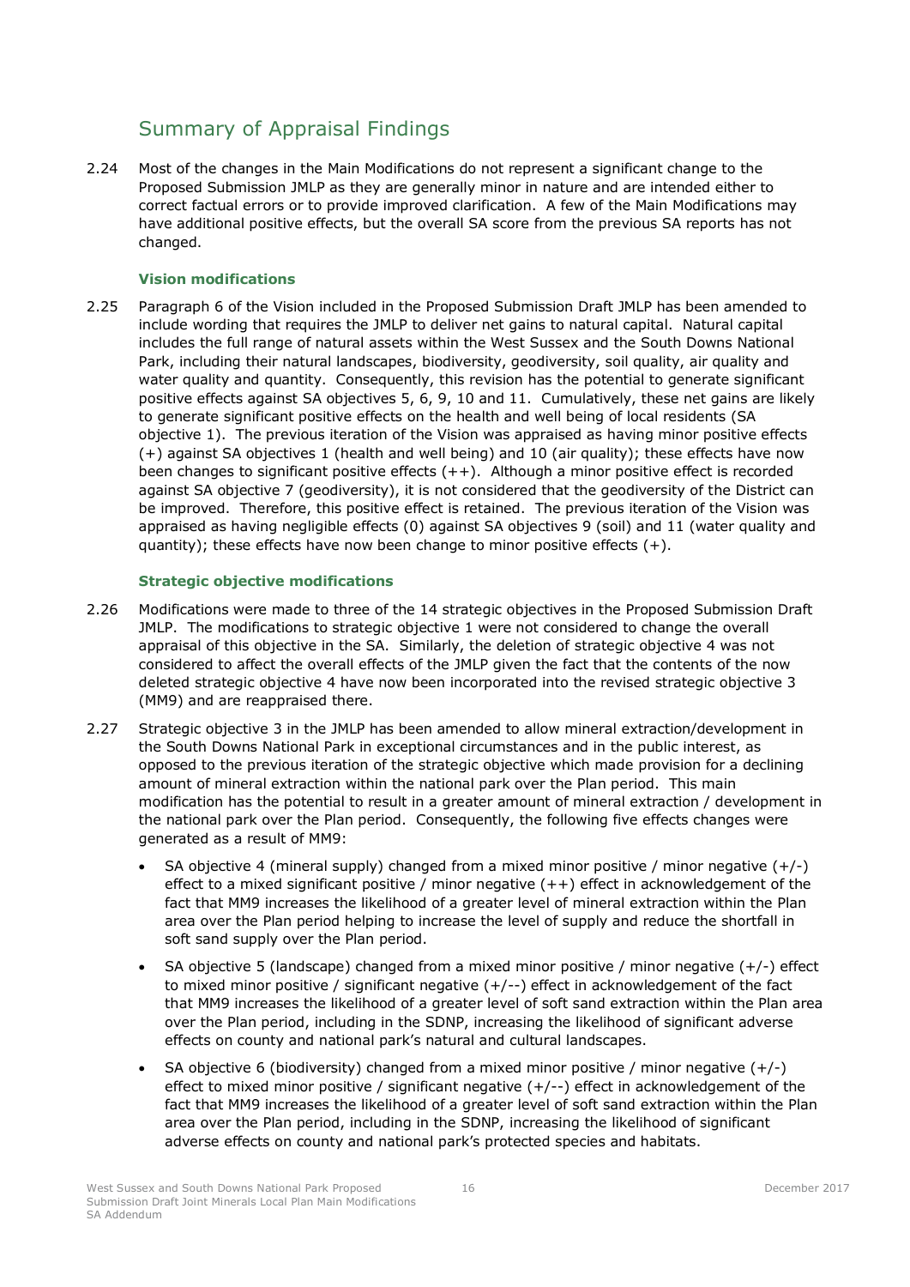# <span id="page-18-0"></span>Summary of Appraisal Findings

2.24 Most of the changes in the Main Modifications do not represent a significant change to the Proposed Submission JMLP as they are generally minor in nature and are intended either to correct factual errors or to provide improved clarification. A few of the Main Modifications may have additional positive effects, but the overall SA score from the previous SA reports has not changed.

# **Vision modifications**

2.25 Paragraph 6 of the Vision included in the Proposed Submission Draft JMLP has been amended to include wording that requires the JMLP to deliver net gains to natural capital. Natural capital includes the full range of natural assets within the West Sussex and the South Downs National Park, including their natural landscapes, biodiversity, geodiversity, soil quality, air quality and water quality and quantity. Consequently, this revision has the potential to generate significant positive effects against SA objectives 5, 6, 9, 10 and 11. Cumulatively, these net gains are likely to generate significant positive effects on the health and well being of local residents (SA objective 1). The previous iteration of the Vision was appraised as having minor positive effects (+) against SA objectives 1 (health and well being) and 10 (air quality); these effects have now been changes to significant positive effects (++). Although a minor positive effect is recorded against SA objective 7 (geodiversity), it is not considered that the geodiversity of the District can be improved. Therefore, this positive effect is retained. The previous iteration of the Vision was appraised as having negligible effects (0) against SA objectives 9 (soil) and 11 (water quality and quantity); these effects have now been change to minor positive effects  $(+)$ .

## **Strategic objective modifications**

- 2.26 Modifications were made to three of the 14 strategic objectives in the Proposed Submission Draft JMLP. The modifications to strategic objective 1 were not considered to change the overall appraisal of this objective in the SA. Similarly, the deletion of strategic objective 4 was not considered to affect the overall effects of the JMLP given the fact that the contents of the now deleted strategic objective 4 have now been incorporated into the revised strategic objective 3 (MM9) and are reappraised there.
- 2.27 Strategic objective 3 in the JMLP has been amended to allow mineral extraction/development in the South Downs National Park in exceptional circumstances and in the public interest, as opposed to the previous iteration of the strategic objective which made provision for a declining amount of mineral extraction within the national park over the Plan period. This main modification has the potential to result in a greater amount of mineral extraction / development in the national park over the Plan period. Consequently, the following five effects changes were generated as a result of MM9:
	- SA objective 4 (mineral supply) changed from a mixed minor positive / minor negative  $(+/-)$ effect to a mixed significant positive / minor negative (++) effect in acknowledgement of the fact that MM9 increases the likelihood of a greater level of mineral extraction within the Plan area over the Plan period helping to increase the level of supply and reduce the shortfall in soft sand supply over the Plan period.
	- SA objective 5 (landscape) changed from a mixed minor positive / minor negative  $(+/-)$  effect to mixed minor positive / significant negative (+/--) effect in acknowledgement of the fact that MM9 increases the likelihood of a greater level of soft sand extraction within the Plan area over the Plan period, including in the SDNP, increasing the likelihood of significant adverse effects on county and national park's natural and cultural landscapes.
	- SA objective 6 (biodiversity) changed from a mixed minor positive / minor negative  $(+/-)$ effect to mixed minor positive / significant negative (+/--) effect in acknowledgement of the fact that MM9 increases the likelihood of a greater level of soft sand extraction within the Plan area over the Plan period, including in the SDNP, increasing the likelihood of significant adverse effects on county and national park's protected species and habitats.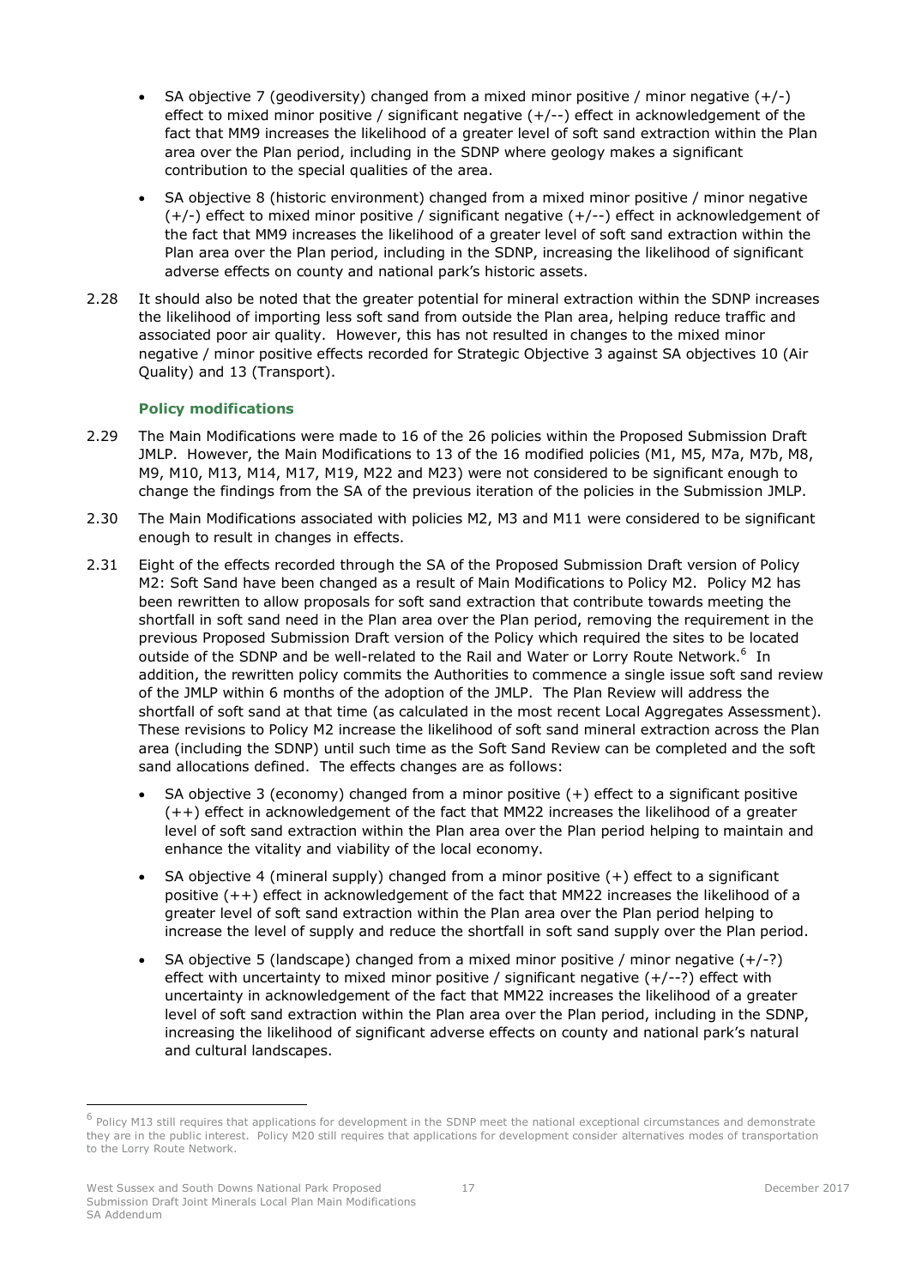- SA objective 7 (geodiversity) changed from a mixed minor positive / minor negative  $(+/-)$ effect to mixed minor positive / significant negative (+/--) effect in acknowledgement of the fact that MM9 increases the likelihood of a greater level of soft sand extraction within the Plan area over the Plan period, including in the SDNP where geology makes a significant contribution to the special qualities of the area.
- SA objective 8 (historic environment) changed from a mixed minor positive / minor negative (+/-) effect to mixed minor positive / significant negative (+/--) effect in acknowledgement of the fact that MM9 increases the likelihood of a greater level of soft sand extraction within the Plan area over the Plan period, including in the SDNP, increasing the likelihood of significant adverse effects on county and national park's historic assets.
- 2.28 It should also be noted that the greater potential for mineral extraction within the SDNP increases the likelihood of importing less soft sand from outside the Plan area, helping reduce traffic and associated poor air quality. However, this has not resulted in changes to the mixed minor negative / minor positive effects recorded for Strategic Objective 3 against SA objectives 10 (Air Quality) and 13 (Transport).

## **Policy modifications**

- 2.29 The Main Modifications were made to 16 of the 26 policies within the Proposed Submission Draft JMLP. However, the Main Modifications to 13 of the 16 modified policies (M1, M5, M7a, M7b, M8, M9, M10, M13, M14, M17, M19, M22 and M23) were not considered to be significant enough to change the findings from the SA of the previous iteration of the policies in the Submission JMLP.
- 2.30 The Main Modifications associated with policies M2, M3 and M11 were considered to be significant enough to result in changes in effects.
- 2.31 Eight of the effects recorded through the SA of the Proposed Submission Draft version of Policy M2: Soft Sand have been changed as a result of Main Modifications to Policy M2. Policy M2 has been rewritten to allow proposals for soft sand extraction that contribute towards meeting the shortfall in soft sand need in the Plan area over the Plan period, removing the requirement in the previous Proposed Submission Draft version of the Policy which required the sites to be located outside of the SDNP and be well-related to the Rail and Water or Lorry Route Network.<sup>6</sup> In addition, the rewritten policy commits the Authorities to commence a single issue soft sand review of the JMLP within 6 months of the adoption of the JMLP. The Plan Review will address the shortfall of soft sand at that time (as calculated in the most recent Local Aggregates Assessment). These revisions to Policy M2 increase the likelihood of soft sand mineral extraction across the Plan area (including the SDNP) until such time as the Soft Sand Review can be completed and the soft sand allocations defined. The effects changes are as follows:
	- SA objective 3 (economy) changed from a minor positive  $(+)$  effect to a significant positive (++) effect in acknowledgement of the fact that MM22 increases the likelihood of a greater level of soft sand extraction within the Plan area over the Plan period helping to maintain and enhance the vitality and viability of the local economy.
	- SA objective 4 (mineral supply) changed from a minor positive (+) effect to a significant positive (++) effect in acknowledgement of the fact that MM22 increases the likelihood of a greater level of soft sand extraction within the Plan area over the Plan period helping to increase the level of supply and reduce the shortfall in soft sand supply over the Plan period.
	- SA objective 5 (landscape) changed from a mixed minor positive / minor negative  $(+/-?)$ effect with uncertainty to mixed minor positive / significant negative  $(+/-?)$  effect with uncertainty in acknowledgement of the fact that MM22 increases the likelihood of a greater level of soft sand extraction within the Plan area over the Plan period, including in the SDNP, increasing the likelihood of significant adverse effects on county and national park's natural and cultural landscapes.

-

<sup>&</sup>lt;sup>6</sup> Policy M13 still requires that applications for development in the SDNP meet the national exceptional circumstances and demonstrate they are in the public interest. Policy M20 still requires that applications for development consider alternatives modes of transportation to the Lorry Route Network.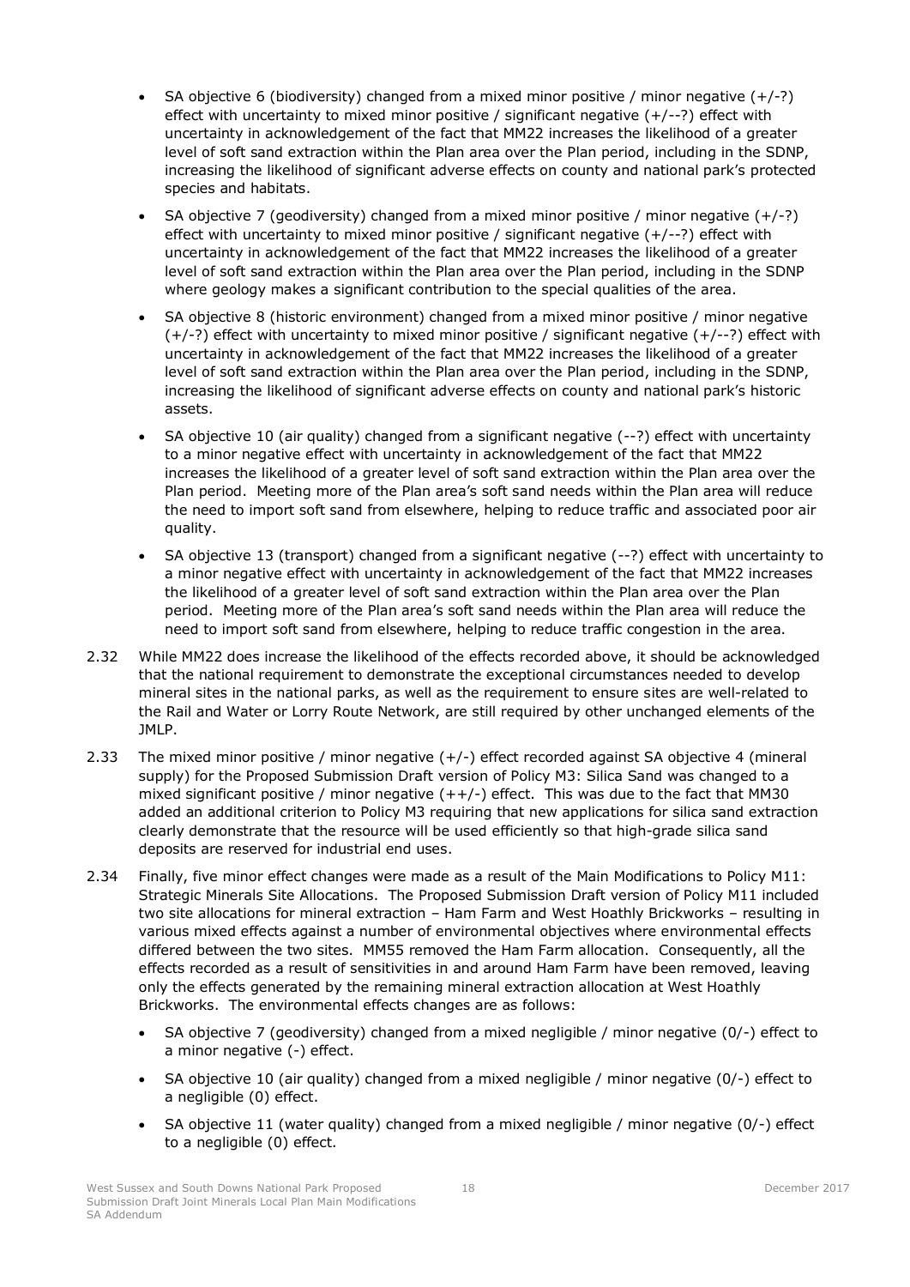- SA objective 6 (biodiversity) changed from a mixed minor positive / minor negative  $(+/-?)$ effect with uncertainty to mixed minor positive / significant negative  $(+/-?)$  effect with uncertainty in acknowledgement of the fact that MM22 increases the likelihood of a greater level of soft sand extraction within the Plan area over the Plan period, including in the SDNP, increasing the likelihood of significant adverse effects on county and national park's protected species and habitats.
- SA objective 7 (geodiversity) changed from a mixed minor positive / minor negative  $(+/-?)$ effect with uncertainty to mixed minor positive / significant negative  $(+/-?)$  effect with uncertainty in acknowledgement of the fact that MM22 increases the likelihood of a greater level of soft sand extraction within the Plan area over the Plan period, including in the SDNP where geology makes a significant contribution to the special qualities of the area.
- SA objective 8 (historic environment) changed from a mixed minor positive / minor negative (+/-?) effect with uncertainty to mixed minor positive / significant negative (+/--?) effect with uncertainty in acknowledgement of the fact that MM22 increases the likelihood of a greater level of soft sand extraction within the Plan area over the Plan period, including in the SDNP, increasing the likelihood of significant adverse effects on county and national park's historic assets.
- SA objective 10 (air quality) changed from a significant negative (--?) effect with uncertainty to a minor negative effect with uncertainty in acknowledgement of the fact that MM22 increases the likelihood of a greater level of soft sand extraction within the Plan area over the Plan period. Meeting more of the Plan area's soft sand needs within the Plan area will reduce the need to import soft sand from elsewhere, helping to reduce traffic and associated poor air quality.
- SA objective 13 (transport) changed from a significant negative (--?) effect with uncertainty to a minor negative effect with uncertainty in acknowledgement of the fact that MM22 increases the likelihood of a greater level of soft sand extraction within the Plan area over the Plan period. Meeting more of the Plan area's soft sand needs within the Plan area will reduce the need to import soft sand from elsewhere, helping to reduce traffic congestion in the area.
- 2.32 While MM22 does increase the likelihood of the effects recorded above, it should be acknowledged that the national requirement to demonstrate the exceptional circumstances needed to develop mineral sites in the national parks, as well as the requirement to ensure sites are well-related to the Rail and Water or Lorry Route Network, are still required by other unchanged elements of the JMLP.
- 2.33 The mixed minor positive / minor negative (+/-) effect recorded against SA objective 4 (mineral supply) for the Proposed Submission Draft version of Policy M3: Silica Sand was changed to a mixed significant positive / minor negative  $(++/-)$  effect. This was due to the fact that MM30 added an additional criterion to Policy M3 requiring that new applications for silica sand extraction clearly demonstrate that the resource will be used efficiently so that high-grade silica sand deposits are reserved for industrial end uses.
- 2.34 Finally, five minor effect changes were made as a result of the Main Modifications to Policy M11: Strategic Minerals Site Allocations. The Proposed Submission Draft version of Policy M11 included two site allocations for mineral extraction – Ham Farm and West Hoathly Brickworks – resulting in various mixed effects against a number of environmental objectives where environmental effects differed between the two sites. MM55 removed the Ham Farm allocation. Consequently, all the effects recorded as a result of sensitivities in and around Ham Farm have been removed, leaving only the effects generated by the remaining mineral extraction allocation at West Hoathly Brickworks. The environmental effects changes are as follows:
	- SA objective 7 (geodiversity) changed from a mixed negligible / minor negative (0/-) effect to a minor negative (-) effect.
	- SA objective 10 (air quality) changed from a mixed negligible / minor negative (0/-) effect to a negligible (0) effect.
	- SA objective 11 (water quality) changed from a mixed negligible / minor negative (0/-) effect to a negligible (0) effect.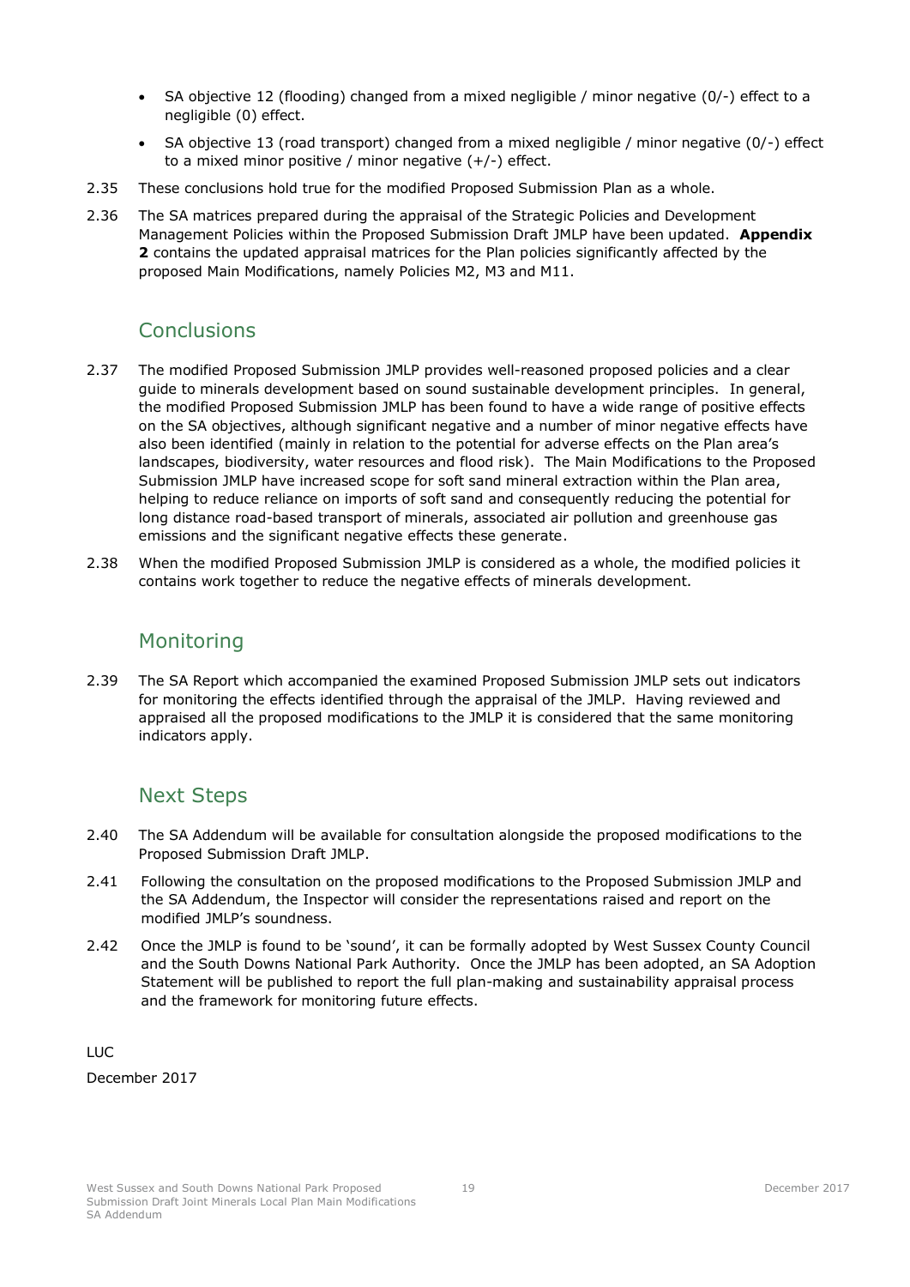- SA objective 12 (flooding) changed from a mixed negligible / minor negative (0/-) effect to a negligible (0) effect.
- SA objective 13 (road transport) changed from a mixed negligible / minor negative (0/-) effect to a mixed minor positive / minor negative (+/-) effect.
- 2.35 These conclusions hold true for the modified Proposed Submission Plan as a whole.
- 2.36 The SA matrices prepared during the appraisal of the Strategic Policies and Development Management Policies within the Proposed Submission Draft JMLP have been updated. **Appendix 2** contains the updated appraisal matrices for the Plan policies significantly affected by the proposed Main Modifications, namely Policies M2, M3 and M11.

# <span id="page-21-0"></span>**Conclusions**

- 2.37 The modified Proposed Submission JMLP provides well-reasoned proposed policies and a clear guide to minerals development based on sound sustainable development principles. In general, the modified Proposed Submission JMLP has been found to have a wide range of positive effects on the SA objectives, although significant negative and a number of minor negative effects have also been identified (mainly in relation to the potential for adverse effects on the Plan area's landscapes, biodiversity, water resources and flood risk). The Main Modifications to the Proposed Submission JMLP have increased scope for soft sand mineral extraction within the Plan area, helping to reduce reliance on imports of soft sand and consequently reducing the potential for long distance road-based transport of minerals, associated air pollution and greenhouse gas emissions and the significant negative effects these generate.
- <span id="page-21-1"></span>2.38 When the modified Proposed Submission JMLP is considered as a whole, the modified policies it contains work together to reduce the negative effects of minerals development.

# Monitoring

2.39 The SA Report which accompanied the examined Proposed Submission JMLP sets out indicators for monitoring the effects identified through the appraisal of the JMLP. Having reviewed and appraised all the proposed modifications to the JMLP it is considered that the same monitoring indicators apply.

# <span id="page-21-2"></span>Next Steps

- 2.40 The SA Addendum will be available for consultation alongside the proposed modifications to the Proposed Submission Draft JMLP.
- 2.41 Following the consultation on the proposed modifications to the Proposed Submission JMLP and the SA Addendum, the Inspector will consider the representations raised and report on the modified JMLP's soundness.
- 2.42 Once the JMLP is found to be 'sound', it can be formally adopted by West Sussex County Council and the South Downs National Park Authority. Once the JMLP has been adopted, an SA Adoption Statement will be published to report the full plan-making and sustainability appraisal process and the framework for monitoring future effects.

LUC

December 2017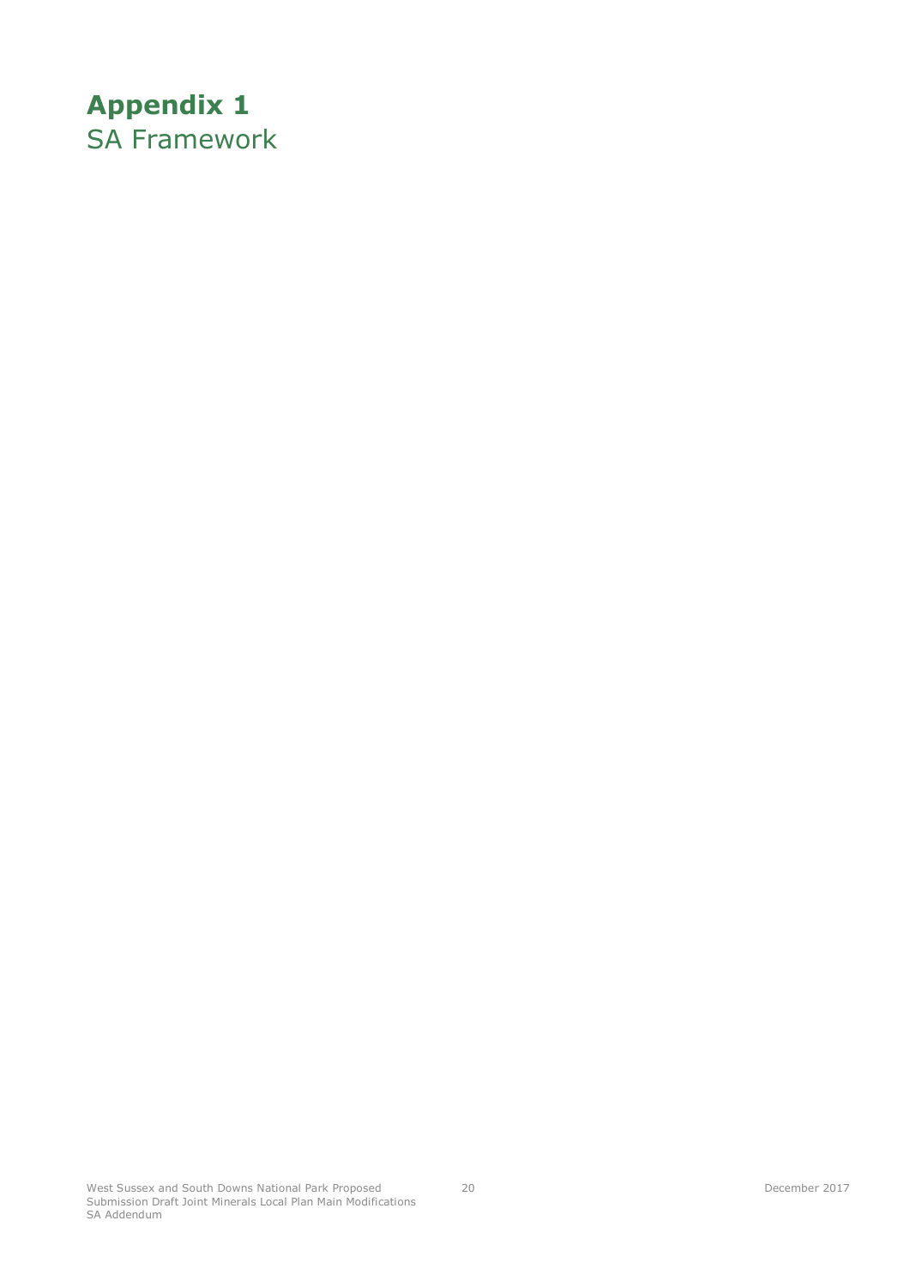# <span id="page-22-2"></span><span id="page-22-1"></span><span id="page-22-0"></span>**Appendix 1** SA Framework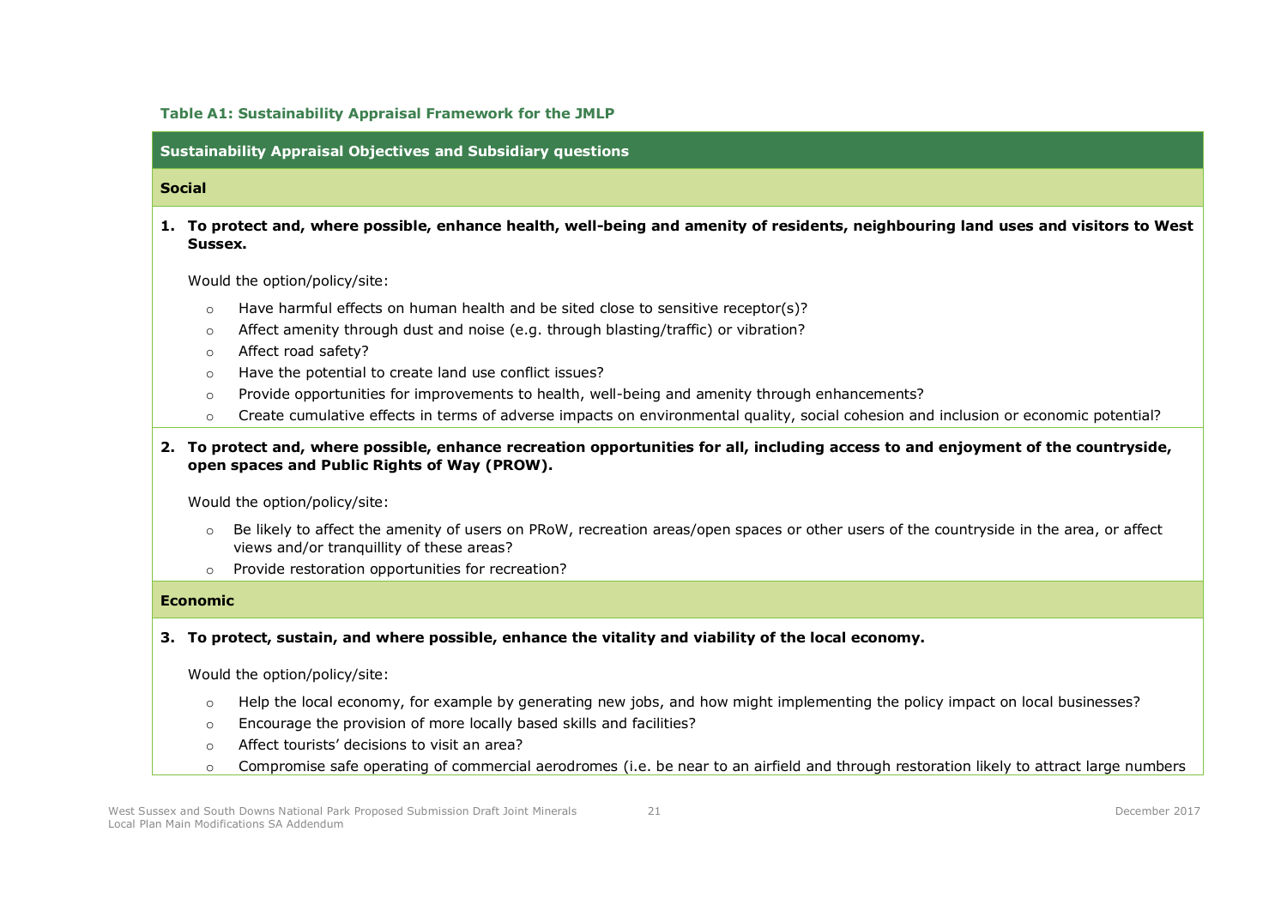#### **Table A1: Sustainability Appraisal Framework for the JMLP**

**Sustainability Appraisal Objectives and Subsidiary questions**

### **Social**

**1. To protect and, where possible, enhance health, well-being and amenity of residents, neighbouring land uses and visitors to West Sussex.** 

Would the option/policy/site:

- $\circ$  Have harmful effects on human health and be sited close to sensitive receptor(s)?
- $\circ$  Affect amenity through dust and noise (e.g. through blasting/traffic) or vibration?
- o Affect road safety?
- o Have the potential to create land use conflict issues?
- o Provide opportunities for improvements to health, well-being and amenity through enhancements?
- o Create cumulative effects in terms of adverse impacts on environmental quality, social cohesion and inclusion or economic potential?

**2. To protect and, where possible, enhance recreation opportunities for all, including access to and enjoyment of the countryside, open spaces and Public Rights of Way (PROW).**

Would the option/policy/site:

- $\circ$  Be likely to affect the amenity of users on PRoW, recreation areas/open spaces or other users of the countryside in the area, or affect views and/or tranquillity of these areas?
- o Provide restoration opportunities for recreation?

#### **Economic**

**3. To protect, sustain, and where possible, enhance the vitality and viability of the local economy.**

Would the option/policy/site:

- $\circ$  Help the local economy, for example by generating new jobs, and how might implementing the policy impact on local businesses?
- o Encourage the provision of more locally based skills and facilities?
- o Affect tourists' decisions to visit an area?
- $\circ$  Compromise safe operating of commercial aerodromes (i.e. be near to an airfield and through restoration likely to attract large numbers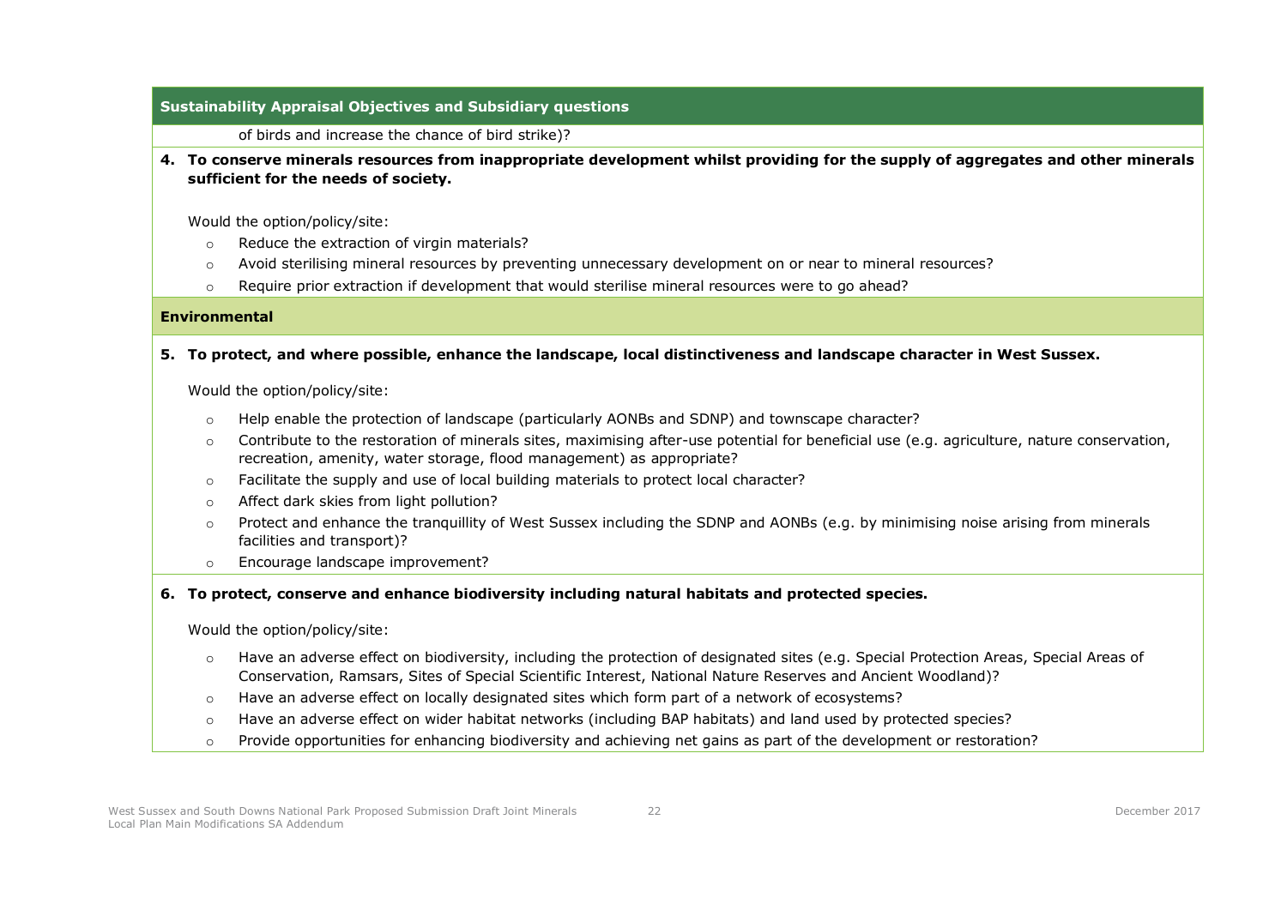### **Sustainability Appraisal Objectives and Subsidiary questions**

of birds and increase the chance of bird strike)?

**4. To conserve minerals resources from inappropriate development whilst providing for the supply of aggregates and other minerals sufficient for the needs of society.** 

Would the option/policy/site:

- o Reduce the extraction of virgin materials?
- o Avoid sterilising mineral resources by preventing unnecessary development on or near to mineral resources?
- o Require prior extraction if development that would sterilise mineral resources were to go ahead?

#### **Environmental**

**5. To protect, and where possible, enhance the landscape, local distinctiveness and landscape character in West Sussex.**

Would the option/policy/site:

- o Help enable the protection of landscape (particularly AONBs and SDNP) and townscape character?
- $\circ$  Contribute to the restoration of minerals sites, maximising after-use potential for beneficial use (e.g. agriculture, nature conservation, recreation, amenity, water storage, flood management) as appropriate?
- $\circ$  Facilitate the supply and use of local building materials to protect local character?
- o Affect dark skies from light pollution?
- $\circ$  Protect and enhance the tranquillity of West Sussex including the SDNP and AONBs (e.g. by minimising noise arising from minerals facilities and transport)?
- o Encourage landscape improvement?

### **6. To protect, conserve and enhance biodiversity including natural habitats and protected species.**

Would the option/policy/site:

- o Have an adverse effect on biodiversity, including the protection of designated sites (e.g. Special Protection Areas, Special Areas of Conservation, Ramsars, Sites of Special Scientific Interest, National Nature Reserves and Ancient Woodland)?
- o Have an adverse effect on locally designated sites which form part of a network of ecosystems?
- o Have an adverse effect on wider habitat networks (including BAP habitats) and land used by protected species?
- $\circ$  Provide opportunities for enhancing biodiversity and achieving net gains as part of the development or restoration?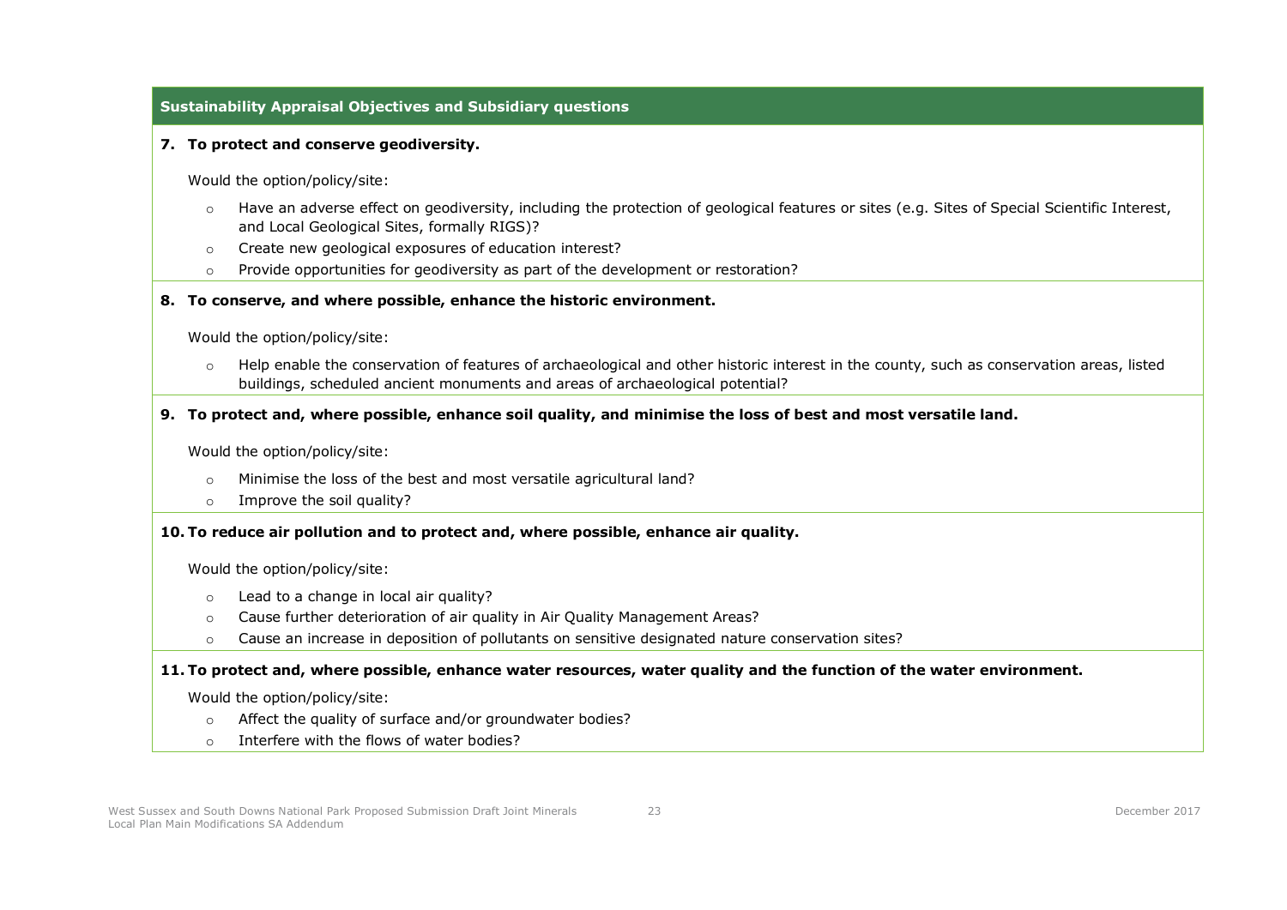### **Sustainability Appraisal Objectives and Subsidiary questions**

#### **7. To protect and conserve geodiversity.**

Would the option/policy/site:

- o Have an adverse effect on geodiversity, including the protection of geological features or sites (e.g. Sites of Special Scientific Interest, and Local Geological Sites, formally RIGS)?
- o Create new geological exposures of education interest?
- $\circ$  Provide opportunities for geodiversity as part of the development or restoration?

#### **8. To conserve, and where possible, enhance the historic environment.**

Would the option/policy/site:

o Help enable the conservation of features of archaeological and other historic interest in the county, such as conservation areas, listed buildings, scheduled ancient monuments and areas of archaeological potential?

#### **9. To protect and, where possible, enhance soil quality, and minimise the loss of best and most versatile land.**

Would the option/policy/site:

- o Minimise the loss of the best and most versatile agricultural land?
- o Improve the soil quality?

#### **10. To reduce air pollution and to protect and, where possible, enhance air quality.**

Would the option/policy/site:

- o Lead to a change in local air quality?
- o Cause further deterioration of air quality in Air Quality Management Areas?
- o Cause an increase in deposition of pollutants on sensitive designated nature conservation sites?

#### **11. To protect and, where possible, enhance water resources, water quality and the function of the water environment.**

Would the option/policy/site:

- o Affect the quality of surface and/or groundwater bodies?
- o Interfere with the flows of water bodies?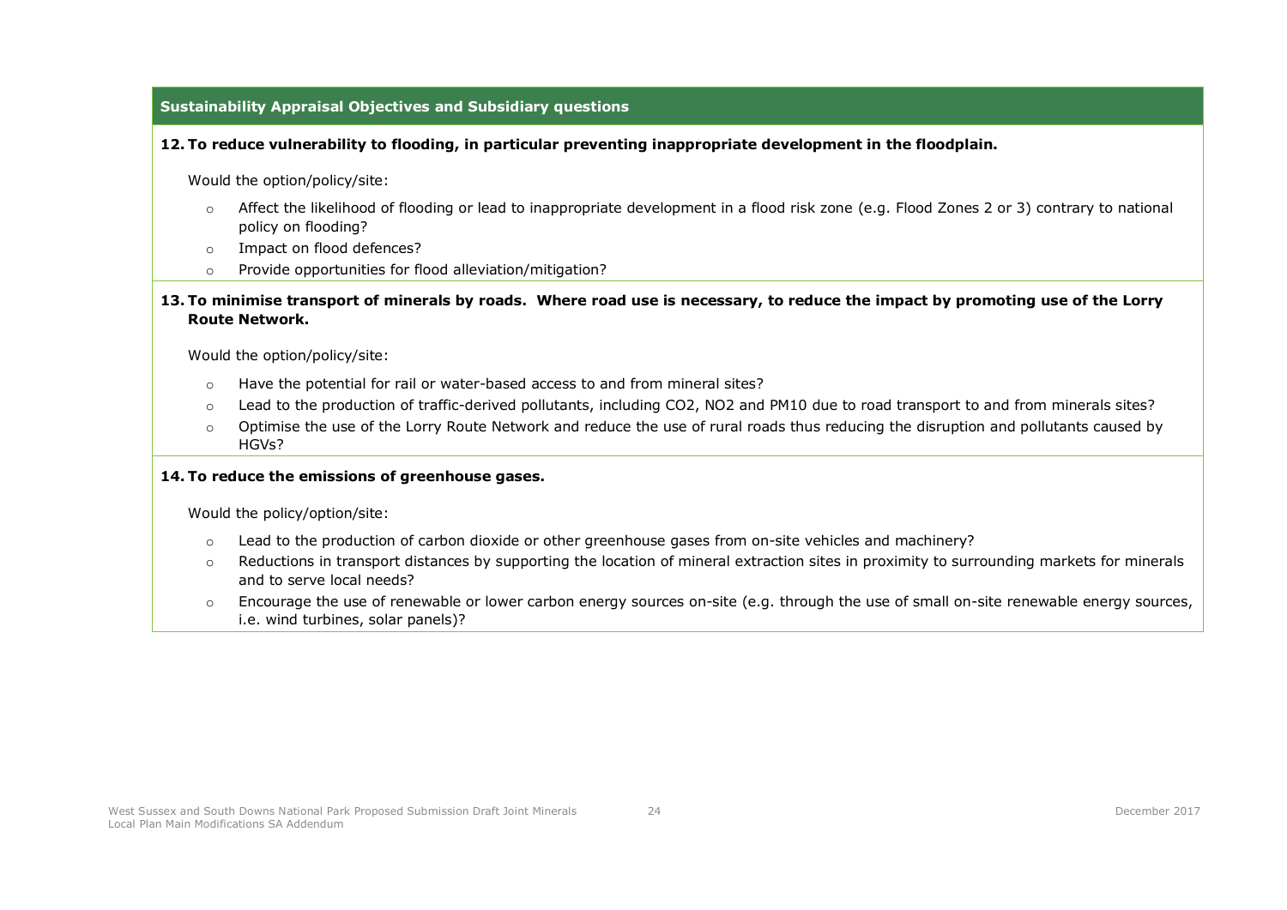### **Sustainability Appraisal Objectives and Subsidiary questions**

#### **12. To reduce vulnerability to flooding, in particular preventing inappropriate development in the floodplain.**

Would the option/policy/site:

- o Affect the likelihood of flooding or lead to inappropriate development in a flood risk zone (e.g. Flood Zones 2 or 3) contrary to national policy on flooding?
- o Impact on flood defences?
- o Provide opportunities for flood alleviation/mitigation?

#### **13. To minimise transport of minerals by roads. Where road use is necessary, to reduce the impact by promoting use of the Lorry Route Network.**

Would the option/policy/site:

- o Have the potential for rail or water-based access to and from mineral sites?
- o Lead to the production of traffic-derived pollutants, including CO2, NO2 and PM10 due to road transport to and from minerals sites?
- o Optimise the use of the Lorry Route Network and reduce the use of rural roads thus reducing the disruption and pollutants caused by HGVs?

### **14. To reduce the emissions of greenhouse gases.**

Would the policy/option/site:

- o Lead to the production of carbon dioxide or other greenhouse gases from on-site vehicles and machinery?
- o Reductions in transport distances by supporting the location of mineral extraction sites in proximity to surrounding markets for minerals and to serve local needs?
- o Encourage the use of renewable or lower carbon energy sources on-site (e.g. through the use of small on-site renewable energy sources, i.e. wind turbines, solar panels)?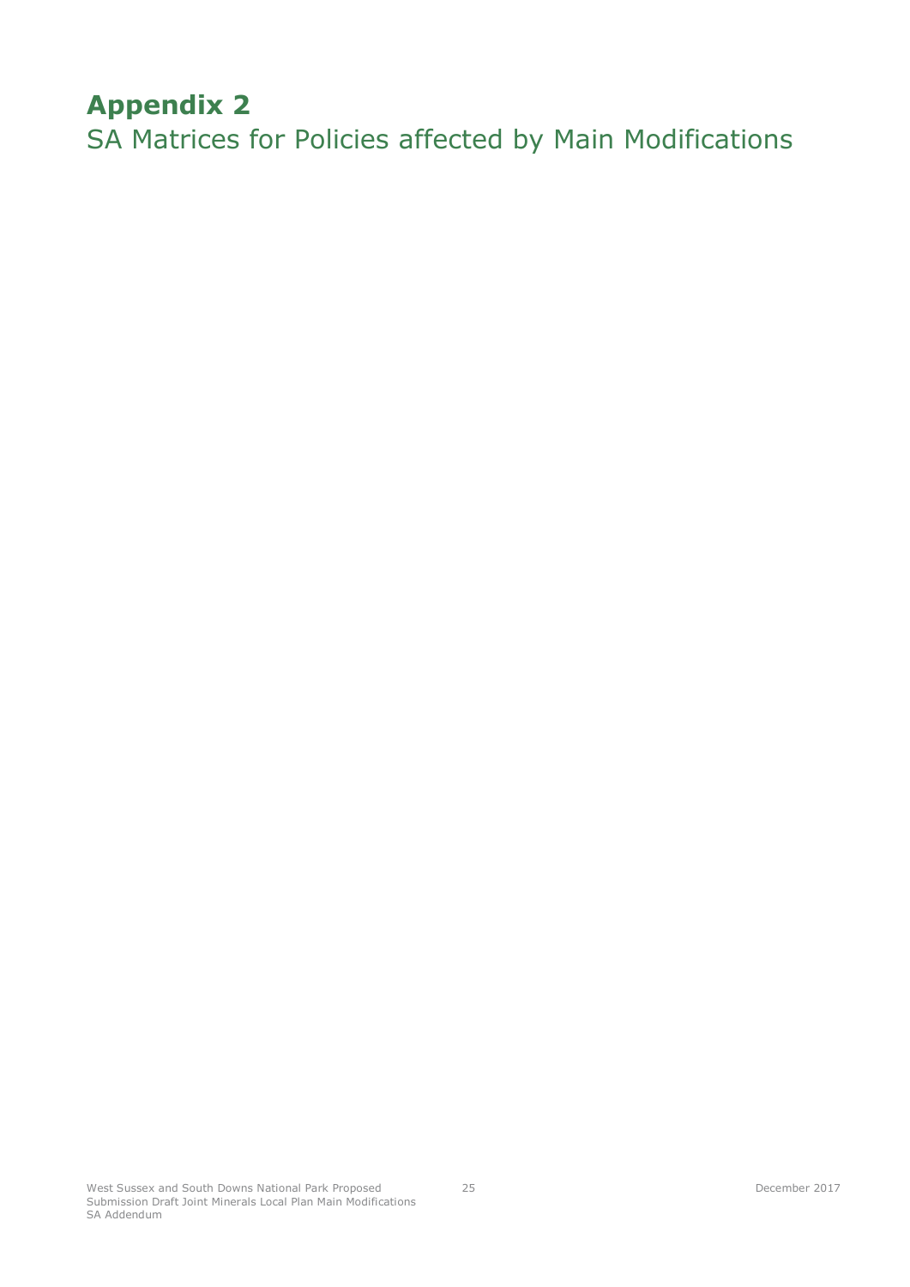# <span id="page-27-2"></span><span id="page-27-0"></span>**Appendix 2**

<span id="page-27-1"></span>SA Matrices for Policies affected by Main Modifications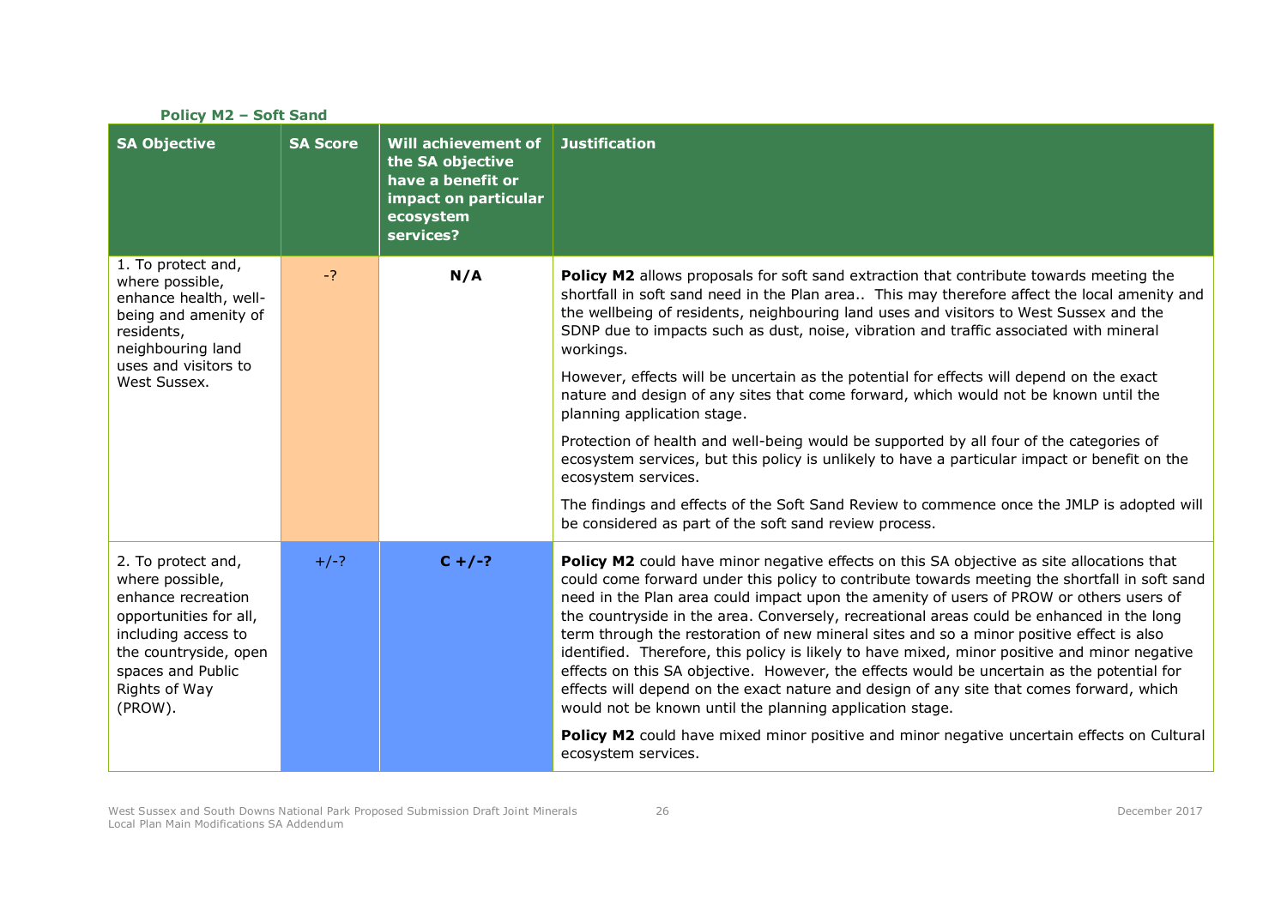| <b>Policy M2 - Soft Sand</b> |                                                                                                                       |                                                                                                                                                                                                                                                                                                                                                                                                                                                                                                                                                                                                                                                                                                                                                                                                                                                                                                                                                            |  |
|------------------------------|-----------------------------------------------------------------------------------------------------------------------|------------------------------------------------------------------------------------------------------------------------------------------------------------------------------------------------------------------------------------------------------------------------------------------------------------------------------------------------------------------------------------------------------------------------------------------------------------------------------------------------------------------------------------------------------------------------------------------------------------------------------------------------------------------------------------------------------------------------------------------------------------------------------------------------------------------------------------------------------------------------------------------------------------------------------------------------------------|--|
| <b>SA Score</b>              | <b>Will achievement of</b><br>the SA objective<br>have a benefit or<br>impact on particular<br>ecosystem<br>services? | <b>Justification</b>                                                                                                                                                                                                                                                                                                                                                                                                                                                                                                                                                                                                                                                                                                                                                                                                                                                                                                                                       |  |
| $-2$                         | N/A                                                                                                                   | Policy M2 allows proposals for soft sand extraction that contribute towards meeting the<br>shortfall in soft sand need in the Plan area This may therefore affect the local amenity and<br>the wellbeing of residents, neighbouring land uses and visitors to West Sussex and the<br>SDNP due to impacts such as dust, noise, vibration and traffic associated with mineral<br>workings.<br>However, effects will be uncertain as the potential for effects will depend on the exact<br>nature and design of any sites that come forward, which would not be known until the<br>planning application stage.<br>Protection of health and well-being would be supported by all four of the categories of                                                                                                                                                                                                                                                     |  |
|                              |                                                                                                                       | ecosystem services, but this policy is unlikely to have a particular impact or benefit on the<br>ecosystem services.<br>The findings and effects of the Soft Sand Review to commence once the JMLP is adopted will<br>be considered as part of the soft sand review process.                                                                                                                                                                                                                                                                                                                                                                                                                                                                                                                                                                                                                                                                               |  |
| $+/-?$                       | $C + / -?$                                                                                                            | Policy M2 could have minor negative effects on this SA objective as site allocations that<br>could come forward under this policy to contribute towards meeting the shortfall in soft sand<br>need in the Plan area could impact upon the amenity of users of PROW or others users of<br>the countryside in the area. Conversely, recreational areas could be enhanced in the long<br>term through the restoration of new mineral sites and so a minor positive effect is also<br>identified. Therefore, this policy is likely to have mixed, minor positive and minor negative<br>effects on this SA objective. However, the effects would be uncertain as the potential for<br>effects will depend on the exact nature and design of any site that comes forward, which<br>would not be known until the planning application stage.<br>Policy M2 could have mixed minor positive and minor negative uncertain effects on Cultural<br>ecosystem services. |  |
|                              |                                                                                                                       |                                                                                                                                                                                                                                                                                                                                                                                                                                                                                                                                                                                                                                                                                                                                                                                                                                                                                                                                                            |  |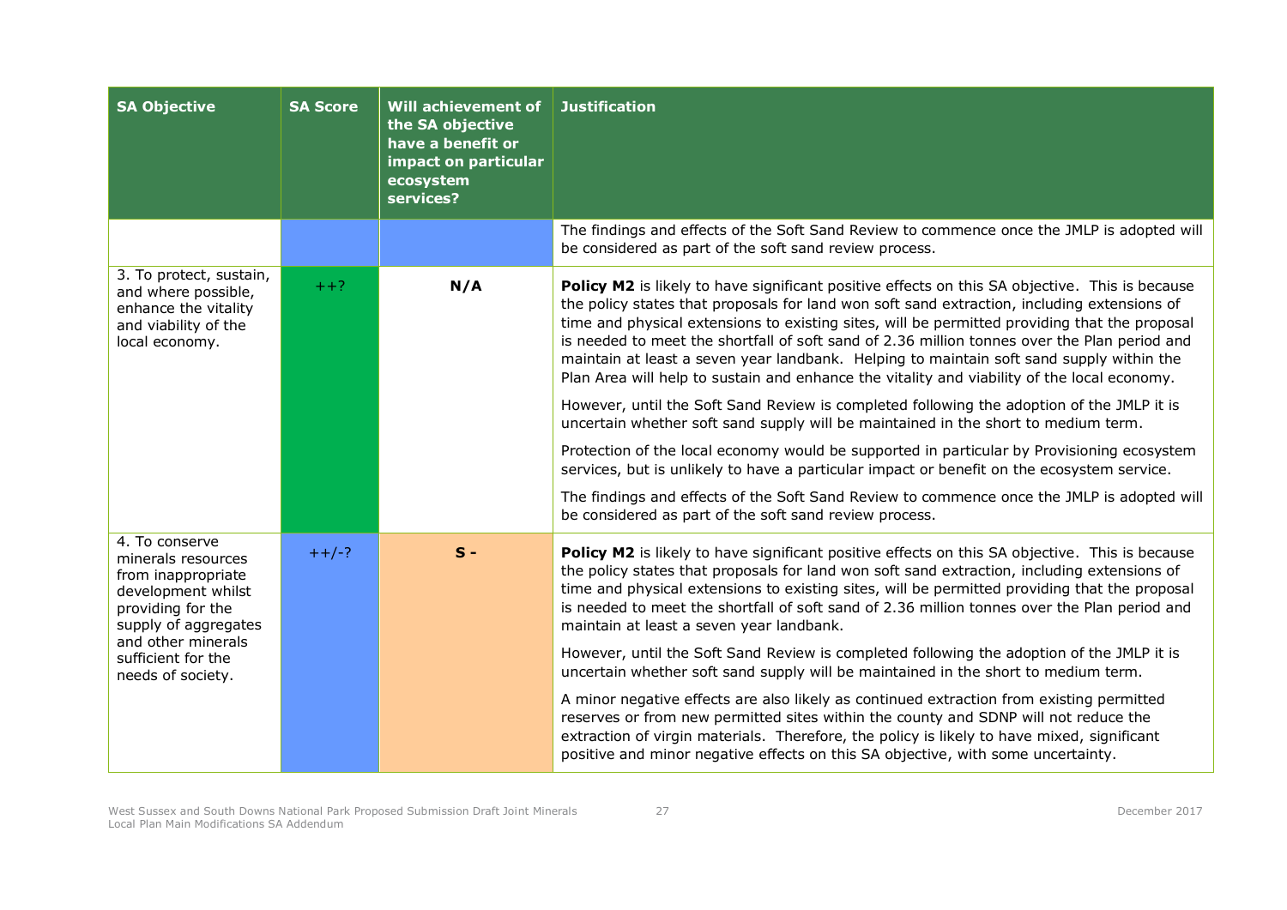| <b>SA Objective</b>                                                                                                                                                                            | <b>SA Score</b> | Will achievement of<br>the SA objective<br>have a benefit or<br>impact on particular<br>ecosystem<br>services? | <b>Justification</b>                                                                                                                                                                                                                                                                                                                                                                                                                                                                                                                                                                                                                                                                                                                                                                                                                                                                                                                                                                                                                                                                                                             |
|------------------------------------------------------------------------------------------------------------------------------------------------------------------------------------------------|-----------------|----------------------------------------------------------------------------------------------------------------|----------------------------------------------------------------------------------------------------------------------------------------------------------------------------------------------------------------------------------------------------------------------------------------------------------------------------------------------------------------------------------------------------------------------------------------------------------------------------------------------------------------------------------------------------------------------------------------------------------------------------------------------------------------------------------------------------------------------------------------------------------------------------------------------------------------------------------------------------------------------------------------------------------------------------------------------------------------------------------------------------------------------------------------------------------------------------------------------------------------------------------|
|                                                                                                                                                                                                |                 |                                                                                                                | The findings and effects of the Soft Sand Review to commence once the JMLP is adopted will<br>be considered as part of the soft sand review process.                                                                                                                                                                                                                                                                                                                                                                                                                                                                                                                                                                                                                                                                                                                                                                                                                                                                                                                                                                             |
| 3. To protect, sustain,<br>and where possible,<br>enhance the vitality<br>and viability of the<br>local economy.                                                                               | $++?$           | N/A                                                                                                            | Policy M2 is likely to have significant positive effects on this SA objective. This is because<br>the policy states that proposals for land won soft sand extraction, including extensions of<br>time and physical extensions to existing sites, will be permitted providing that the proposal<br>is needed to meet the shortfall of soft sand of 2.36 million tonnes over the Plan period and<br>maintain at least a seven year landbank. Helping to maintain soft sand supply within the<br>Plan Area will help to sustain and enhance the vitality and viability of the local economy.<br>However, until the Soft Sand Review is completed following the adoption of the JMLP it is<br>uncertain whether soft sand supply will be maintained in the short to medium term.<br>Protection of the local economy would be supported in particular by Provisioning ecosystem<br>services, but is unlikely to have a particular impact or benefit on the ecosystem service.<br>The findings and effects of the Soft Sand Review to commence once the JMLP is adopted will<br>be considered as part of the soft sand review process. |
| 4. To conserve<br>minerals resources<br>from inappropriate<br>development whilst<br>providing for the<br>supply of aggregates<br>and other minerals<br>sufficient for the<br>needs of society. | $++/-?$         | $S -$                                                                                                          | Policy M2 is likely to have significant positive effects on this SA objective. This is because<br>the policy states that proposals for land won soft sand extraction, including extensions of<br>time and physical extensions to existing sites, will be permitted providing that the proposal<br>is needed to meet the shortfall of soft sand of 2.36 million tonnes over the Plan period and<br>maintain at least a seven year landbank.<br>However, until the Soft Sand Review is completed following the adoption of the JMLP it is<br>uncertain whether soft sand supply will be maintained in the short to medium term.<br>A minor negative effects are also likely as continued extraction from existing permitted<br>reserves or from new permitted sites within the county and SDNP will not reduce the<br>extraction of virgin materials. Therefore, the policy is likely to have mixed, significant<br>positive and minor negative effects on this SA objective, with some uncertainty.                                                                                                                               |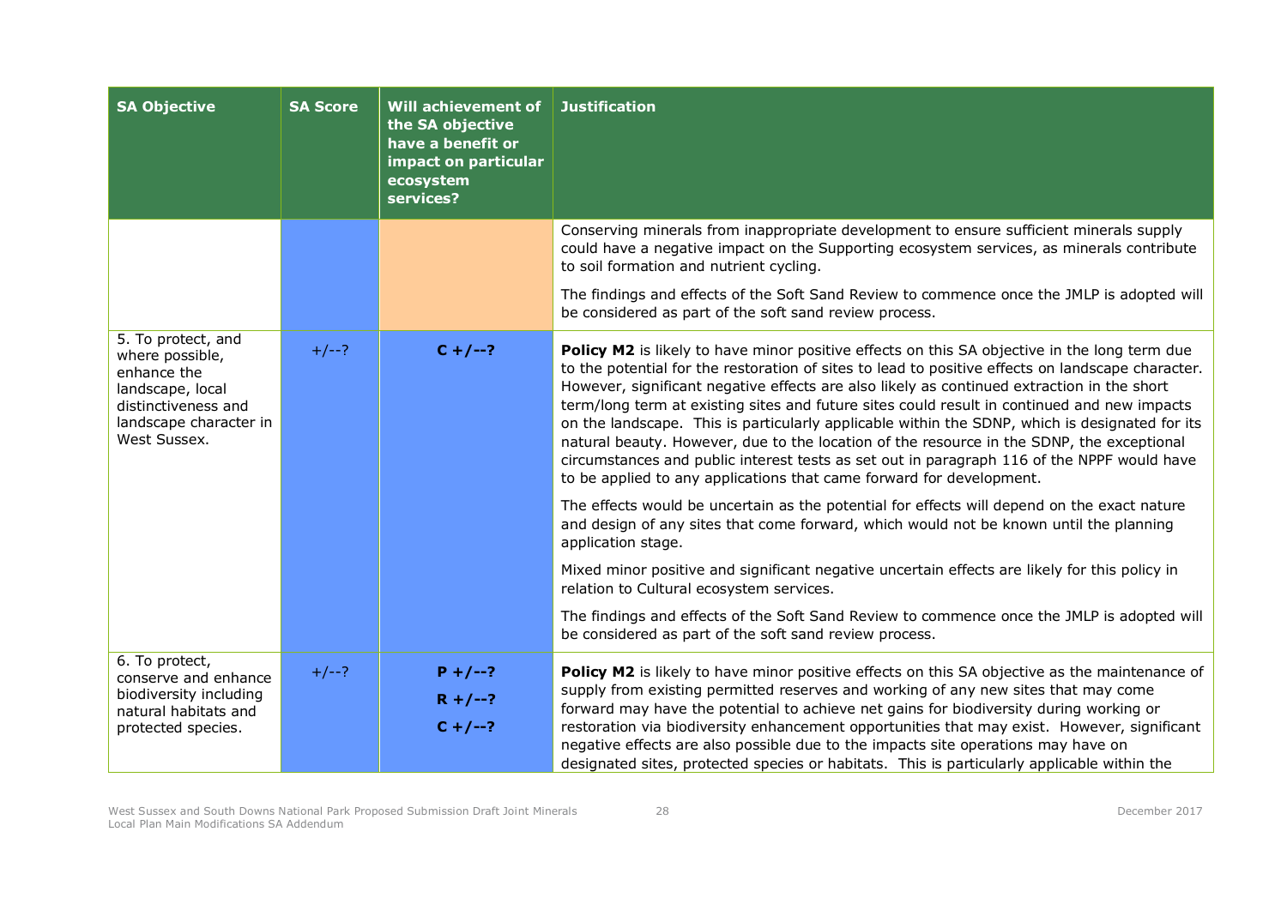| <b>SA Objective</b>                                                                                                                       | <b>SA Score</b> | Will achievement of<br>the SA objective<br>have a benefit or<br>impact on particular<br>ecosystem<br>services? | <b>Justification</b>                                                                                                                                                                                                                                                                                                                                                                                                                                                                                                                                                                                                                                                                                                                                                                                                                                                                                                                                                                                                                                                                                                                                                                                                                                                                    |
|-------------------------------------------------------------------------------------------------------------------------------------------|-----------------|----------------------------------------------------------------------------------------------------------------|-----------------------------------------------------------------------------------------------------------------------------------------------------------------------------------------------------------------------------------------------------------------------------------------------------------------------------------------------------------------------------------------------------------------------------------------------------------------------------------------------------------------------------------------------------------------------------------------------------------------------------------------------------------------------------------------------------------------------------------------------------------------------------------------------------------------------------------------------------------------------------------------------------------------------------------------------------------------------------------------------------------------------------------------------------------------------------------------------------------------------------------------------------------------------------------------------------------------------------------------------------------------------------------------|
|                                                                                                                                           |                 |                                                                                                                | Conserving minerals from inappropriate development to ensure sufficient minerals supply<br>could have a negative impact on the Supporting ecosystem services, as minerals contribute<br>to soil formation and nutrient cycling.                                                                                                                                                                                                                                                                                                                                                                                                                                                                                                                                                                                                                                                                                                                                                                                                                                                                                                                                                                                                                                                         |
|                                                                                                                                           |                 |                                                                                                                | The findings and effects of the Soft Sand Review to commence once the JMLP is adopted will<br>be considered as part of the soft sand review process.                                                                                                                                                                                                                                                                                                                                                                                                                                                                                                                                                                                                                                                                                                                                                                                                                                                                                                                                                                                                                                                                                                                                    |
| 5. To protect, and<br>where possible,<br>enhance the<br>landscape, local<br>distinctiveness and<br>landscape character in<br>West Sussex. | $+/--?$         | $C + / -$ ?                                                                                                    | Policy M2 is likely to have minor positive effects on this SA objective in the long term due<br>to the potential for the restoration of sites to lead to positive effects on landscape character.<br>However, significant negative effects are also likely as continued extraction in the short<br>term/long term at existing sites and future sites could result in continued and new impacts<br>on the landscape. This is particularly applicable within the SDNP, which is designated for its<br>natural beauty. However, due to the location of the resource in the SDNP, the exceptional<br>circumstances and public interest tests as set out in paragraph 116 of the NPPF would have<br>to be applied to any applications that came forward for development.<br>The effects would be uncertain as the potential for effects will depend on the exact nature<br>and design of any sites that come forward, which would not be known until the planning<br>application stage.<br>Mixed minor positive and significant negative uncertain effects are likely for this policy in<br>relation to Cultural ecosystem services.<br>The findings and effects of the Soft Sand Review to commence once the JMLP is adopted will<br>be considered as part of the soft sand review process. |
| 6. To protect,<br>conserve and enhance<br>biodiversity including<br>natural habitats and<br>protected species.                            | $+/--?$         | $P + / -$ ?<br>$R + / -2$<br>$C + / -2$                                                                        | Policy M2 is likely to have minor positive effects on this SA objective as the maintenance of<br>supply from existing permitted reserves and working of any new sites that may come<br>forward may have the potential to achieve net gains for biodiversity during working or<br>restoration via biodiversity enhancement opportunities that may exist. However, significant<br>negative effects are also possible due to the impacts site operations may have on<br>designated sites, protected species or habitats. This is particularly applicable within the                                                                                                                                                                                                                                                                                                                                                                                                                                                                                                                                                                                                                                                                                                                        |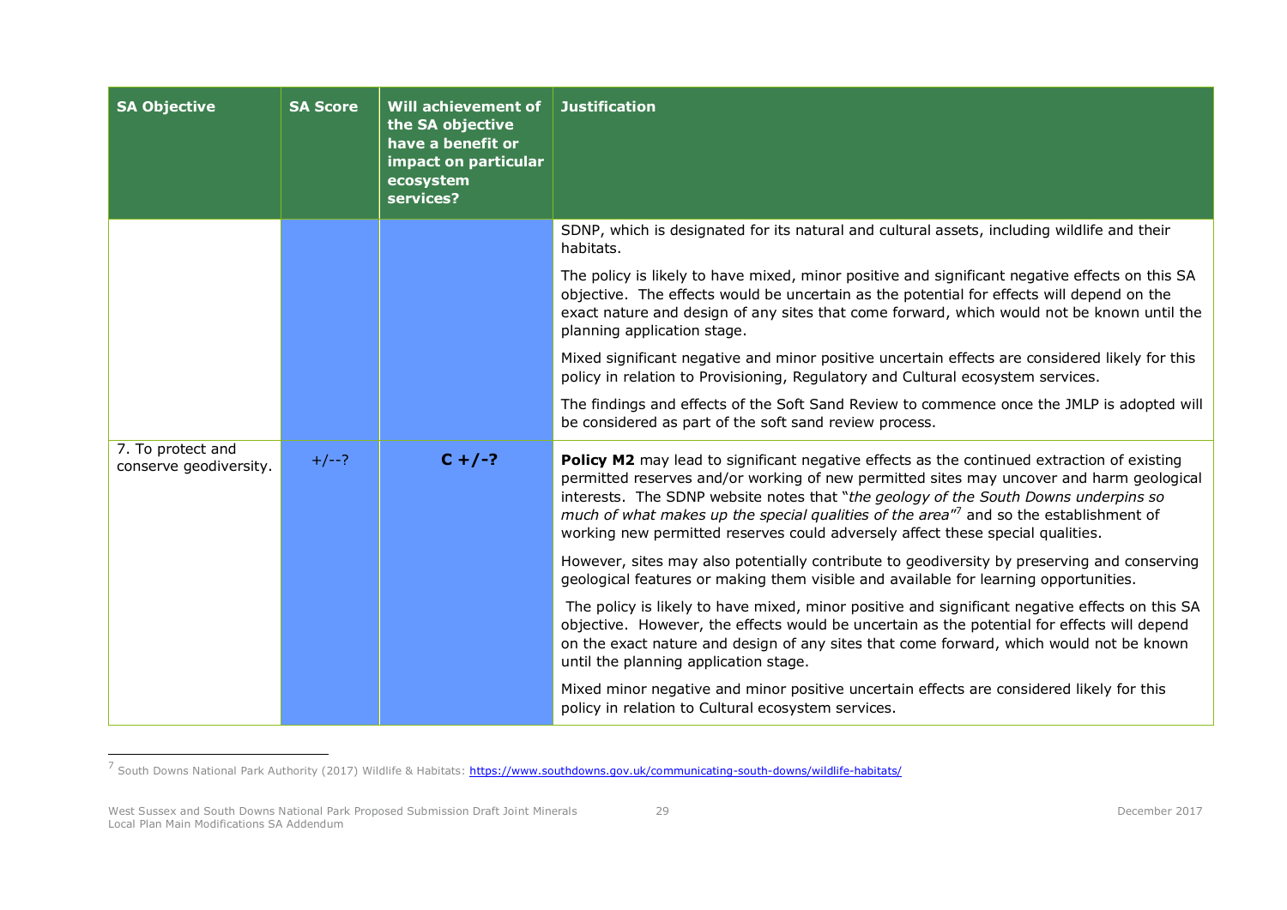| <b>SA Objective</b>                         | <b>SA Score</b> | Will achievement of<br>the SA objective<br>have a benefit or<br>impact on particular<br>ecosystem<br>services? | <b>Justification</b>                                                                                                                                                                                                                                                                                                                                                                                                                                                 |
|---------------------------------------------|-----------------|----------------------------------------------------------------------------------------------------------------|----------------------------------------------------------------------------------------------------------------------------------------------------------------------------------------------------------------------------------------------------------------------------------------------------------------------------------------------------------------------------------------------------------------------------------------------------------------------|
|                                             |                 |                                                                                                                | SDNP, which is designated for its natural and cultural assets, including wildlife and their<br>habitats.                                                                                                                                                                                                                                                                                                                                                             |
|                                             |                 |                                                                                                                | The policy is likely to have mixed, minor positive and significant negative effects on this SA<br>objective. The effects would be uncertain as the potential for effects will depend on the<br>exact nature and design of any sites that come forward, which would not be known until the<br>planning application stage.                                                                                                                                             |
|                                             |                 |                                                                                                                | Mixed significant negative and minor positive uncertain effects are considered likely for this<br>policy in relation to Provisioning, Regulatory and Cultural ecosystem services.                                                                                                                                                                                                                                                                                    |
|                                             |                 |                                                                                                                | The findings and effects of the Soft Sand Review to commence once the JMLP is adopted will<br>be considered as part of the soft sand review process.                                                                                                                                                                                                                                                                                                                 |
| 7. To protect and<br>conserve geodiversity. | $+/--?$         | $C + / -?$                                                                                                     | Policy M2 may lead to significant negative effects as the continued extraction of existing<br>permitted reserves and/or working of new permitted sites may uncover and harm geological<br>interests. The SDNP website notes that "the geology of the South Downs underpins so<br>much of what makes up the special qualities of the area" <sup>7</sup> and so the establishment of<br>working new permitted reserves could adversely affect these special qualities. |
|                                             |                 |                                                                                                                | However, sites may also potentially contribute to geodiversity by preserving and conserving<br>geological features or making them visible and available for learning opportunities.                                                                                                                                                                                                                                                                                  |
|                                             |                 |                                                                                                                | The policy is likely to have mixed, minor positive and significant negative effects on this SA<br>objective. However, the effects would be uncertain as the potential for effects will depend<br>on the exact nature and design of any sites that come forward, which would not be known<br>until the planning application stage.                                                                                                                                    |
|                                             |                 |                                                                                                                | Mixed minor negative and minor positive uncertain effects are considered likely for this<br>policy in relation to Cultural ecosystem services.                                                                                                                                                                                                                                                                                                                       |

<sup>–&</sup>lt;br><sup>7</sup> South Downs National Park Authority (2017) Wildlife & Habitats: <u>https://www.southdowns.gov.uk/communicating-south-downs/wildlife-habitats/</u>

West Sussex and South Downs National Park Proposed Submission Draft Joint Minerals Local Plan Main Modifications SA Addendum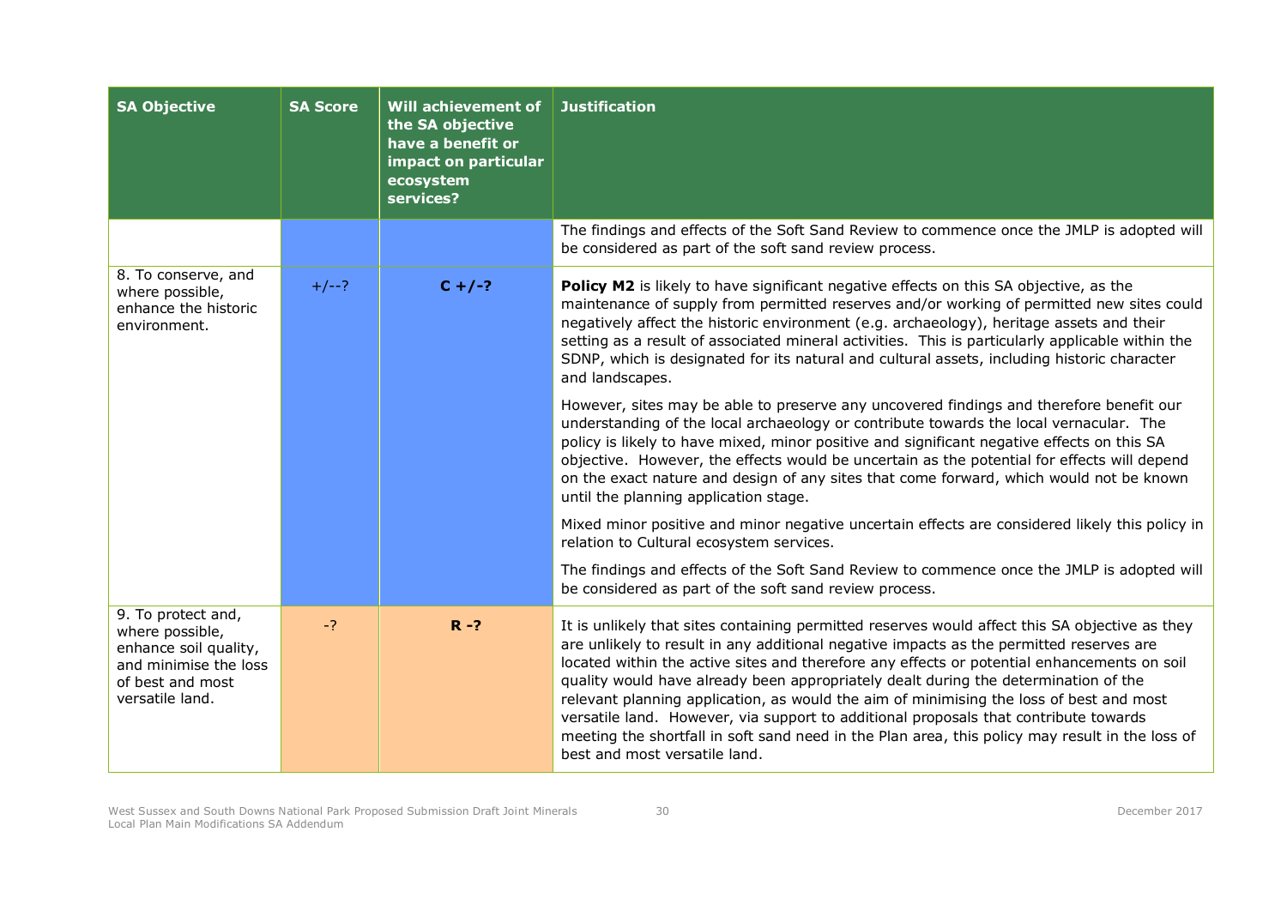| <b>SA Objective</b>                                                                                                            | <b>SA Score</b> | Will achievement of<br>the SA objective<br>have a benefit or<br>impact on particular<br>ecosystem<br>services? | <b>Justification</b>                                                                                                                                                                                                                                                                                                                                                                                                                                                                                                                                                                                                                                                                                   |
|--------------------------------------------------------------------------------------------------------------------------------|-----------------|----------------------------------------------------------------------------------------------------------------|--------------------------------------------------------------------------------------------------------------------------------------------------------------------------------------------------------------------------------------------------------------------------------------------------------------------------------------------------------------------------------------------------------------------------------------------------------------------------------------------------------------------------------------------------------------------------------------------------------------------------------------------------------------------------------------------------------|
|                                                                                                                                |                 |                                                                                                                | The findings and effects of the Soft Sand Review to commence once the JMLP is adopted will<br>be considered as part of the soft sand review process.                                                                                                                                                                                                                                                                                                                                                                                                                                                                                                                                                   |
| 8. To conserve, and<br>where possible,<br>enhance the historic<br>environment.                                                 | $+/--?$         | $C + / -?$                                                                                                     | Policy M2 is likely to have significant negative effects on this SA objective, as the<br>maintenance of supply from permitted reserves and/or working of permitted new sites could<br>negatively affect the historic environment (e.g. archaeology), heritage assets and their<br>setting as a result of associated mineral activities. This is particularly applicable within the<br>SDNP, which is designated for its natural and cultural assets, including historic character<br>and landscapes.                                                                                                                                                                                                   |
|                                                                                                                                |                 |                                                                                                                | However, sites may be able to preserve any uncovered findings and therefore benefit our<br>understanding of the local archaeology or contribute towards the local vernacular. The<br>policy is likely to have mixed, minor positive and significant negative effects on this SA<br>objective. However, the effects would be uncertain as the potential for effects will depend<br>on the exact nature and design of any sites that come forward, which would not be known<br>until the planning application stage.                                                                                                                                                                                     |
|                                                                                                                                |                 |                                                                                                                | Mixed minor positive and minor negative uncertain effects are considered likely this policy in<br>relation to Cultural ecosystem services.                                                                                                                                                                                                                                                                                                                                                                                                                                                                                                                                                             |
|                                                                                                                                |                 |                                                                                                                | The findings and effects of the Soft Sand Review to commence once the JMLP is adopted will<br>be considered as part of the soft sand review process.                                                                                                                                                                                                                                                                                                                                                                                                                                                                                                                                                   |
| 9. To protect and,<br>where possible,<br>enhance soil quality,<br>and minimise the loss<br>of best and most<br>versatile land. | $-2$            | $R - ?$                                                                                                        | It is unlikely that sites containing permitted reserves would affect this SA objective as they<br>are unlikely to result in any additional negative impacts as the permitted reserves are<br>located within the active sites and therefore any effects or potential enhancements on soil<br>quality would have already been appropriately dealt during the determination of the<br>relevant planning application, as would the aim of minimising the loss of best and most<br>versatile land. However, via support to additional proposals that contribute towards<br>meeting the shortfall in soft sand need in the Plan area, this policy may result in the loss of<br>best and most versatile land. |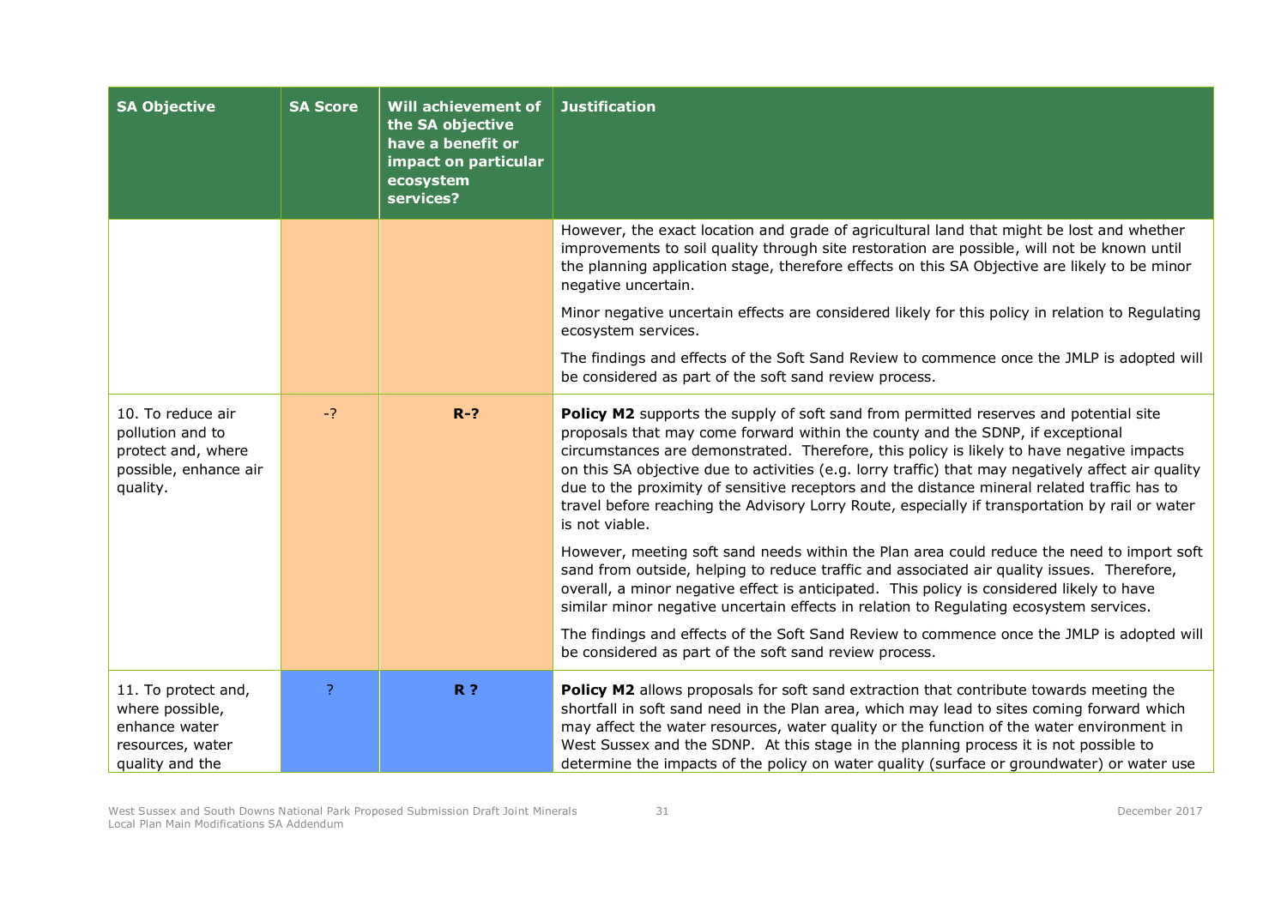| <b>SA Objective</b>                                                                              | <b>SA Score</b> | Will achievement of<br>the SA objective<br>have a benefit or<br>impact on particular<br>ecosystem<br>services? | <b>Justification</b>                                                                                                                                                                                                                                                                                                                                                                                                                                                                                                                                                                          |
|--------------------------------------------------------------------------------------------------|-----------------|----------------------------------------------------------------------------------------------------------------|-----------------------------------------------------------------------------------------------------------------------------------------------------------------------------------------------------------------------------------------------------------------------------------------------------------------------------------------------------------------------------------------------------------------------------------------------------------------------------------------------------------------------------------------------------------------------------------------------|
|                                                                                                  |                 |                                                                                                                | However, the exact location and grade of agricultural land that might be lost and whether<br>improvements to soil quality through site restoration are possible, will not be known until<br>the planning application stage, therefore effects on this SA Objective are likely to be minor<br>negative uncertain.                                                                                                                                                                                                                                                                              |
|                                                                                                  |                 |                                                                                                                | Minor negative uncertain effects are considered likely for this policy in relation to Regulating<br>ecosystem services.                                                                                                                                                                                                                                                                                                                                                                                                                                                                       |
|                                                                                                  |                 |                                                                                                                | The findings and effects of the Soft Sand Review to commence once the JMLP is adopted will<br>be considered as part of the soft sand review process.                                                                                                                                                                                                                                                                                                                                                                                                                                          |
| 10. To reduce air<br>pollution and to<br>protect and, where<br>possible, enhance air<br>quality. | $-?$            | $R-?$                                                                                                          | Policy M2 supports the supply of soft sand from permitted reserves and potential site<br>proposals that may come forward within the county and the SDNP, if exceptional<br>circumstances are demonstrated. Therefore, this policy is likely to have negative impacts<br>on this SA objective due to activities (e.g. lorry traffic) that may negatively affect air quality<br>due to the proximity of sensitive receptors and the distance mineral related traffic has to<br>travel before reaching the Advisory Lorry Route, especially if transportation by rail or water<br>is not viable. |
|                                                                                                  |                 |                                                                                                                | However, meeting soft sand needs within the Plan area could reduce the need to import soft<br>sand from outside, helping to reduce traffic and associated air quality issues. Therefore,<br>overall, a minor negative effect is anticipated. This policy is considered likely to have<br>similar minor negative uncertain effects in relation to Regulating ecosystem services.                                                                                                                                                                                                               |
|                                                                                                  |                 |                                                                                                                | The findings and effects of the Soft Sand Review to commence once the JMLP is adopted will<br>be considered as part of the soft sand review process.                                                                                                                                                                                                                                                                                                                                                                                                                                          |
| 11. To protect and,<br>where possible,<br>enhance water<br>resources, water<br>quality and the   | ?               | R <sub>2</sub>                                                                                                 | Policy M2 allows proposals for soft sand extraction that contribute towards meeting the<br>shortfall in soft sand need in the Plan area, which may lead to sites coming forward which<br>may affect the water resources, water quality or the function of the water environment in<br>West Sussex and the SDNP. At this stage in the planning process it is not possible to<br>determine the impacts of the policy on water quality (surface or groundwater) or water use                                                                                                                     |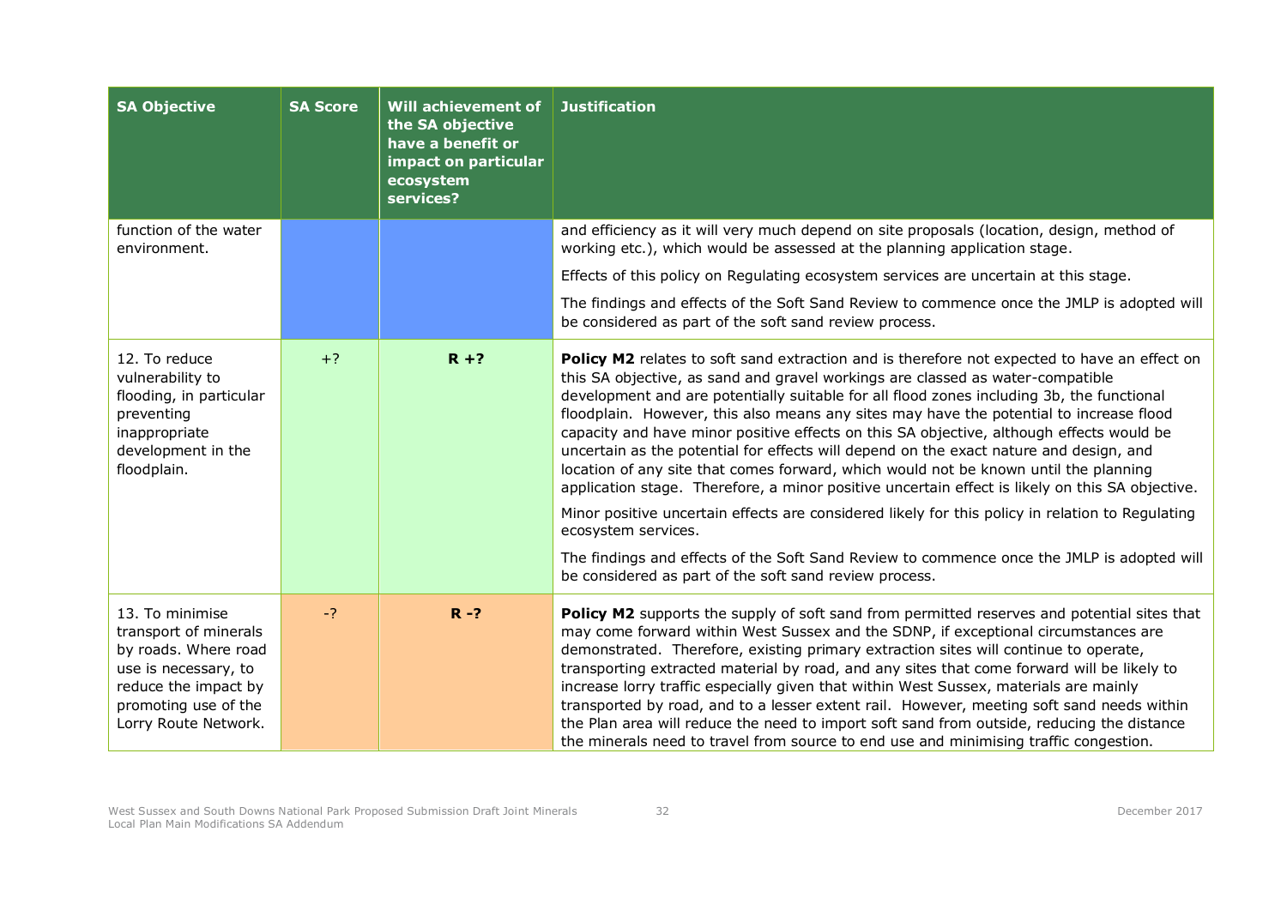| <b>SA Objective</b>                                                                                                                                              | <b>SA Score</b> | Will achievement of<br>the SA objective<br>have a benefit or<br>impact on particular<br>ecosystem<br>services? | <b>Justification</b>                                                                                                                                                                                                                                                                                                                                                                                                                                                                                                                                                                                                                                                                                                                                                                                                                                                                                                                                                                                                                       |
|------------------------------------------------------------------------------------------------------------------------------------------------------------------|-----------------|----------------------------------------------------------------------------------------------------------------|--------------------------------------------------------------------------------------------------------------------------------------------------------------------------------------------------------------------------------------------------------------------------------------------------------------------------------------------------------------------------------------------------------------------------------------------------------------------------------------------------------------------------------------------------------------------------------------------------------------------------------------------------------------------------------------------------------------------------------------------------------------------------------------------------------------------------------------------------------------------------------------------------------------------------------------------------------------------------------------------------------------------------------------------|
| function of the water<br>environment.                                                                                                                            |                 |                                                                                                                | and efficiency as it will very much depend on site proposals (location, design, method of<br>working etc.), which would be assessed at the planning application stage.                                                                                                                                                                                                                                                                                                                                                                                                                                                                                                                                                                                                                                                                                                                                                                                                                                                                     |
|                                                                                                                                                                  |                 |                                                                                                                | Effects of this policy on Regulating ecosystem services are uncertain at this stage.                                                                                                                                                                                                                                                                                                                                                                                                                                                                                                                                                                                                                                                                                                                                                                                                                                                                                                                                                       |
|                                                                                                                                                                  |                 |                                                                                                                | The findings and effects of the Soft Sand Review to commence once the JMLP is adopted will<br>be considered as part of the soft sand review process.                                                                                                                                                                                                                                                                                                                                                                                                                                                                                                                                                                                                                                                                                                                                                                                                                                                                                       |
| 12. To reduce<br>vulnerability to<br>flooding, in particular<br>preventing<br>inappropriate<br>development in the<br>floodplain.                                 | $+?$            | $R + ?$                                                                                                        | Policy M2 relates to soft sand extraction and is therefore not expected to have an effect on<br>this SA objective, as sand and gravel workings are classed as water-compatible<br>development and are potentially suitable for all flood zones including 3b, the functional<br>floodplain. However, this also means any sites may have the potential to increase flood<br>capacity and have minor positive effects on this SA objective, although effects would be<br>uncertain as the potential for effects will depend on the exact nature and design, and<br>location of any site that comes forward, which would not be known until the planning<br>application stage. Therefore, a minor positive uncertain effect is likely on this SA objective.<br>Minor positive uncertain effects are considered likely for this policy in relation to Regulating<br>ecosystem services.<br>The findings and effects of the Soft Sand Review to commence once the JMLP is adopted will<br>be considered as part of the soft sand review process. |
| 13. To minimise<br>transport of minerals<br>by roads. Where road<br>use is necessary, to<br>reduce the impact by<br>promoting use of the<br>Lorry Route Network. | $-2$            | $R - ?$                                                                                                        | Policy M2 supports the supply of soft sand from permitted reserves and potential sites that<br>may come forward within West Sussex and the SDNP, if exceptional circumstances are<br>demonstrated. Therefore, existing primary extraction sites will continue to operate,<br>transporting extracted material by road, and any sites that come forward will be likely to<br>increase lorry traffic especially given that within West Sussex, materials are mainly<br>transported by road, and to a lesser extent rail. However, meeting soft sand needs within<br>the Plan area will reduce the need to import soft sand from outside, reducing the distance<br>the minerals need to travel from source to end use and minimising traffic congestion.                                                                                                                                                                                                                                                                                       |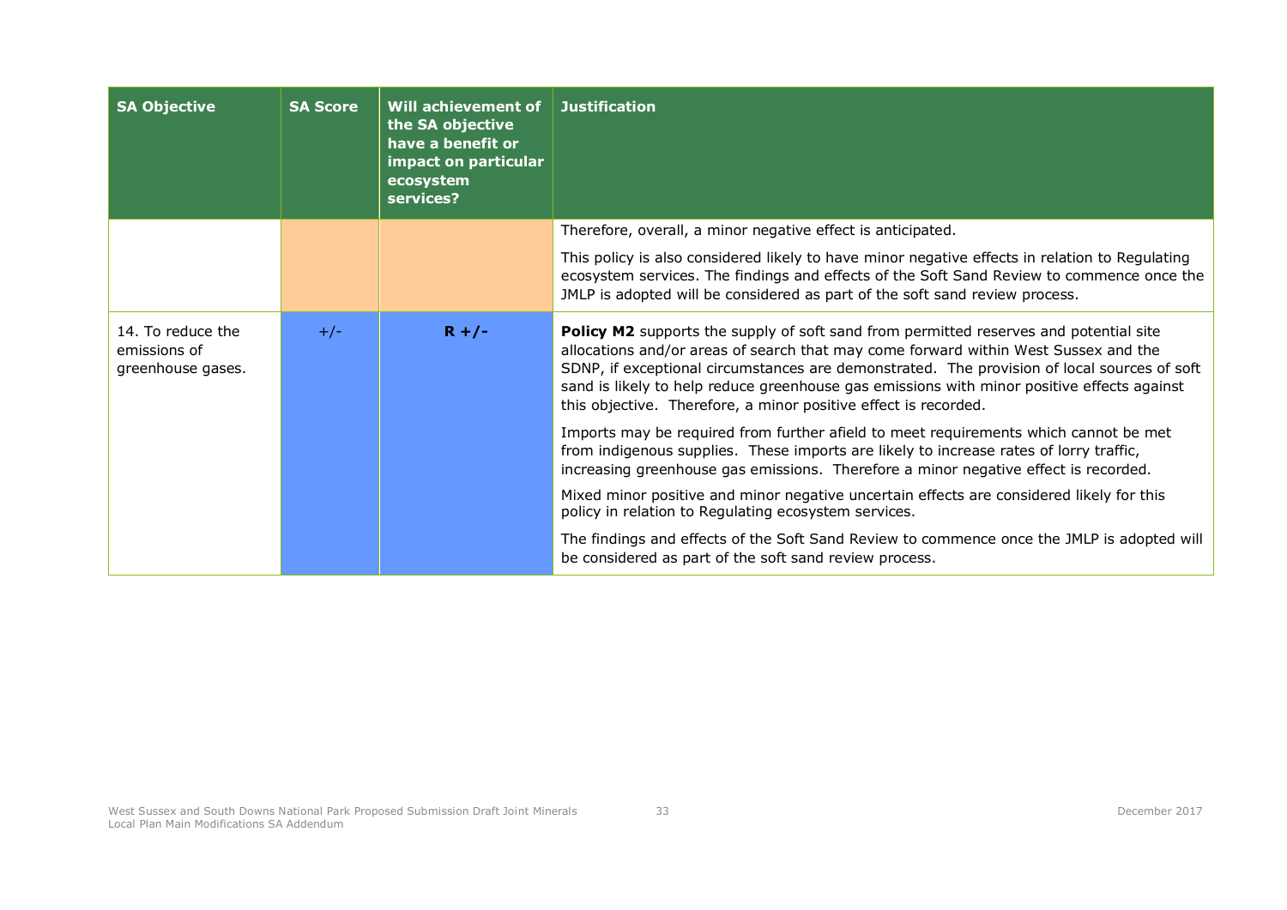| <b>SA Objective</b>                                    | <b>SA Score</b> | Will achievement of<br>the SA objective<br>have a benefit or<br>impact on particular<br>ecosystem<br>services? | <b>Justification</b>                                                                                                                                                                                                                                                                                                                                                                                                                                |
|--------------------------------------------------------|-----------------|----------------------------------------------------------------------------------------------------------------|-----------------------------------------------------------------------------------------------------------------------------------------------------------------------------------------------------------------------------------------------------------------------------------------------------------------------------------------------------------------------------------------------------------------------------------------------------|
|                                                        |                 |                                                                                                                | Therefore, overall, a minor negative effect is anticipated.                                                                                                                                                                                                                                                                                                                                                                                         |
|                                                        |                 |                                                                                                                | This policy is also considered likely to have minor negative effects in relation to Regulating<br>ecosystem services. The findings and effects of the Soft Sand Review to commence once the<br>JMLP is adopted will be considered as part of the soft sand review process.                                                                                                                                                                          |
| 14. To reduce the<br>emissions of<br>greenhouse gases. | $+/-$           | $R + / -$                                                                                                      | <b>Policy M2</b> supports the supply of soft sand from permitted reserves and potential site<br>allocations and/or areas of search that may come forward within West Sussex and the<br>SDNP, if exceptional circumstances are demonstrated. The provision of local sources of soft<br>sand is likely to help reduce greenhouse gas emissions with minor positive effects against<br>this objective. Therefore, a minor positive effect is recorded. |
|                                                        |                 |                                                                                                                | Imports may be required from further afield to meet requirements which cannot be met<br>from indigenous supplies. These imports are likely to increase rates of lorry traffic,<br>increasing greenhouse gas emissions. Therefore a minor negative effect is recorded.                                                                                                                                                                               |
|                                                        |                 |                                                                                                                | Mixed minor positive and minor negative uncertain effects are considered likely for this<br>policy in relation to Regulating ecosystem services.                                                                                                                                                                                                                                                                                                    |
|                                                        |                 |                                                                                                                | The findings and effects of the Soft Sand Review to commence once the JMLP is adopted will<br>be considered as part of the soft sand review process.                                                                                                                                                                                                                                                                                                |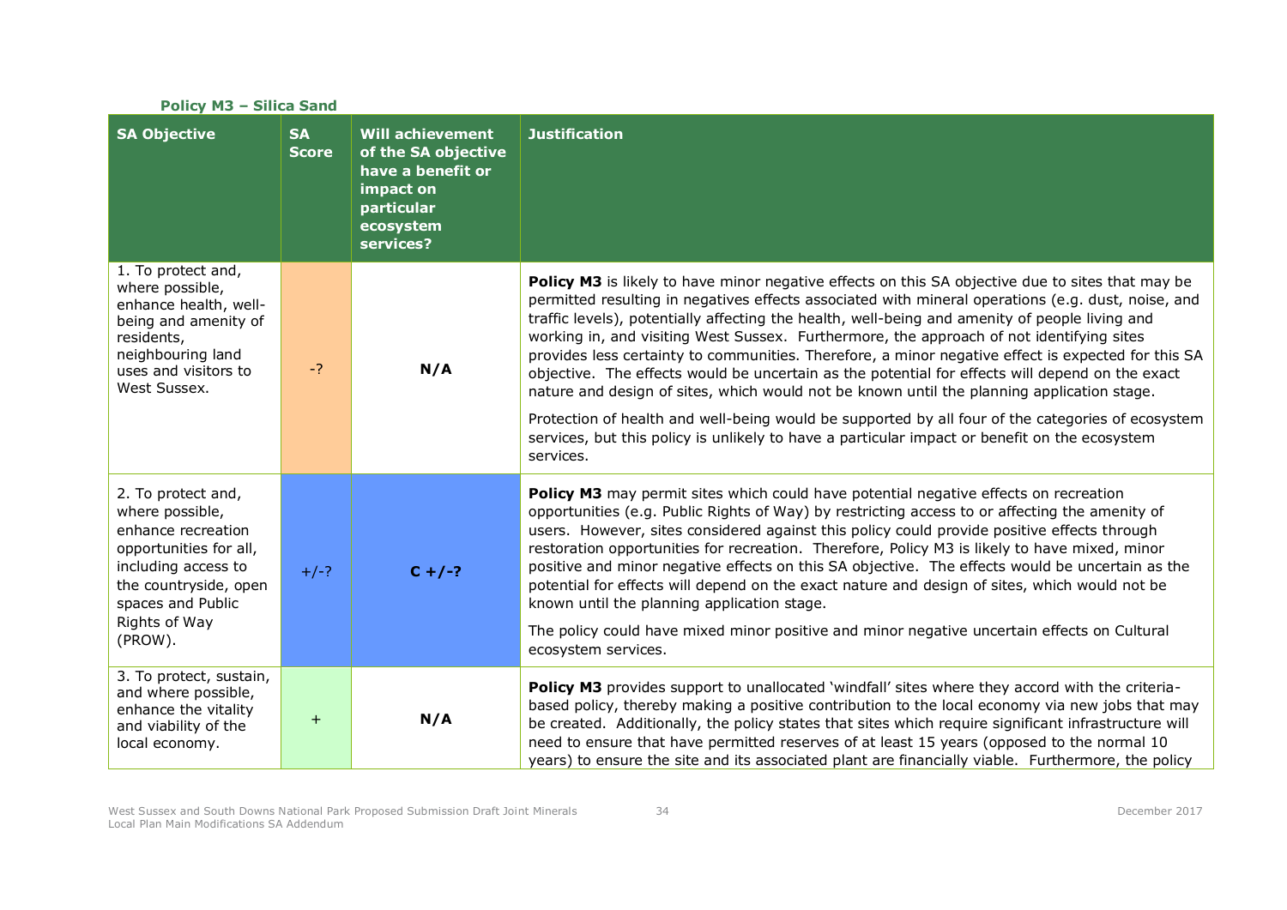| <b>Policy M3 - Silica Sand</b>                                                                                                                                                         |                           |                                                                                                                          |                                                                                                                                                                                                                                                                                                                                                                                                                                                                                                                                                                                                                                                                                                                                                                                                                                                                                                                                |  |
|----------------------------------------------------------------------------------------------------------------------------------------------------------------------------------------|---------------------------|--------------------------------------------------------------------------------------------------------------------------|--------------------------------------------------------------------------------------------------------------------------------------------------------------------------------------------------------------------------------------------------------------------------------------------------------------------------------------------------------------------------------------------------------------------------------------------------------------------------------------------------------------------------------------------------------------------------------------------------------------------------------------------------------------------------------------------------------------------------------------------------------------------------------------------------------------------------------------------------------------------------------------------------------------------------------|--|
| <b>SA Objective</b>                                                                                                                                                                    | <b>SA</b><br><b>Score</b> | <b>Will achievement</b><br>of the SA objective<br>have a benefit or<br>impact on<br>particular<br>ecosystem<br>services? | <b>Justification</b>                                                                                                                                                                                                                                                                                                                                                                                                                                                                                                                                                                                                                                                                                                                                                                                                                                                                                                           |  |
| 1. To protect and,<br>where possible,<br>enhance health, well-<br>being and amenity of<br>residents,<br>neighbouring land<br>uses and visitors to<br>West Sussex.                      | $-2$                      | N/A                                                                                                                      | Policy M3 is likely to have minor negative effects on this SA objective due to sites that may be<br>permitted resulting in negatives effects associated with mineral operations (e.g. dust, noise, and<br>traffic levels), potentially affecting the health, well-being and amenity of people living and<br>working in, and visiting West Sussex. Furthermore, the approach of not identifying sites<br>provides less certainty to communities. Therefore, a minor negative effect is expected for this SA<br>objective. The effects would be uncertain as the potential for effects will depend on the exact<br>nature and design of sites, which would not be known until the planning application stage.<br>Protection of health and well-being would be supported by all four of the categories of ecosystem<br>services, but this policy is unlikely to have a particular impact or benefit on the ecosystem<br>services. |  |
| 2. To protect and,<br>where possible,<br>enhance recreation<br>opportunities for all,<br>including access to<br>the countryside, open<br>spaces and Public<br>Rights of Way<br>(PROW). | $+/-?$                    | $C + / -?$                                                                                                               | <b>Policy M3</b> may permit sites which could have potential negative effects on recreation<br>opportunities (e.g. Public Rights of Way) by restricting access to or affecting the amenity of<br>users. However, sites considered against this policy could provide positive effects through<br>restoration opportunities for recreation. Therefore, Policy M3 is likely to have mixed, minor<br>positive and minor negative effects on this SA objective. The effects would be uncertain as the<br>potential for effects will depend on the exact nature and design of sites, which would not be<br>known until the planning application stage.<br>The policy could have mixed minor positive and minor negative uncertain effects on Cultural<br>ecosystem services.                                                                                                                                                         |  |
| 3. To protect, sustain,<br>and where possible,<br>enhance the vitality<br>and viability of the<br>local economy.                                                                       | $+$                       | N/A                                                                                                                      | Policy M3 provides support to unallocated 'windfall' sites where they accord with the criteria-<br>based policy, thereby making a positive contribution to the local economy via new jobs that may<br>be created. Additionally, the policy states that sites which require significant infrastructure will<br>need to ensure that have permitted reserves of at least 15 years (opposed to the normal 10<br>years) to ensure the site and its associated plant are financially viable. Furthermore, the policy                                                                                                                                                                                                                                                                                                                                                                                                                 |  |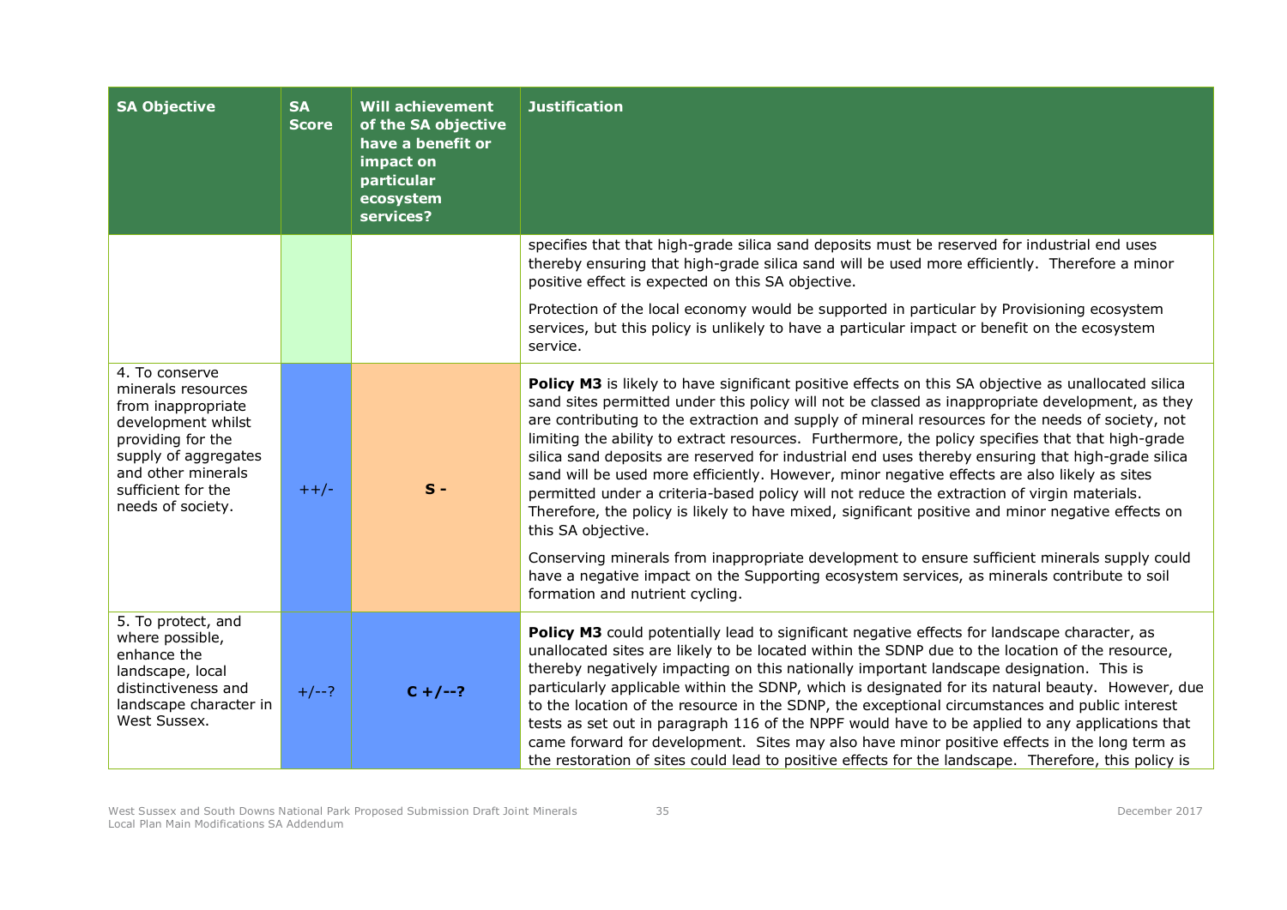| <b>SA Objective</b>                                                                                                                                                                            | <b>SA</b><br><b>Score</b> | <b>Will achievement</b><br>of the SA objective<br>have a benefit or<br>impact on<br>particular<br>ecosystem<br>services? | <b>Justification</b>                                                                                                                                                                                                                                                                                                                                                                                                                                                                                                                                                                                                                                                                                                                                                                                                                                                                                                                                                                                                                                                               |
|------------------------------------------------------------------------------------------------------------------------------------------------------------------------------------------------|---------------------------|--------------------------------------------------------------------------------------------------------------------------|------------------------------------------------------------------------------------------------------------------------------------------------------------------------------------------------------------------------------------------------------------------------------------------------------------------------------------------------------------------------------------------------------------------------------------------------------------------------------------------------------------------------------------------------------------------------------------------------------------------------------------------------------------------------------------------------------------------------------------------------------------------------------------------------------------------------------------------------------------------------------------------------------------------------------------------------------------------------------------------------------------------------------------------------------------------------------------|
|                                                                                                                                                                                                |                           |                                                                                                                          | specifies that that high-grade silica sand deposits must be reserved for industrial end uses<br>thereby ensuring that high-grade silica sand will be used more efficiently. Therefore a minor<br>positive effect is expected on this SA objective.                                                                                                                                                                                                                                                                                                                                                                                                                                                                                                                                                                                                                                                                                                                                                                                                                                 |
|                                                                                                                                                                                                |                           |                                                                                                                          | Protection of the local economy would be supported in particular by Provisioning ecosystem<br>services, but this policy is unlikely to have a particular impact or benefit on the ecosystem<br>service.                                                                                                                                                                                                                                                                                                                                                                                                                                                                                                                                                                                                                                                                                                                                                                                                                                                                            |
| 4. To conserve<br>minerals resources<br>from inappropriate<br>development whilst<br>providing for the<br>supply of aggregates<br>and other minerals<br>sufficient for the<br>needs of society. | $++/-$                    | $S -$                                                                                                                    | Policy M3 is likely to have significant positive effects on this SA objective as unallocated silica<br>sand sites permitted under this policy will not be classed as inappropriate development, as they<br>are contributing to the extraction and supply of mineral resources for the needs of society, not<br>limiting the ability to extract resources. Furthermore, the policy specifies that that high-grade<br>silica sand deposits are reserved for industrial end uses thereby ensuring that high-grade silica<br>sand will be used more efficiently. However, minor negative effects are also likely as sites<br>permitted under a criteria-based policy will not reduce the extraction of virgin materials.<br>Therefore, the policy is likely to have mixed, significant positive and minor negative effects on<br>this SA objective.<br>Conserving minerals from inappropriate development to ensure sufficient minerals supply could<br>have a negative impact on the Supporting ecosystem services, as minerals contribute to soil<br>formation and nutrient cycling. |
| 5. To protect, and<br>where possible,<br>enhance the<br>landscape, local<br>distinctiveness and<br>landscape character in<br>West Sussex.                                                      | $+/--?$                   | $C + / -2$                                                                                                               | Policy M3 could potentially lead to significant negative effects for landscape character, as<br>unallocated sites are likely to be located within the SDNP due to the location of the resource,<br>thereby negatively impacting on this nationally important landscape designation. This is<br>particularly applicable within the SDNP, which is designated for its natural beauty. However, due<br>to the location of the resource in the SDNP, the exceptional circumstances and public interest<br>tests as set out in paragraph 116 of the NPPF would have to be applied to any applications that<br>came forward for development. Sites may also have minor positive effects in the long term as<br>the restoration of sites could lead to positive effects for the landscape. Therefore, this policy is                                                                                                                                                                                                                                                                      |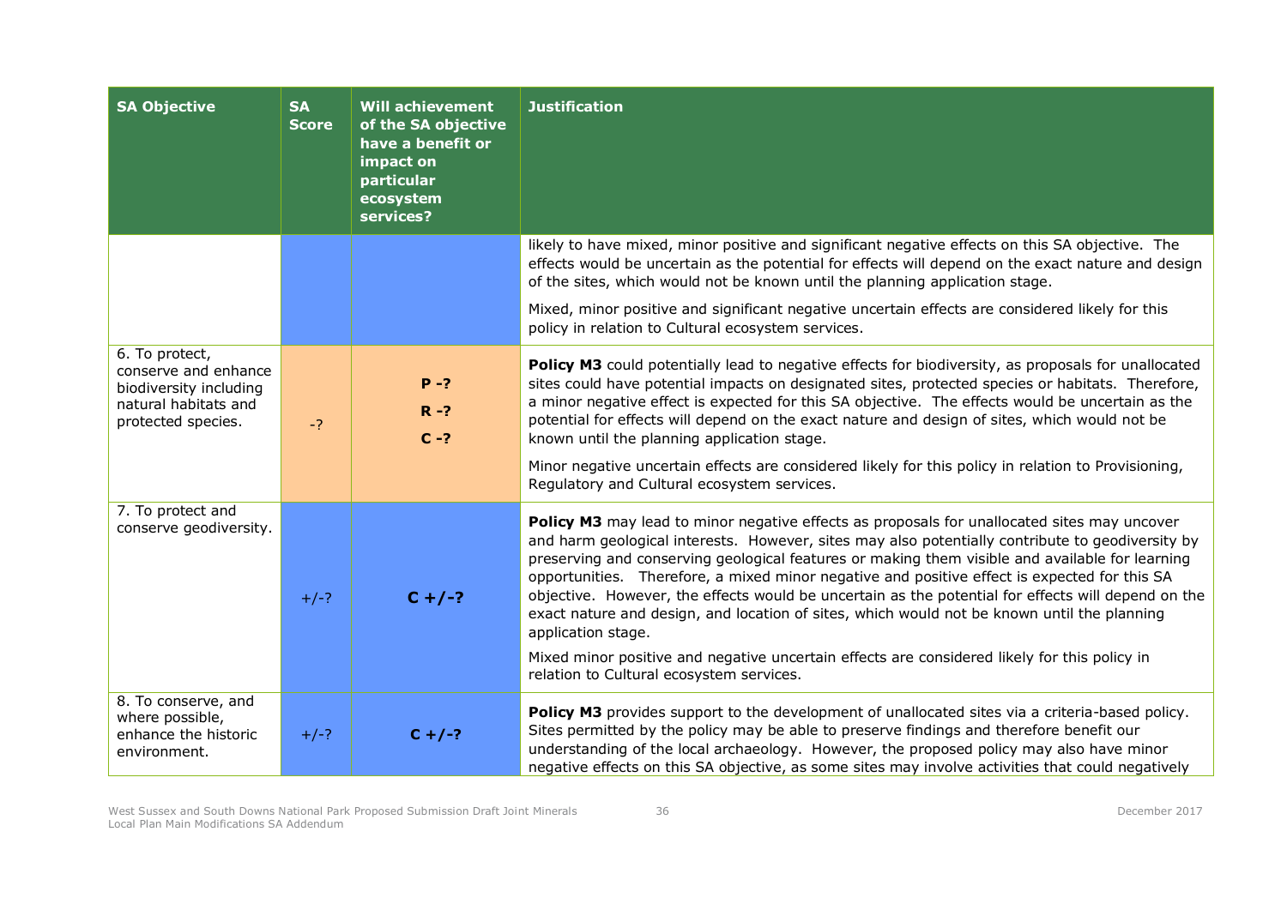| <b>SA Objective</b>                                                                                            | <b>SA</b><br><b>Score</b> | <b>Will achievement</b><br>of the SA objective<br>have a benefit or<br>impact on<br>particular<br>ecosystem<br>services? | <b>Justification</b>                                                                                                                                                                                                                                                                                                                                                                                                                                                                                                                                                                                                                                                                                                                                                      |
|----------------------------------------------------------------------------------------------------------------|---------------------------|--------------------------------------------------------------------------------------------------------------------------|---------------------------------------------------------------------------------------------------------------------------------------------------------------------------------------------------------------------------------------------------------------------------------------------------------------------------------------------------------------------------------------------------------------------------------------------------------------------------------------------------------------------------------------------------------------------------------------------------------------------------------------------------------------------------------------------------------------------------------------------------------------------------|
|                                                                                                                |                           |                                                                                                                          | likely to have mixed, minor positive and significant negative effects on this SA objective. The<br>effects would be uncertain as the potential for effects will depend on the exact nature and design<br>of the sites, which would not be known until the planning application stage.                                                                                                                                                                                                                                                                                                                                                                                                                                                                                     |
|                                                                                                                |                           |                                                                                                                          | Mixed, minor positive and significant negative uncertain effects are considered likely for this<br>policy in relation to Cultural ecosystem services.                                                                                                                                                                                                                                                                                                                                                                                                                                                                                                                                                                                                                     |
| 6. To protect,<br>conserve and enhance<br>biodiversity including<br>natural habitats and<br>protected species. | $-2$                      | $P - ?$<br>$R - ?$<br>$C - ?$                                                                                            | Policy M3 could potentially lead to negative effects for biodiversity, as proposals for unallocated<br>sites could have potential impacts on designated sites, protected species or habitats. Therefore,<br>a minor negative effect is expected for this SA objective. The effects would be uncertain as the<br>potential for effects will depend on the exact nature and design of sites, which would not be<br>known until the planning application stage.<br>Minor negative uncertain effects are considered likely for this policy in relation to Provisioning,<br>Regulatory and Cultural ecosystem services.                                                                                                                                                        |
| 7. To protect and<br>conserve geodiversity.                                                                    | $+/-?$                    | $C + / -?$                                                                                                               | Policy M3 may lead to minor negative effects as proposals for unallocated sites may uncover<br>and harm geological interests. However, sites may also potentially contribute to geodiversity by<br>preserving and conserving geological features or making them visible and available for learning<br>opportunities. Therefore, a mixed minor negative and positive effect is expected for this SA<br>objective. However, the effects would be uncertain as the potential for effects will depend on the<br>exact nature and design, and location of sites, which would not be known until the planning<br>application stage.<br>Mixed minor positive and negative uncertain effects are considered likely for this policy in<br>relation to Cultural ecosystem services. |
| 8. To conserve, and<br>where possible,<br>enhance the historic<br>environment.                                 | $+/-?$                    | $C + / -?$                                                                                                               | Policy M3 provides support to the development of unallocated sites via a criteria-based policy.<br>Sites permitted by the policy may be able to preserve findings and therefore benefit our<br>understanding of the local archaeology. However, the proposed policy may also have minor<br>negative effects on this SA objective, as some sites may involve activities that could negatively                                                                                                                                                                                                                                                                                                                                                                              |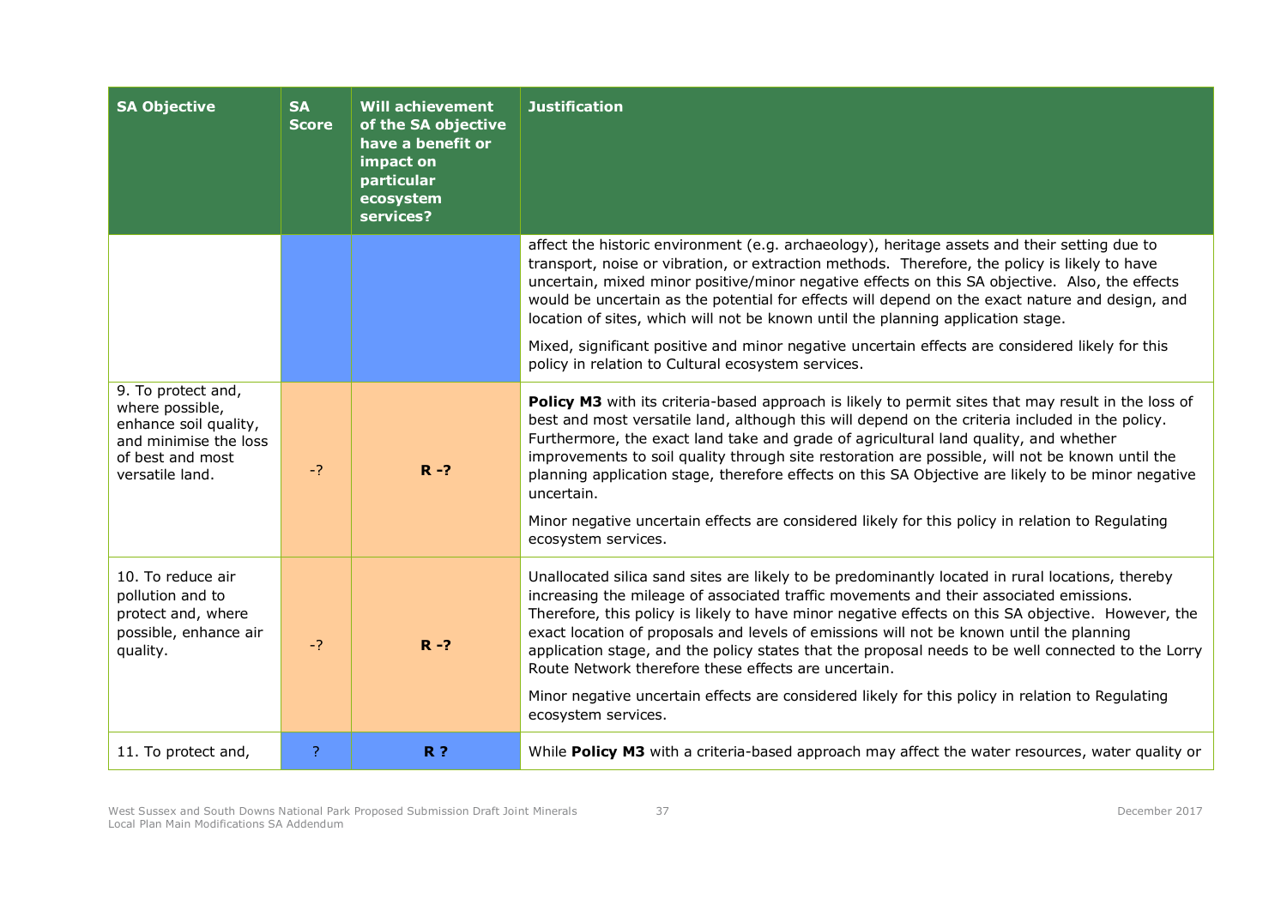| <b>SA Objective</b>                                                                                                            | <b>SA</b><br><b>Score</b> | <b>Will achievement</b><br>of the SA objective<br>have a benefit or<br>impact on<br>particular<br>ecosystem<br>services? | <b>Justification</b>                                                                                                                                                                                                                                                                                                                                                                                                                                                                                                                                                                                                                                                                  |
|--------------------------------------------------------------------------------------------------------------------------------|---------------------------|--------------------------------------------------------------------------------------------------------------------------|---------------------------------------------------------------------------------------------------------------------------------------------------------------------------------------------------------------------------------------------------------------------------------------------------------------------------------------------------------------------------------------------------------------------------------------------------------------------------------------------------------------------------------------------------------------------------------------------------------------------------------------------------------------------------------------|
|                                                                                                                                |                           |                                                                                                                          | affect the historic environment (e.g. archaeology), heritage assets and their setting due to<br>transport, noise or vibration, or extraction methods. Therefore, the policy is likely to have<br>uncertain, mixed minor positive/minor negative effects on this SA objective. Also, the effects<br>would be uncertain as the potential for effects will depend on the exact nature and design, and<br>location of sites, which will not be known until the planning application stage.                                                                                                                                                                                                |
|                                                                                                                                |                           |                                                                                                                          | Mixed, significant positive and minor negative uncertain effects are considered likely for this<br>policy in relation to Cultural ecosystem services.                                                                                                                                                                                                                                                                                                                                                                                                                                                                                                                                 |
| 9. To protect and,<br>where possible,<br>enhance soil quality,<br>and minimise the loss<br>of best and most<br>versatile land. | $-2$                      | $R - ?$                                                                                                                  | Policy M3 with its criteria-based approach is likely to permit sites that may result in the loss of<br>best and most versatile land, although this will depend on the criteria included in the policy.<br>Furthermore, the exact land take and grade of agricultural land quality, and whether<br>improvements to soil quality through site restoration are possible, will not be known until the<br>planning application stage, therefore effects on this SA Objective are likely to be minor negative<br>uncertain.<br>Minor negative uncertain effects are considered likely for this policy in relation to Regulating<br>ecosystem services.                                      |
| 10. To reduce air<br>pollution and to<br>protect and, where<br>possible, enhance air<br>quality.                               | $-2$                      | $R - ?$                                                                                                                  | Unallocated silica sand sites are likely to be predominantly located in rural locations, thereby<br>increasing the mileage of associated traffic movements and their associated emissions.<br>Therefore, this policy is likely to have minor negative effects on this SA objective. However, the<br>exact location of proposals and levels of emissions will not be known until the planning<br>application stage, and the policy states that the proposal needs to be well connected to the Lorry<br>Route Network therefore these effects are uncertain.<br>Minor negative uncertain effects are considered likely for this policy in relation to Regulating<br>ecosystem services. |
| 11. To protect and,                                                                                                            | ?                         | <b>R</b> ?                                                                                                               | While Policy M3 with a criteria-based approach may affect the water resources, water quality or                                                                                                                                                                                                                                                                                                                                                                                                                                                                                                                                                                                       |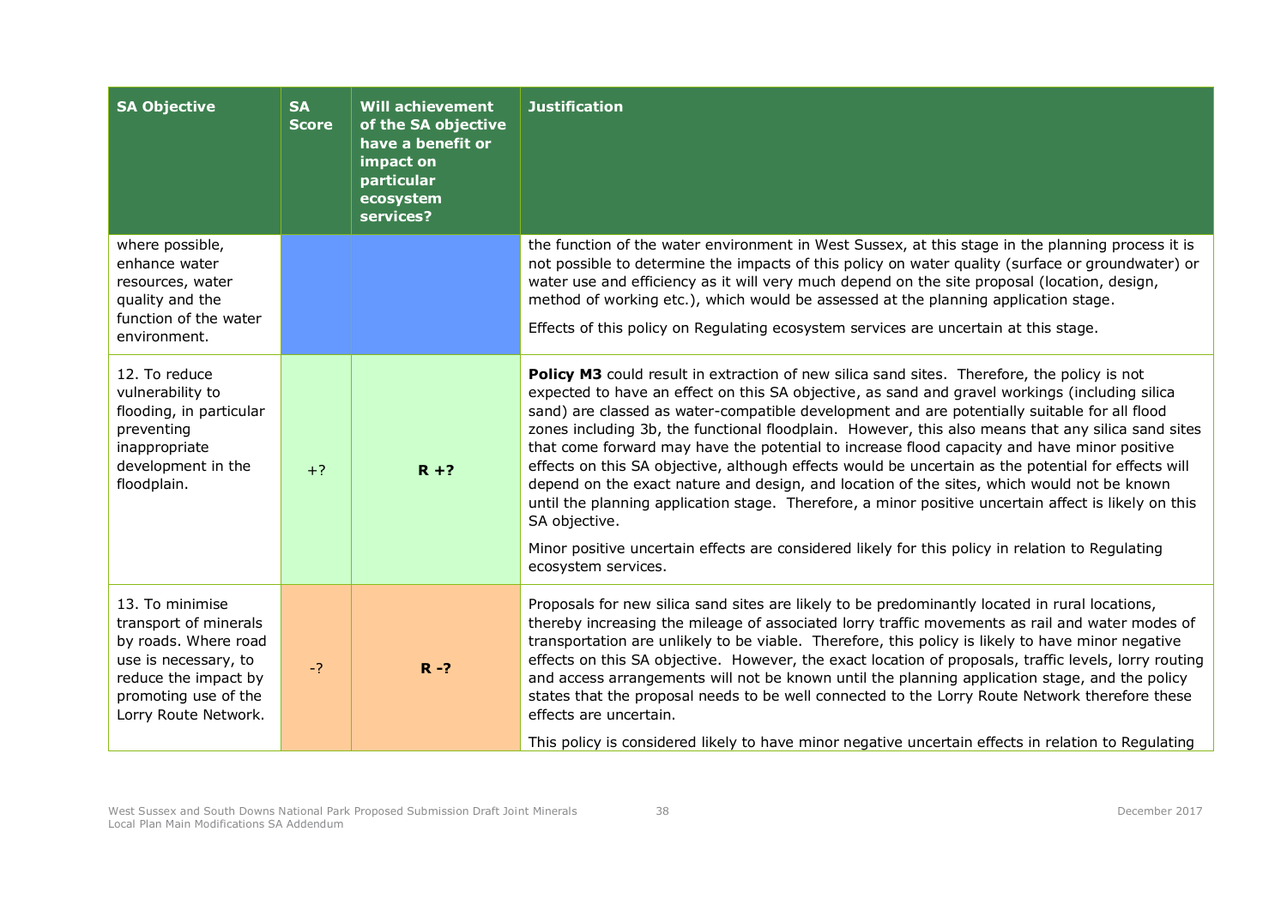| <b>SA Objective</b>                                                                                                                                              | <b>SA</b><br><b>Score</b> | <b>Will achievement</b><br>of the SA objective<br>have a benefit or<br>impact on<br>particular<br>ecosystem<br>services? | <b>Justification</b>                                                                                                                                                                                                                                                                                                                                                                                                                                                                                                                                                                                                                                                                                                                                                                                                                                                                                                                                        |
|------------------------------------------------------------------------------------------------------------------------------------------------------------------|---------------------------|--------------------------------------------------------------------------------------------------------------------------|-------------------------------------------------------------------------------------------------------------------------------------------------------------------------------------------------------------------------------------------------------------------------------------------------------------------------------------------------------------------------------------------------------------------------------------------------------------------------------------------------------------------------------------------------------------------------------------------------------------------------------------------------------------------------------------------------------------------------------------------------------------------------------------------------------------------------------------------------------------------------------------------------------------------------------------------------------------|
| where possible,<br>enhance water<br>resources, water<br>quality and the<br>function of the water<br>environment.                                                 |                           |                                                                                                                          | the function of the water environment in West Sussex, at this stage in the planning process it is<br>not possible to determine the impacts of this policy on water quality (surface or groundwater) or<br>water use and efficiency as it will very much depend on the site proposal (location, design,<br>method of working etc.), which would be assessed at the planning application stage.<br>Effects of this policy on Regulating ecosystem services are uncertain at this stage.                                                                                                                                                                                                                                                                                                                                                                                                                                                                       |
| 12. To reduce<br>vulnerability to<br>flooding, in particular<br>preventing<br>inappropriate<br>development in the<br>floodplain.                                 | $+?$                      | $R + ?$                                                                                                                  | Policy M3 could result in extraction of new silica sand sites. Therefore, the policy is not<br>expected to have an effect on this SA objective, as sand and gravel workings (including silica<br>sand) are classed as water-compatible development and are potentially suitable for all flood<br>zones including 3b, the functional floodplain. However, this also means that any silica sand sites<br>that come forward may have the potential to increase flood capacity and have minor positive<br>effects on this SA objective, although effects would be uncertain as the potential for effects will<br>depend on the exact nature and design, and location of the sites, which would not be known<br>until the planning application stage. Therefore, a minor positive uncertain affect is likely on this<br>SA objective.<br>Minor positive uncertain effects are considered likely for this policy in relation to Regulating<br>ecosystem services. |
| 13. To minimise<br>transport of minerals<br>by roads. Where road<br>use is necessary, to<br>reduce the impact by<br>promoting use of the<br>Lorry Route Network. | $-2$                      | $R - ?$                                                                                                                  | Proposals for new silica sand sites are likely to be predominantly located in rural locations,<br>thereby increasing the mileage of associated lorry traffic movements as rail and water modes of<br>transportation are unlikely to be viable. Therefore, this policy is likely to have minor negative<br>effects on this SA objective. However, the exact location of proposals, traffic levels, lorry routing<br>and access arrangements will not be known until the planning application stage, and the policy<br>states that the proposal needs to be well connected to the Lorry Route Network therefore these<br>effects are uncertain.<br>This policy is considered likely to have minor negative uncertain effects in relation to Regulating                                                                                                                                                                                                        |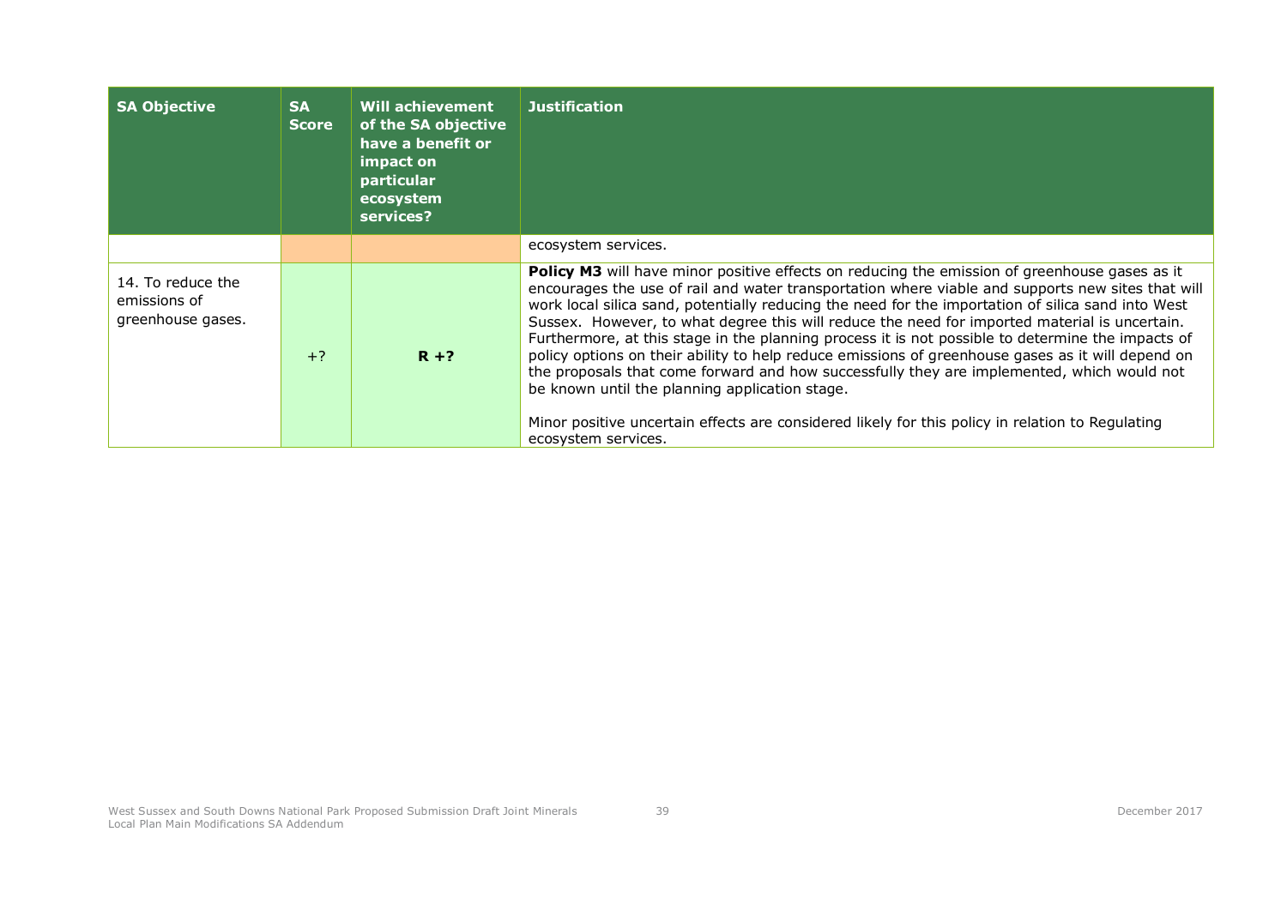| <b>SA Objective</b>                                    | <b>SA</b><br><b>Score</b> | <b>Will achievement</b><br>of the SA objective<br>have a benefit or<br>impact on<br>particular<br>ecosystem<br>services? | <b>Justification</b>                                                                                                                                                                                                                                                                                                                                                                                                                                                                                                                                                                                                                                                                                                                                                                                                                                                                                  |
|--------------------------------------------------------|---------------------------|--------------------------------------------------------------------------------------------------------------------------|-------------------------------------------------------------------------------------------------------------------------------------------------------------------------------------------------------------------------------------------------------------------------------------------------------------------------------------------------------------------------------------------------------------------------------------------------------------------------------------------------------------------------------------------------------------------------------------------------------------------------------------------------------------------------------------------------------------------------------------------------------------------------------------------------------------------------------------------------------------------------------------------------------|
|                                                        |                           |                                                                                                                          | ecosystem services.                                                                                                                                                                                                                                                                                                                                                                                                                                                                                                                                                                                                                                                                                                                                                                                                                                                                                   |
| 14. To reduce the<br>emissions of<br>greenhouse gases. | $+?$                      | $R + ?$                                                                                                                  | <b>Policy M3</b> will have minor positive effects on reducing the emission of greenhouse gases as it<br>encourages the use of rail and water transportation where viable and supports new sites that will<br>work local silica sand, potentially reducing the need for the importation of silica sand into West<br>Sussex. However, to what degree this will reduce the need for imported material is uncertain.<br>Furthermore, at this stage in the planning process it is not possible to determine the impacts of<br>policy options on their ability to help reduce emissions of greenhouse gases as it will depend on<br>the proposals that come forward and how successfully they are implemented, which would not<br>be known until the planning application stage.<br>Minor positive uncertain effects are considered likely for this policy in relation to Regulating<br>ecosystem services. |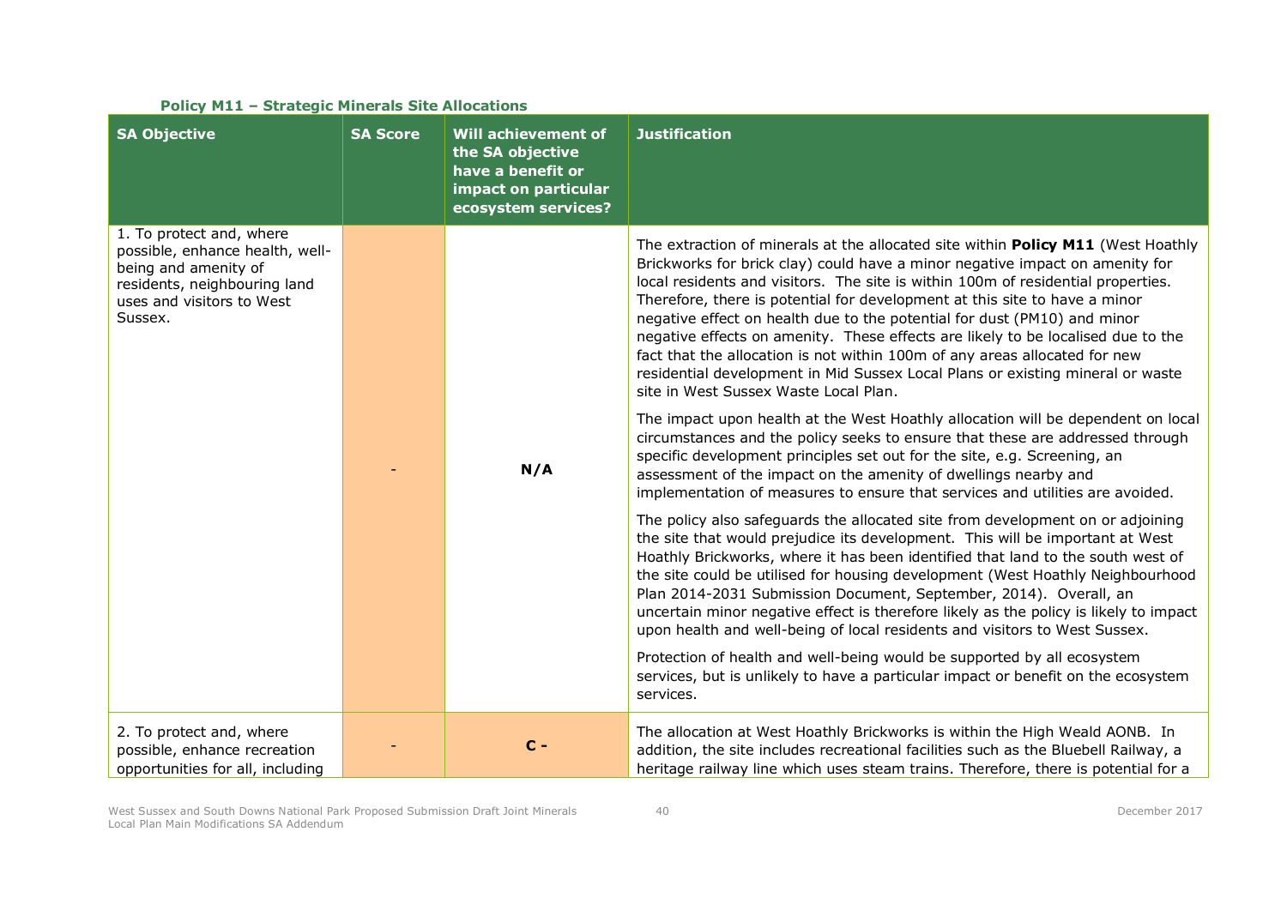| <b>SA Objective</b>                                                                                                                                         | <b>SA Score</b> | Will achievement of<br>the SA objective<br>have a benefit or<br>impact on particular<br>ecosystem services? | <b>Justification</b>                                                                                                                                                                                                                                                                                                                                                                                                                                                                                                                                                                                                                                                                                        |
|-------------------------------------------------------------------------------------------------------------------------------------------------------------|-----------------|-------------------------------------------------------------------------------------------------------------|-------------------------------------------------------------------------------------------------------------------------------------------------------------------------------------------------------------------------------------------------------------------------------------------------------------------------------------------------------------------------------------------------------------------------------------------------------------------------------------------------------------------------------------------------------------------------------------------------------------------------------------------------------------------------------------------------------------|
| 1. To protect and, where<br>possible, enhance health, well-<br>being and amenity of<br>residents, neighbouring land<br>uses and visitors to West<br>Sussex. |                 |                                                                                                             | The extraction of minerals at the allocated site within Policy M11 (West Hoathly<br>Brickworks for brick clay) could have a minor negative impact on amenity for<br>local residents and visitors. The site is within 100m of residential properties.<br>Therefore, there is potential for development at this site to have a minor<br>negative effect on health due to the potential for dust (PM10) and minor<br>negative effects on amenity. These effects are likely to be localised due to the<br>fact that the allocation is not within 100m of any areas allocated for new<br>residential development in Mid Sussex Local Plans or existing mineral or waste<br>site in West Sussex Waste Local Plan. |
|                                                                                                                                                             |                 | N/A                                                                                                         | The impact upon health at the West Hoathly allocation will be dependent on local<br>circumstances and the policy seeks to ensure that these are addressed through<br>specific development principles set out for the site, e.g. Screening, an<br>assessment of the impact on the amenity of dwellings nearby and<br>implementation of measures to ensure that services and utilities are avoided.                                                                                                                                                                                                                                                                                                           |
|                                                                                                                                                             |                 |                                                                                                             | The policy also safeguards the allocated site from development on or adjoining<br>the site that would prejudice its development. This will be important at West<br>Hoathly Brickworks, where it has been identified that land to the south west of<br>the site could be utilised for housing development (West Hoathly Neighbourhood<br>Plan 2014-2031 Submission Document, September, 2014). Overall, an<br>uncertain minor negative effect is therefore likely as the policy is likely to impact<br>upon health and well-being of local residents and visitors to West Sussex.                                                                                                                            |
|                                                                                                                                                             |                 |                                                                                                             | Protection of health and well-being would be supported by all ecosystem<br>services, but is unlikely to have a particular impact or benefit on the ecosystem<br>services.                                                                                                                                                                                                                                                                                                                                                                                                                                                                                                                                   |
| 2. To protect and, where<br>possible, enhance recreation<br>opportunities for all, including                                                                |                 | $C -$                                                                                                       | The allocation at West Hoathly Brickworks is within the High Weald AONB. In<br>addition, the site includes recreational facilities such as the Bluebell Railway, a<br>heritage railway line which uses steam trains. Therefore, there is potential for a                                                                                                                                                                                                                                                                                                                                                                                                                                                    |

**Policy M11 – Strategic Minerals Site Allocations**

West Sussex and South Downs National Park Proposed Submission Draft Joint Minerals Local Plan Main Modifications SA Addendum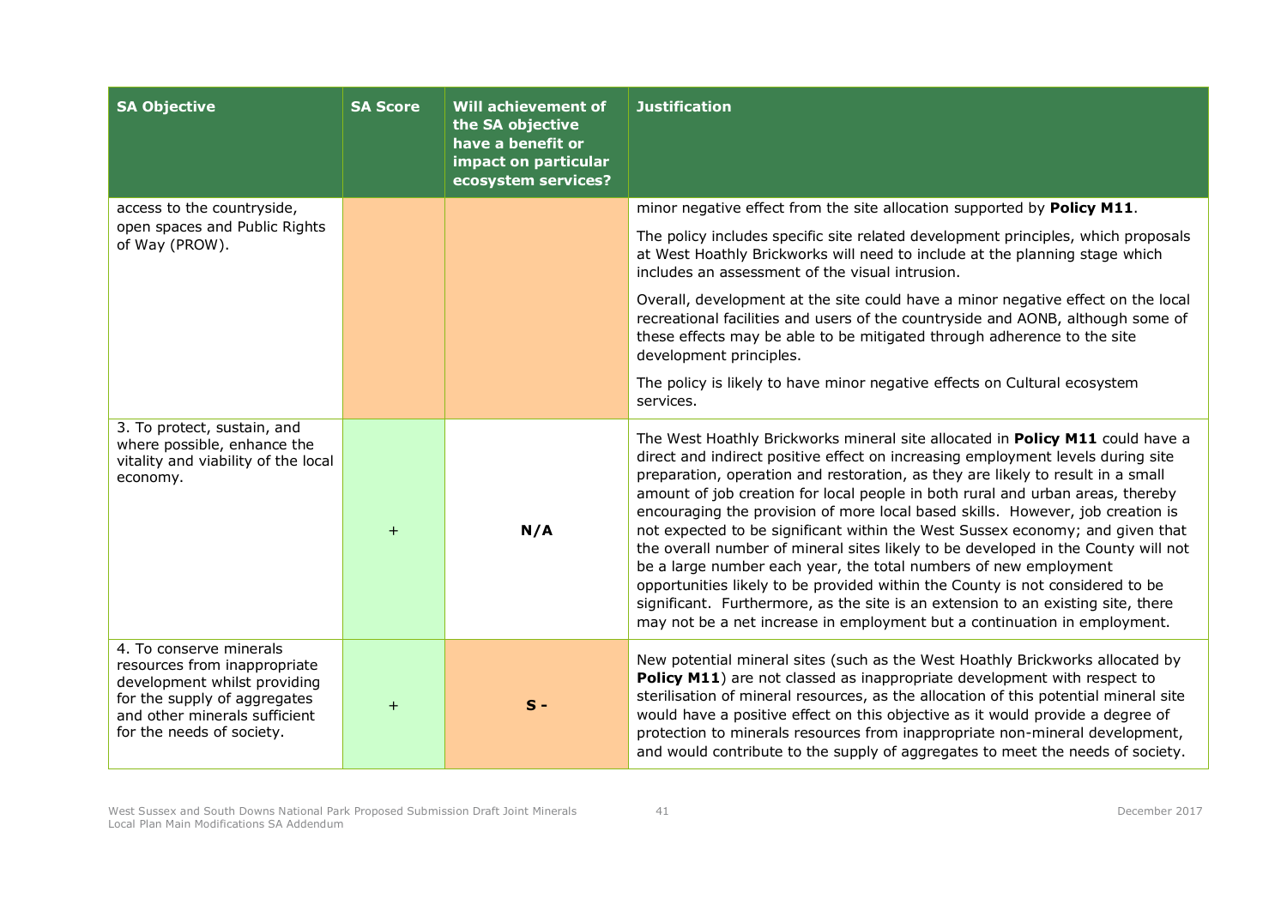| <b>SA Objective</b>                                                                                                                                                                   | <b>SA Score</b> | <b>Will achievement of</b><br>the SA objective<br>have a benefit or<br>impact on particular<br>ecosystem services? | <b>Justification</b>                                                                                                                                                                                                                                                                                                                                                                                                                                                                                                                                                                                                                                                                                                                                                                                                                                                                                                |
|---------------------------------------------------------------------------------------------------------------------------------------------------------------------------------------|-----------------|--------------------------------------------------------------------------------------------------------------------|---------------------------------------------------------------------------------------------------------------------------------------------------------------------------------------------------------------------------------------------------------------------------------------------------------------------------------------------------------------------------------------------------------------------------------------------------------------------------------------------------------------------------------------------------------------------------------------------------------------------------------------------------------------------------------------------------------------------------------------------------------------------------------------------------------------------------------------------------------------------------------------------------------------------|
| access to the countryside,                                                                                                                                                            |                 |                                                                                                                    | minor negative effect from the site allocation supported by Policy M11.                                                                                                                                                                                                                                                                                                                                                                                                                                                                                                                                                                                                                                                                                                                                                                                                                                             |
| open spaces and Public Rights<br>of Way (PROW).                                                                                                                                       |                 |                                                                                                                    | The policy includes specific site related development principles, which proposals<br>at West Hoathly Brickworks will need to include at the planning stage which<br>includes an assessment of the visual intrusion.                                                                                                                                                                                                                                                                                                                                                                                                                                                                                                                                                                                                                                                                                                 |
|                                                                                                                                                                                       |                 |                                                                                                                    | Overall, development at the site could have a minor negative effect on the local<br>recreational facilities and users of the countryside and AONB, although some of<br>these effects may be able to be mitigated through adherence to the site<br>development principles.                                                                                                                                                                                                                                                                                                                                                                                                                                                                                                                                                                                                                                           |
|                                                                                                                                                                                       |                 |                                                                                                                    | The policy is likely to have minor negative effects on Cultural ecosystem<br>services.                                                                                                                                                                                                                                                                                                                                                                                                                                                                                                                                                                                                                                                                                                                                                                                                                              |
| 3. To protect, sustain, and<br>where possible, enhance the<br>vitality and viability of the local<br>economy.                                                                         | $+$             | N/A                                                                                                                | The West Hoathly Brickworks mineral site allocated in Policy M11 could have a<br>direct and indirect positive effect on increasing employment levels during site<br>preparation, operation and restoration, as they are likely to result in a small<br>amount of job creation for local people in both rural and urban areas, thereby<br>encouraging the provision of more local based skills. However, job creation is<br>not expected to be significant within the West Sussex economy; and given that<br>the overall number of mineral sites likely to be developed in the County will not<br>be a large number each year, the total numbers of new employment<br>opportunities likely to be provided within the County is not considered to be<br>significant. Furthermore, as the site is an extension to an existing site, there<br>may not be a net increase in employment but a continuation in employment. |
| 4. To conserve minerals<br>resources from inappropriate<br>development whilst providing<br>for the supply of aggregates<br>and other minerals sufficient<br>for the needs of society. | $\ddot{}$       | $S -$                                                                                                              | New potential mineral sites (such as the West Hoathly Brickworks allocated by<br>Policy M11) are not classed as inappropriate development with respect to<br>sterilisation of mineral resources, as the allocation of this potential mineral site<br>would have a positive effect on this objective as it would provide a degree of<br>protection to minerals resources from inappropriate non-mineral development,<br>and would contribute to the supply of aggregates to meet the needs of society.                                                                                                                                                                                                                                                                                                                                                                                                               |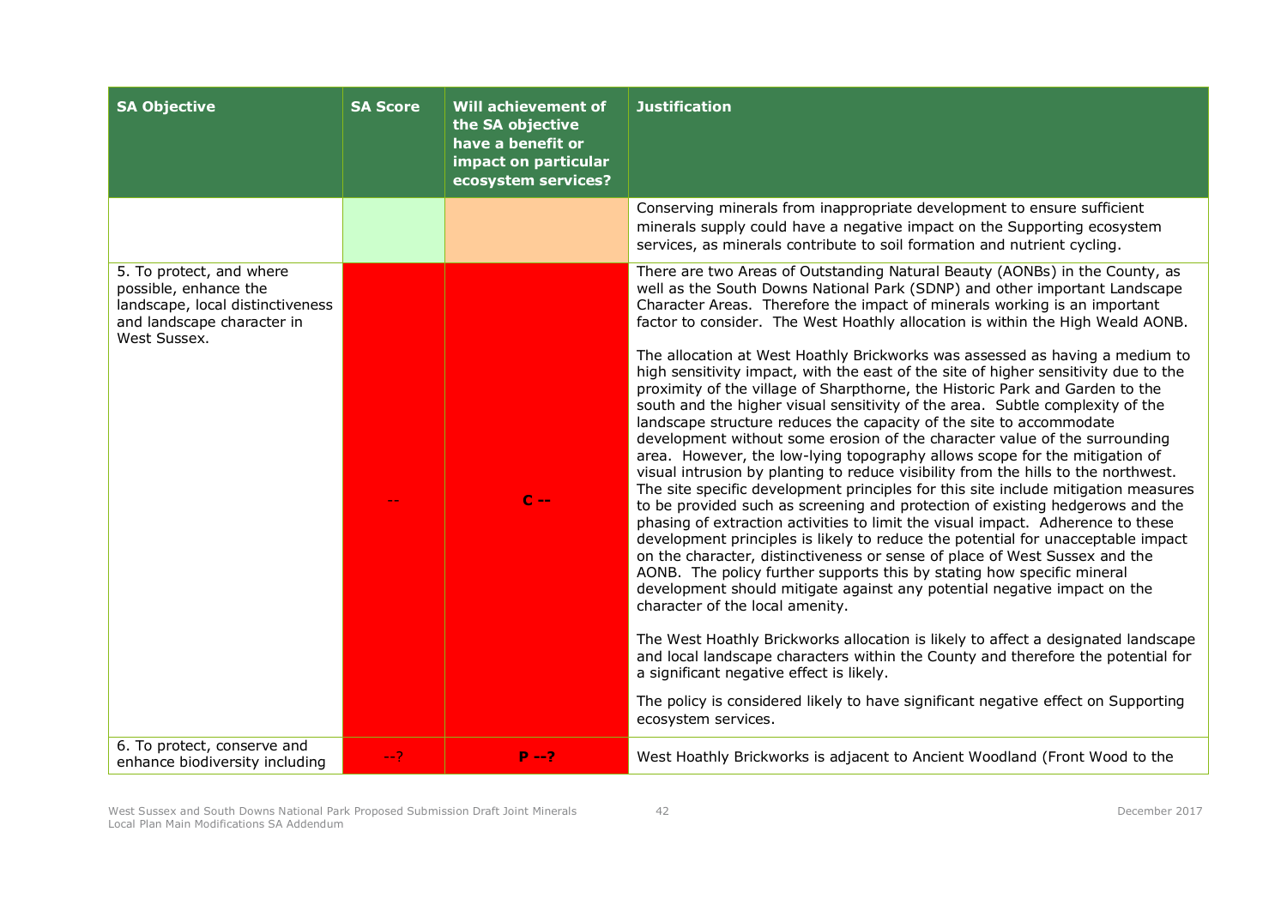| <b>SA Objective</b>                                                                                                                 | <b>SA Score</b> | <b>Will achievement of</b><br>the SA objective<br>have a benefit or<br>impact on particular<br>ecosystem services? | <b>Justification</b>                                                                                                                                                                                                                                                                                                                                                                                                                                                                                                                                                                                                                                                                                                                                                                                                                                                                                                                                                                                                                                                                                                                                                                                                                                                                                                                                                                                                                                                                                                                                                                                                                                                                                                                                                                                                                                                                                                                            |
|-------------------------------------------------------------------------------------------------------------------------------------|-----------------|--------------------------------------------------------------------------------------------------------------------|-------------------------------------------------------------------------------------------------------------------------------------------------------------------------------------------------------------------------------------------------------------------------------------------------------------------------------------------------------------------------------------------------------------------------------------------------------------------------------------------------------------------------------------------------------------------------------------------------------------------------------------------------------------------------------------------------------------------------------------------------------------------------------------------------------------------------------------------------------------------------------------------------------------------------------------------------------------------------------------------------------------------------------------------------------------------------------------------------------------------------------------------------------------------------------------------------------------------------------------------------------------------------------------------------------------------------------------------------------------------------------------------------------------------------------------------------------------------------------------------------------------------------------------------------------------------------------------------------------------------------------------------------------------------------------------------------------------------------------------------------------------------------------------------------------------------------------------------------------------------------------------------------------------------------------------------------|
|                                                                                                                                     |                 |                                                                                                                    | Conserving minerals from inappropriate development to ensure sufficient<br>minerals supply could have a negative impact on the Supporting ecosystem<br>services, as minerals contribute to soil formation and nutrient cycling.                                                                                                                                                                                                                                                                                                                                                                                                                                                                                                                                                                                                                                                                                                                                                                                                                                                                                                                                                                                                                                                                                                                                                                                                                                                                                                                                                                                                                                                                                                                                                                                                                                                                                                                 |
| 5. To protect, and where<br>possible, enhance the<br>landscape, local distinctiveness<br>and landscape character in<br>West Sussex. |                 | $C -$                                                                                                              | There are two Areas of Outstanding Natural Beauty (AONBs) in the County, as<br>well as the South Downs National Park (SDNP) and other important Landscape<br>Character Areas. Therefore the impact of minerals working is an important<br>factor to consider. The West Hoathly allocation is within the High Weald AONB.<br>The allocation at West Hoathly Brickworks was assessed as having a medium to<br>high sensitivity impact, with the east of the site of higher sensitivity due to the<br>proximity of the village of Sharpthorne, the Historic Park and Garden to the<br>south and the higher visual sensitivity of the area. Subtle complexity of the<br>landscape structure reduces the capacity of the site to accommodate<br>development without some erosion of the character value of the surrounding<br>area. However, the low-lying topography allows scope for the mitigation of<br>visual intrusion by planting to reduce visibility from the hills to the northwest.<br>The site specific development principles for this site include mitigation measures<br>to be provided such as screening and protection of existing hedgerows and the<br>phasing of extraction activities to limit the visual impact. Adherence to these<br>development principles is likely to reduce the potential for unacceptable impact<br>on the character, distinctiveness or sense of place of West Sussex and the<br>AONB. The policy further supports this by stating how specific mineral<br>development should mitigate against any potential negative impact on the<br>character of the local amenity.<br>The West Hoathly Brickworks allocation is likely to affect a designated landscape<br>and local landscape characters within the County and therefore the potential for<br>a significant negative effect is likely.<br>The policy is considered likely to have significant negative effect on Supporting<br>ecosystem services. |
| 6. To protect, conserve and<br>enhance biodiversity including                                                                       | $-2$            | $P - 2$                                                                                                            | West Hoathly Brickworks is adjacent to Ancient Woodland (Front Wood to the                                                                                                                                                                                                                                                                                                                                                                                                                                                                                                                                                                                                                                                                                                                                                                                                                                                                                                                                                                                                                                                                                                                                                                                                                                                                                                                                                                                                                                                                                                                                                                                                                                                                                                                                                                                                                                                                      |

West Sussex and South Downs National Park Proposed Submission Draft Joint Minerals Local Plan Main Modifications SA Addendum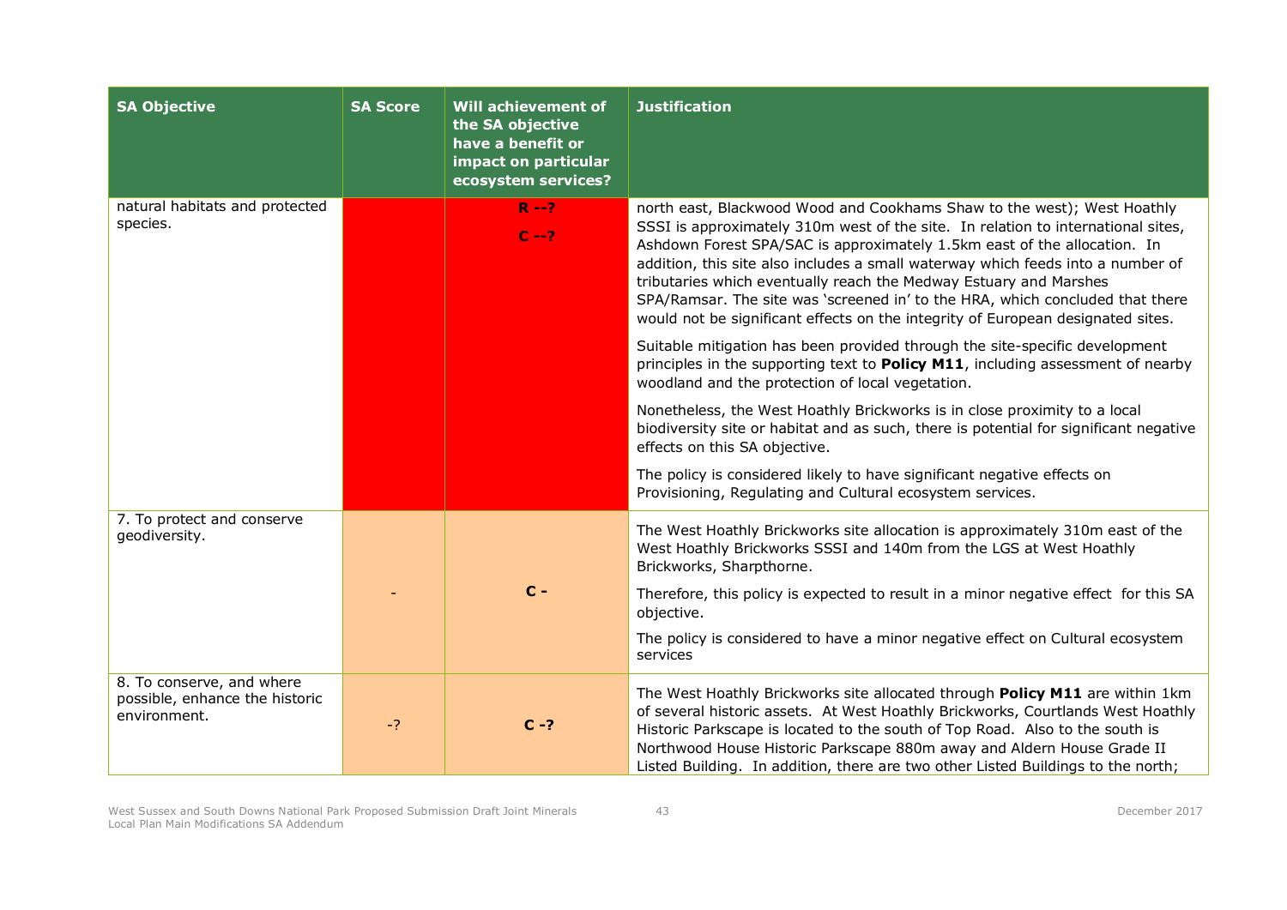| <b>SA Objective</b>                                                         | <b>SA Score</b> | <b>Will achievement of</b><br>the SA objective<br>have a benefit or<br>impact on particular<br>ecosystem services? | <b>Justification</b>                                                                                                                                                                                                                                                                                                                                                                                                                                                                                                                                                                                                                                                                                                                                                                                                                                                                                                                                                                                                                                                                                                                             |
|-----------------------------------------------------------------------------|-----------------|--------------------------------------------------------------------------------------------------------------------|--------------------------------------------------------------------------------------------------------------------------------------------------------------------------------------------------------------------------------------------------------------------------------------------------------------------------------------------------------------------------------------------------------------------------------------------------------------------------------------------------------------------------------------------------------------------------------------------------------------------------------------------------------------------------------------------------------------------------------------------------------------------------------------------------------------------------------------------------------------------------------------------------------------------------------------------------------------------------------------------------------------------------------------------------------------------------------------------------------------------------------------------------|
| natural habitats and protected<br>species.                                  |                 | $R - 2$<br>$C - 2$                                                                                                 | north east, Blackwood Wood and Cookhams Shaw to the west); West Hoathly<br>SSSI is approximately 310m west of the site. In relation to international sites,<br>Ashdown Forest SPA/SAC is approximately 1.5km east of the allocation. In<br>addition, this site also includes a small waterway which feeds into a number of<br>tributaries which eventually reach the Medway Estuary and Marshes<br>SPA/Ramsar. The site was 'screened in' to the HRA, which concluded that there<br>would not be significant effects on the integrity of European designated sites.<br>Suitable mitigation has been provided through the site-specific development<br>principles in the supporting text to <b>Policy M11</b> , including assessment of nearby<br>woodland and the protection of local vegetation.<br>Nonetheless, the West Hoathly Brickworks is in close proximity to a local<br>biodiversity site or habitat and as such, there is potential for significant negative<br>effects on this SA objective.<br>The policy is considered likely to have significant negative effects on<br>Provisioning, Regulating and Cultural ecosystem services. |
| 7. To protect and conserve<br>geodiversity.                                 |                 | $C -$                                                                                                              | The West Hoathly Brickworks site allocation is approximately 310m east of the<br>West Hoathly Brickworks SSSI and 140m from the LGS at West Hoathly<br>Brickworks, Sharpthorne.<br>Therefore, this policy is expected to result in a minor negative effect for this SA<br>objective.<br>The policy is considered to have a minor negative effect on Cultural ecosystem<br>services                                                                                                                                                                                                                                                                                                                                                                                                                                                                                                                                                                                                                                                                                                                                                               |
| 8. To conserve, and where<br>possible, enhance the historic<br>environment. | $-2$            | $C - ?$                                                                                                            | The West Hoathly Brickworks site allocated through Policy M11 are within 1km<br>of several historic assets. At West Hoathly Brickworks, Courtlands West Hoathly<br>Historic Parkscape is located to the south of Top Road. Also to the south is<br>Northwood House Historic Parkscape 880m away and Aldern House Grade II<br>Listed Building. In addition, there are two other Listed Buildings to the north;                                                                                                                                                                                                                                                                                                                                                                                                                                                                                                                                                                                                                                                                                                                                    |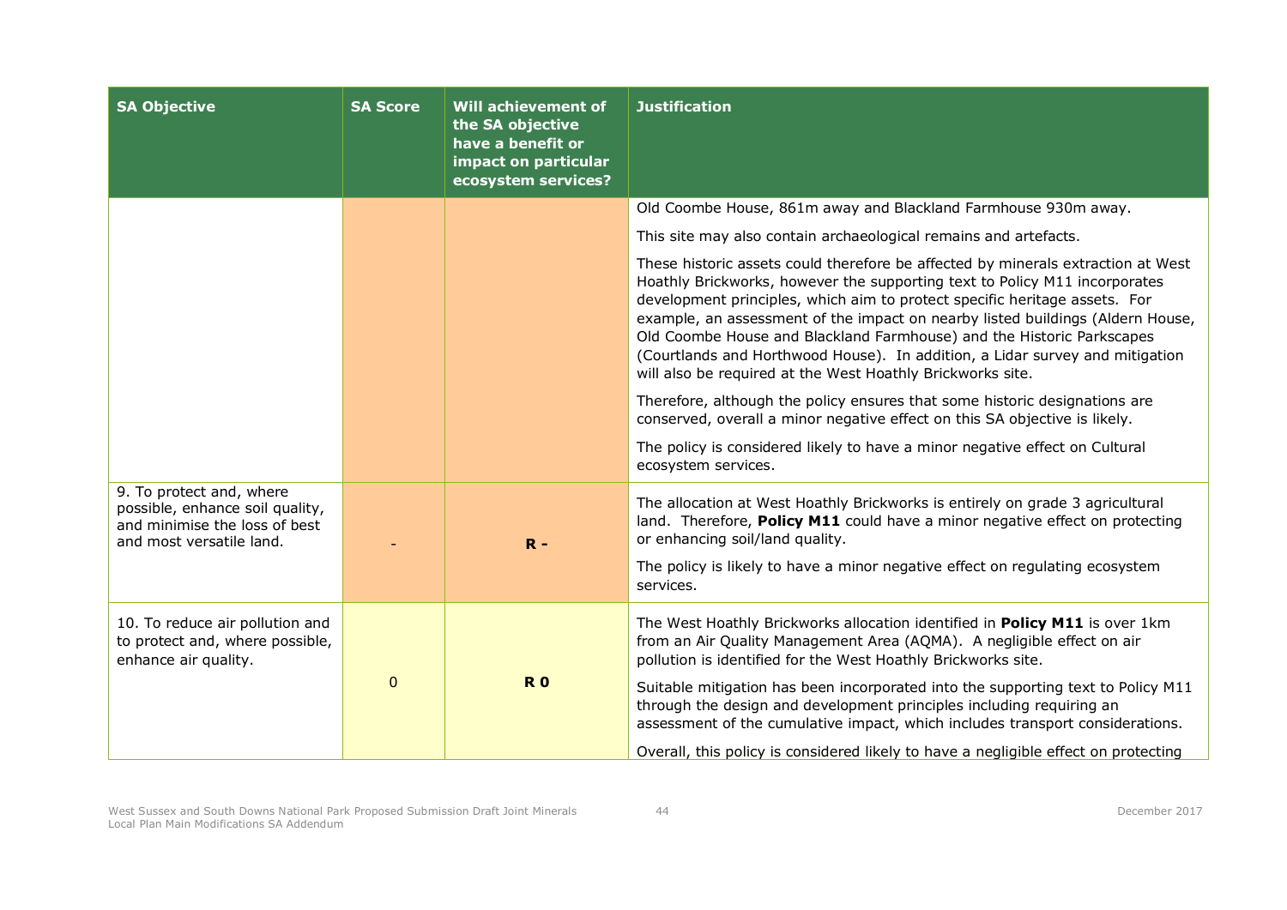| <b>SA Objective</b>                                                                                                      | <b>SA Score</b> | Will achievement of<br>the SA objective<br>have a benefit or<br>impact on particular<br>ecosystem services? | <b>Justification</b>                                                                                                                                                                                                                                                                                                                                                                                                                                                                                                                                  |
|--------------------------------------------------------------------------------------------------------------------------|-----------------|-------------------------------------------------------------------------------------------------------------|-------------------------------------------------------------------------------------------------------------------------------------------------------------------------------------------------------------------------------------------------------------------------------------------------------------------------------------------------------------------------------------------------------------------------------------------------------------------------------------------------------------------------------------------------------|
|                                                                                                                          |                 |                                                                                                             | Old Coombe House, 861m away and Blackland Farmhouse 930m away.                                                                                                                                                                                                                                                                                                                                                                                                                                                                                        |
|                                                                                                                          |                 |                                                                                                             | This site may also contain archaeological remains and artefacts.                                                                                                                                                                                                                                                                                                                                                                                                                                                                                      |
|                                                                                                                          |                 |                                                                                                             | These historic assets could therefore be affected by minerals extraction at West<br>Hoathly Brickworks, however the supporting text to Policy M11 incorporates<br>development principles, which aim to protect specific heritage assets. For<br>example, an assessment of the impact on nearby listed buildings (Aldern House,<br>Old Coombe House and Blackland Farmhouse) and the Historic Parkscapes<br>(Courtlands and Horthwood House). In addition, a Lidar survey and mitigation<br>will also be required at the West Hoathly Brickworks site. |
|                                                                                                                          |                 |                                                                                                             | Therefore, although the policy ensures that some historic designations are<br>conserved, overall a minor negative effect on this SA objective is likely.                                                                                                                                                                                                                                                                                                                                                                                              |
|                                                                                                                          |                 |                                                                                                             | The policy is considered likely to have a minor negative effect on Cultural<br>ecosystem services.                                                                                                                                                                                                                                                                                                                                                                                                                                                    |
| 9. To protect and, where<br>possible, enhance soil quality,<br>and minimise the loss of best<br>and most versatile land. |                 | $R -$                                                                                                       | The allocation at West Hoathly Brickworks is entirely on grade 3 agricultural<br>land. Therefore, Policy M11 could have a minor negative effect on protecting<br>or enhancing soil/land quality.<br>The policy is likely to have a minor negative effect on regulating ecosystem                                                                                                                                                                                                                                                                      |
|                                                                                                                          |                 |                                                                                                             | services.                                                                                                                                                                                                                                                                                                                                                                                                                                                                                                                                             |
| 10. To reduce air pollution and<br>to protect and, where possible,<br>enhance air quality.                               |                 |                                                                                                             | The West Hoathly Brickworks allocation identified in Policy M11 is over 1km<br>from an Air Quality Management Area (AQMA). A negligible effect on air<br>pollution is identified for the West Hoathly Brickworks site.                                                                                                                                                                                                                                                                                                                                |
|                                                                                                                          | $\pmb{0}$       | <b>R0</b>                                                                                                   | Suitable mitigation has been incorporated into the supporting text to Policy M11<br>through the design and development principles including requiring an<br>assessment of the cumulative impact, which includes transport considerations.                                                                                                                                                                                                                                                                                                             |
|                                                                                                                          |                 |                                                                                                             | Overall, this policy is considered likely to have a negligible effect on protecting                                                                                                                                                                                                                                                                                                                                                                                                                                                                   |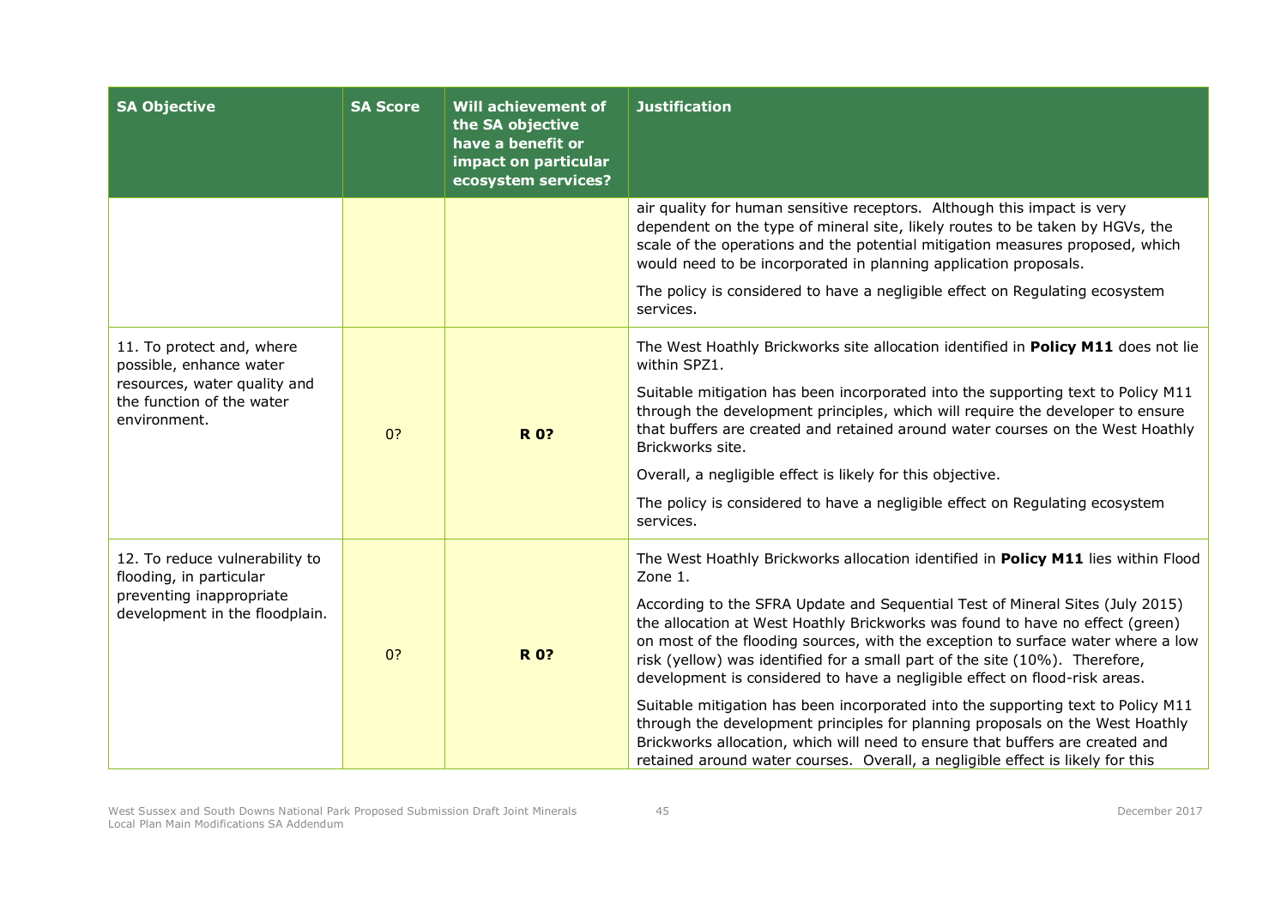| <b>SA Objective</b>                                                                                                               | <b>SA Score</b> | <b>Will achievement of</b><br>the SA objective<br>have a benefit or<br>impact on particular<br>ecosystem services? | <b>Justification</b>                                                                                                                                                                                                                                                                                                                                                                                                                                                                                                                                                                                                                                                                                                                                                                                                                                    |
|-----------------------------------------------------------------------------------------------------------------------------------|-----------------|--------------------------------------------------------------------------------------------------------------------|---------------------------------------------------------------------------------------------------------------------------------------------------------------------------------------------------------------------------------------------------------------------------------------------------------------------------------------------------------------------------------------------------------------------------------------------------------------------------------------------------------------------------------------------------------------------------------------------------------------------------------------------------------------------------------------------------------------------------------------------------------------------------------------------------------------------------------------------------------|
|                                                                                                                                   |                 |                                                                                                                    | air quality for human sensitive receptors. Although this impact is very<br>dependent on the type of mineral site, likely routes to be taken by HGVs, the<br>scale of the operations and the potential mitigation measures proposed, which<br>would need to be incorporated in planning application proposals.                                                                                                                                                                                                                                                                                                                                                                                                                                                                                                                                           |
|                                                                                                                                   |                 |                                                                                                                    | The policy is considered to have a negligible effect on Regulating ecosystem<br>services.                                                                                                                                                                                                                                                                                                                                                                                                                                                                                                                                                                                                                                                                                                                                                               |
| 11. To protect and, where<br>possible, enhance water<br>resources, water quality and<br>the function of the water<br>environment. | 0?              | <b>R0?</b>                                                                                                         | The West Hoathly Brickworks site allocation identified in Policy M11 does not lie<br>within SPZ1.<br>Suitable mitigation has been incorporated into the supporting text to Policy M11<br>through the development principles, which will require the developer to ensure<br>that buffers are created and retained around water courses on the West Hoathly<br>Brickworks site.<br>Overall, a negligible effect is likely for this objective.<br>The policy is considered to have a negligible effect on Regulating ecosystem<br>services.                                                                                                                                                                                                                                                                                                                |
| 12. To reduce vulnerability to<br>flooding, in particular<br>preventing inappropriate<br>development in the floodplain.           | 0?              | <b>R0?</b>                                                                                                         | The West Hoathly Brickworks allocation identified in Policy M11 lies within Flood<br>Zone 1.<br>According to the SFRA Update and Sequential Test of Mineral Sites (July 2015)<br>the allocation at West Hoathly Brickworks was found to have no effect (green)<br>on most of the flooding sources, with the exception to surface water where a low<br>risk (yellow) was identified for a small part of the site (10%). Therefore,<br>development is considered to have a negligible effect on flood-risk areas.<br>Suitable mitigation has been incorporated into the supporting text to Policy M11<br>through the development principles for planning proposals on the West Hoathly<br>Brickworks allocation, which will need to ensure that buffers are created and<br>retained around water courses. Overall, a negligible effect is likely for this |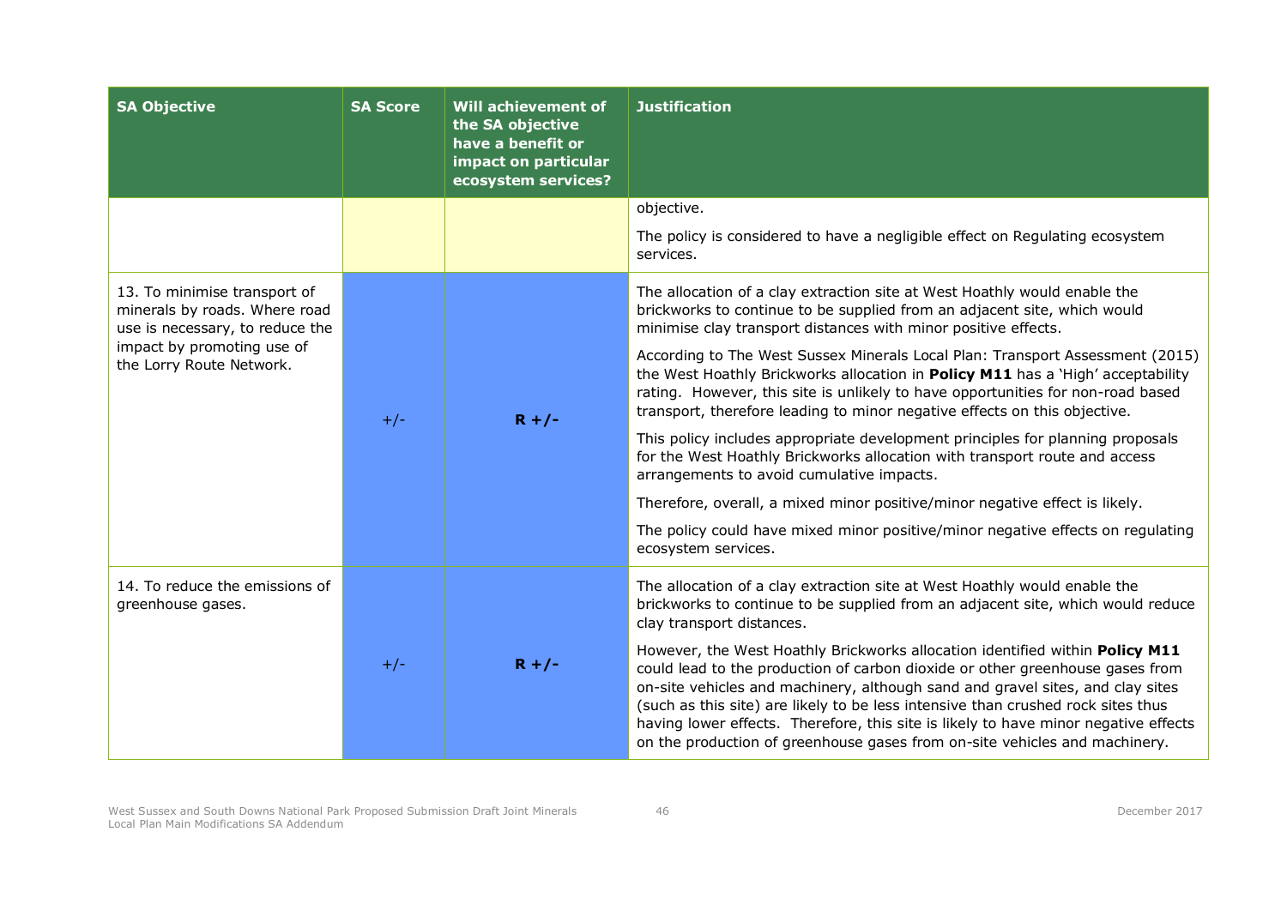| <b>SA Objective</b>                                                                              | <b>SA Score</b> | <b>Will achievement of</b><br>the SA objective<br>have a benefit or<br>impact on particular<br>ecosystem services? | <b>Justification</b>                                                                                                                                                                                                                                                                                                                                                                                                                                                                                     |
|--------------------------------------------------------------------------------------------------|-----------------|--------------------------------------------------------------------------------------------------------------------|----------------------------------------------------------------------------------------------------------------------------------------------------------------------------------------------------------------------------------------------------------------------------------------------------------------------------------------------------------------------------------------------------------------------------------------------------------------------------------------------------------|
|                                                                                                  |                 |                                                                                                                    | objective.                                                                                                                                                                                                                                                                                                                                                                                                                                                                                               |
|                                                                                                  |                 |                                                                                                                    | The policy is considered to have a negligible effect on Regulating ecosystem<br>services.                                                                                                                                                                                                                                                                                                                                                                                                                |
| 13. To minimise transport of<br>minerals by roads. Where road<br>use is necessary, to reduce the | $+/-$           | $R + / -$                                                                                                          | The allocation of a clay extraction site at West Hoathly would enable the<br>brickworks to continue to be supplied from an adjacent site, which would<br>minimise clay transport distances with minor positive effects.                                                                                                                                                                                                                                                                                  |
| impact by promoting use of<br>the Lorry Route Network.                                           |                 |                                                                                                                    | According to The West Sussex Minerals Local Plan: Transport Assessment (2015)<br>the West Hoathly Brickworks allocation in Policy M11 has a 'High' acceptability<br>rating. However, this site is unlikely to have opportunities for non-road based<br>transport, therefore leading to minor negative effects on this objective.                                                                                                                                                                         |
|                                                                                                  |                 |                                                                                                                    | This policy includes appropriate development principles for planning proposals<br>for the West Hoathly Brickworks allocation with transport route and access<br>arrangements to avoid cumulative impacts.                                                                                                                                                                                                                                                                                                |
|                                                                                                  |                 |                                                                                                                    | Therefore, overall, a mixed minor positive/minor negative effect is likely.                                                                                                                                                                                                                                                                                                                                                                                                                              |
|                                                                                                  |                 |                                                                                                                    | The policy could have mixed minor positive/minor negative effects on regulating<br>ecosystem services.                                                                                                                                                                                                                                                                                                                                                                                                   |
| 14. To reduce the emissions of<br>greenhouse gases.                                              |                 |                                                                                                                    | The allocation of a clay extraction site at West Hoathly would enable the<br>brickworks to continue to be supplied from an adjacent site, which would reduce<br>clay transport distances.                                                                                                                                                                                                                                                                                                                |
|                                                                                                  | $+/-$           | $R + / -$                                                                                                          | However, the West Hoathly Brickworks allocation identified within Policy M11<br>could lead to the production of carbon dioxide or other greenhouse gases from<br>on-site vehicles and machinery, although sand and gravel sites, and clay sites<br>(such as this site) are likely to be less intensive than crushed rock sites thus<br>having lower effects. Therefore, this site is likely to have minor negative effects<br>on the production of greenhouse gases from on-site vehicles and machinery. |